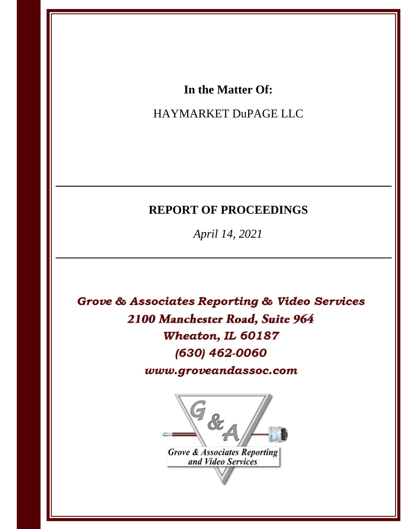## In the Matter Of:

# HAYMARKET DuPAGE LLC

# **REPORT OF PROCEEDINGS**

April 14, 2021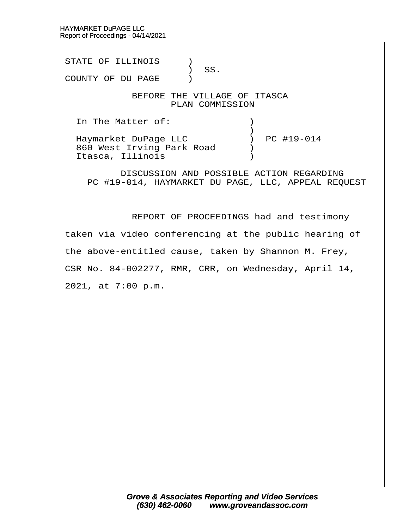STATE OF ILLINOIS )  $\big)$  SS. COUNTY OF DU PAGE ) BEFORE THE VILLAGE OF ITASCA PLAN COMMISSION In The Matter of:  $\qquad \qquad$  )  $\hspace{0.5cm} \longrightarrow$ Haymarket DuPage LLC (a) PC #19-014 860 West Irving Park Road (b) Itasca, Illinois (1998) DISCUSSION AND POSSIBLE ACTION REGARDING PC #19-014, HAYMARKET DU PAGE, LLC, APPEAL REQUEST

REPORT OF PROCEEDINGS had and testimony

taken via video conferencing at the public hearing of

the above-entitled cause, taken by Shannon M. Frey,

CSR No. 84-002277, RMR, CRR, on Wednesday, April 14,

2021, at 7:00 p.m.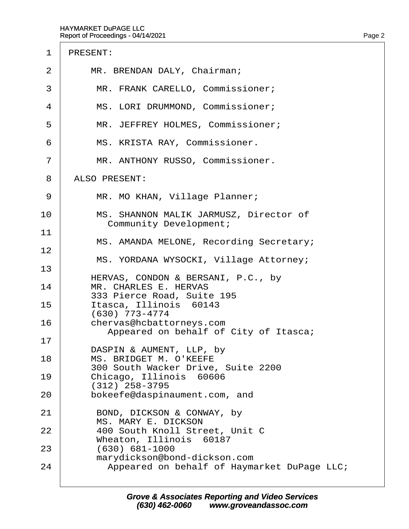## 1 PRESENT:

- 2 | MR. BRENDAN DALY, Chairman;
- 3 | MR. FRANK CARELLO, Commissioner;
- 4 | MS. LORI DRUMMOND, Commissioner;
- 5 | MR. JEFFREY HOLMES, Commissioner;
- 6 | MS. KRISTA RAY, Commissioner.
- 7 | MR. ANTHONY RUSSO, Commissioner.
- 8 ALSO PRESENT:

12

- 9 | MR. MO KHAN, Village Planner;
- 10 | MS. SHANNON MALIK JARMUSZ, Director of Community Development; 11
- MS. AMANDA MELONE, Recording Secretary;
- MS. YORDANA WYSOCKI, Village Attorney;
- 13 HERVAS, CONDON & BERSANI, P.C., by 14 | MR. CHARLES E. HERVAS
- 333 Pierce Road, Suite 195
- 15 | Itasca, Illinois 60143 · · · · ·(630) 773-4774
- 16 | chervas@hcbattorneys.com Appeared on behalf of City of Itasca;
- 17 DASPIN & AUMENT, LLP, by
- 18 | MS. BRIDGET M. O'KEEFE · · · · ·300 South Wacker Drive, Suite 2200
- 19 | Chicago, Illinois 60606 · · · · ·(312) 258-3795
- 20 **bokeefe@daspinaument.com, and**
- 21 | BOND, DICKSON & CONWAY, by MS. MARY E. DICKSON<br>22 400 South Knoll Street.
- 22· · · · 400 South Knoll Street, Unit C
- Wheaton, Illinois 60187<br>23 (630) 681-1000 (630) 681-1000
- marydickson@bond-dickson.com
- 24 | Appeared on behalf of Haymarket DuPage LLC;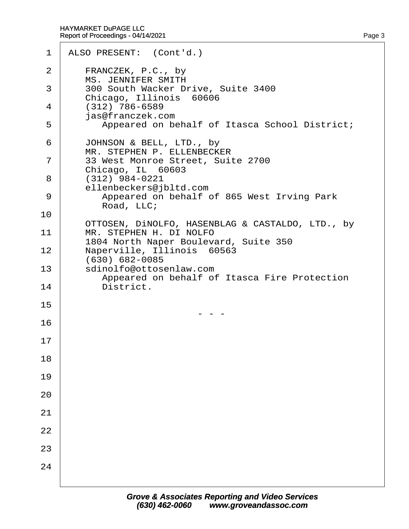| 1  | ALSO PRESENT: (Cont'd.)                                                 |
|----|-------------------------------------------------------------------------|
| 2  | FRANCZEK, P.C., by<br><b>MS. JENNIFER SMITH</b>                         |
| 3  | 300 South Wacker Drive, Suite 3400<br>Chicago, Illinois 60606           |
| 4  | $(312)$ 786-6589<br>jas@franczek.com                                    |
| 5  | Appeared on behalf of Itasca School District;                           |
| 6  | JOHNSON & BELL, LTD., by<br>MR. STEPHEN P. ELLENBECKER                  |
| 7  | 33 West Monroe Street, Suite 2700<br>Chicago, IL 60603                  |
| 8  | (312) 984-0221<br>ellenbeckers@jbltd.com                                |
| 9  | Appeared on behalf of 865 West Irving Park<br>Road, LLC;                |
| 10 | OTTOSEN, DINOLFO, HASENBLAG & CASTALDO, LTD., by                        |
| 11 | MR. STEPHEN H. DI NOLFO<br>1804 North Naper Boulevard, Suite 350        |
| 12 | Naperville, Illinois 60563<br>(630) 682-0085                            |
| 13 | sdinolfo@ottosenlaw.com<br>Appeared on behalf of Itasca Fire Protection |
| 14 | District.                                                               |
| 15 |                                                                         |
| 16 |                                                                         |
| 17 |                                                                         |
| 18 |                                                                         |
| 19 |                                                                         |
| 20 |                                                                         |
| 21 |                                                                         |
| 22 |                                                                         |
| 23 |                                                                         |
| 24 |                                                                         |
|    |                                                                         |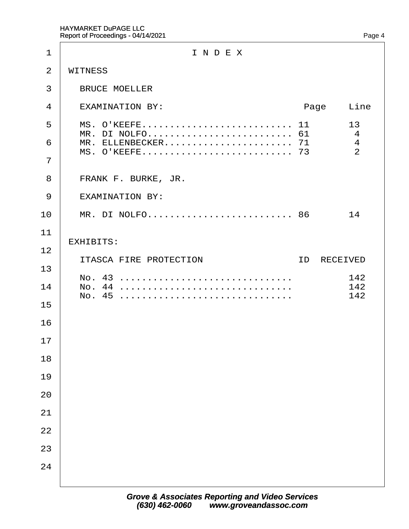| 1              | INDEX                                                               |
|----------------|---------------------------------------------------------------------|
| $\overline{2}$ | <b>WITNESS</b>                                                      |
| 3              | <b>BRUCE MOELLER</b>                                                |
| 4              | <b>EXAMINATION BY:</b><br>Line<br>Page                              |
| 5              | MS. O'KEEFE 11<br>13<br>MR. DI NOLFO 61<br>$\overline{\mathcal{A}}$ |
| 6              | MR. ELLENBECKER 71<br>$\overline{4}$<br>2                           |
| $\overline{7}$ |                                                                     |
| 8              | FRANK F. BURKE, JR.                                                 |
| 9              | <b>EXAMINATION BY:</b>                                              |
| 10             | MR. DI NOLFO 86<br>14                                               |
| 11             | <b>EXHIBITS:</b>                                                    |
| 12             | ITASCA FIRE PROTECTION<br><b>ID RECEIVED</b>                        |
| 13             | No. 43<br>142                                                       |
| 14             |                                                                     |
| 15             |                                                                     |
| 16             |                                                                     |
| 17             |                                                                     |
| 18<br>19       |                                                                     |
| 20             |                                                                     |
| 21             |                                                                     |
| 22             |                                                                     |
| 23             |                                                                     |
| 24             |                                                                     |
|                |                                                                     |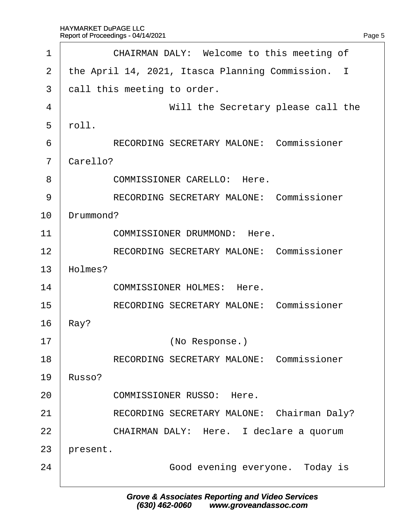| 1              | CHAIRMAN DALY: Welcome to this meeting of         |
|----------------|---------------------------------------------------|
| 2              | the April 14, 2021, Itasca Planning Commission. I |
| 3              | dall this meeting to order.                       |
| 4              | Will the Secretary please call the                |
| 5              | rbll.                                             |
| 6              | <b>RECORDING SECRETARY MALONE: Commissioner</b>   |
| $\overline{7}$ | Carello?                                          |
| 8              | <b>COMMISSIONER CARELLO: Here.</b>                |
| 9              | <b>RECORDING SECRETARY MALONE: Commissioner</b>   |
| 10             | Drummond?                                         |
| 11             | <b>COMMISSIONER DRUMMOND: Here.</b>               |
| 12             | <b>RECORDING SECRETARY MALONE: Commissioner</b>   |
| 13             | Holmes?                                           |
| 14             | <b>COMMISSIONER HOLMES: Here.</b>                 |
| 15             | <b>RECORDING SECRETARY MALONE: Commissioner</b>   |
| 16             | Ray?                                              |
| 17             | (No Response.)                                    |
| 18             | <b>RECORDING SECRETARY MALONE: Commissioner</b>   |
| 19             | Russo?                                            |
| 20             | <b>COMMISSIONER RUSSO: Here.</b>                  |
| 21             | RECORDING SECRETARY MALONE: Chairman Daly?        |
| 22             | CHAIRMAN DALY: Here. I declare a quorum           |
| 23             | present.                                          |
| 24             | Good evening everyone. Today is                   |
|                |                                                   |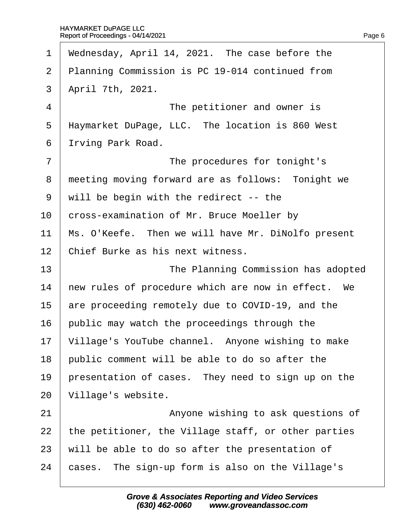| Wednesday, April 14, 2021. The case before the      |
|-----------------------------------------------------|
| Planning Commission is PC 19-014 continued from     |
| April 7th, 2021.                                    |
| The petitioner and owner is                         |
| Haymarket DuPage, LLC. The location is 860 West     |
| Irving Park Road.                                   |
| The procedures for tonight's                        |
| meeting moving forward are as follows: Tonight we   |
| will be begin with the redirect -- the              |
| cross-examination of Mr. Bruce Moeller by           |
| Ms. O'Keefe. Then we will have Mr. DiNolfo present  |
| Chief Burke as his next witness.                    |
| The Planning Commission has adopted                 |
| hew rules of procedure which are now in effect. We  |
| are proceeding remotely due to COVID-19, and the    |
| public may watch the proceedings through the        |
| Village's YouTube channel. Anyone wishing to make   |
| public comment will be able to do so after the      |
| presentation of cases. They need to sign up on the  |
| Village's website.                                  |
| Anyone wishing to ask questions of                  |
| the petitioner, the Village staff, or other parties |
| will be able to do so after the presentation of     |
| cases. The sign-up form is also on the Village's    |
|                                                     |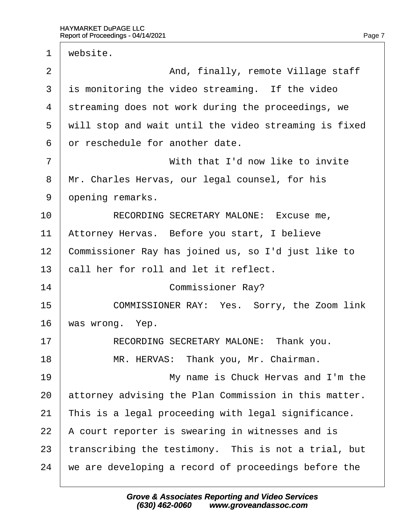| 1              | website.                                              |
|----------------|-------------------------------------------------------|
| 2              | And, finally, remote Village staff                    |
| 3              | is monitoring the video streaming. If the video       |
| 4              | streaming does not work during the proceedings, we    |
| 5              | will stop and wait until the video streaming is fixed |
| 6              | or reschedule for another date.                       |
| $\overline{7}$ | With that I'd now like to invite                      |
| 8              | Mr. Charles Hervas, our legal counsel, for his        |
| 9              | dpening remarks.                                      |
| 10             | RECORDING SECRETARY MALONE: Excuse me,                |
| 11             | Attorney Hervas. Before you start, I believe          |
| 12             | Commissioner Ray has joined us, so I'd just like to   |
| 13             | call her for roll and let it reflect.                 |
| 14             | <b>Commissioner Ray?</b>                              |
| 15             | COMMISSIONER RAY: Yes. Sorry, the Zoom link           |
| 16             | was wrong. Yep.                                       |
| 17             | RECORDING SECRETARY MALONE: Thank you.                |
| 18             | MR. HERVAS: Thank you, Mr. Chairman.                  |
| 19             | My name is Chuck Hervas and I'm the                   |
| 20             | attorney advising the Plan Commission in this matter. |
| 21             | This is a legal proceeding with legal significance.   |
| 22             | A court reporter is swearing in witnesses and is      |
| 23             | transcribing the testimony. This is not a trial, but  |
| 24             | we are developing a record of proceedings before the  |
|                |                                                       |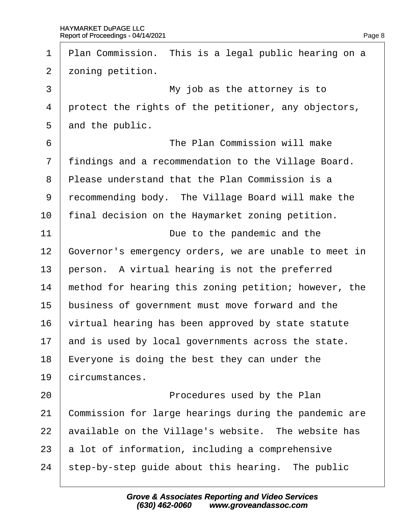| $\mathbf 1$    | Plan Commission. This is a legal public hearing on a  |
|----------------|-------------------------------------------------------|
| 2              | zoning petition.                                      |
| 3              | My job as the attorney is to                          |
| 4              | protect the rights of the petitioner, any objectors,  |
| 5              | and the public.                                       |
| 6              | The Plan Commission will make                         |
| $\overline{7}$ | findings and a recommendation to the Village Board.   |
| 8              | Please understand that the Plan Commission is a       |
| 9              | recommending body. The Village Board will make the    |
| 10             | final decision on the Haymarket zoning petition.      |
| 11             | Due to the pandemic and the                           |
| 12             | Governor's emergency orders, we are unable to meet in |
| 13             | person. A virtual hearing is not the preferred        |
| 14             | method for hearing this zoning petition; however, the |
| 15             | business of government must move forward and the      |
| 16             | virtual hearing has been approved by state statute    |
| 17             | and is used by local governments across the state.    |
| 18             | Everyone is doing the best they can under the         |
| 19             | circumstances.                                        |
| 20             | Procedures used by the Plan                           |
| 21             | Commission for large hearings during the pandemic are |
| 22             | available on the Village's website. The website has   |
| 23             | a lot of information, including a comprehensive       |
| 24             | step-by-step guide about this hearing. The public     |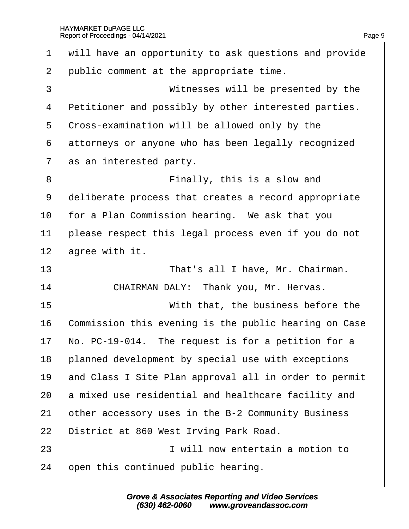| $\mathbf 1$    | will have an opportunity to ask questions and provide |
|----------------|-------------------------------------------------------|
| $\overline{2}$ | public comment at the appropriate time.               |
| 3              | Witnesses will be presented by the                    |
| 4              | Petitioner and possibly by other interested parties.  |
| 5              | Cross-examination will be allowed only by the         |
| 6              | attorneys or anyone who has been legally recognized   |
| 7              | as an interested party.                               |
| 8              | Finally, this is a slow and                           |
| 9              | deliberate process that creates a record appropriate  |
| 10             | for a Plan Commission hearing. We ask that you        |
| 11             | please respect this legal process even if you do not  |
| 12             | agree with it.                                        |
| 13             | That's all I have, Mr. Chairman.                      |
| 14             | CHAIRMAN DALY: Thank you, Mr. Hervas.                 |
| 15             | With that, the business before the                    |
| 16             | Commission this evening is the public hearing on Case |
| 17             | No. PC-19-014. The request is for a petition for a    |
| 18             | planned development by special use with exceptions    |
| 19             | and Class I Site Plan approval all in order to permit |
| 20             | a mixed use residential and healthcare facility and   |
| 21             | other accessory uses in the B-2 Community Business    |
| 22             | District at 860 West Irving Park Road.                |
| 23             | I will now entertain a motion to                      |
| 24             | open this continued public hearing.                   |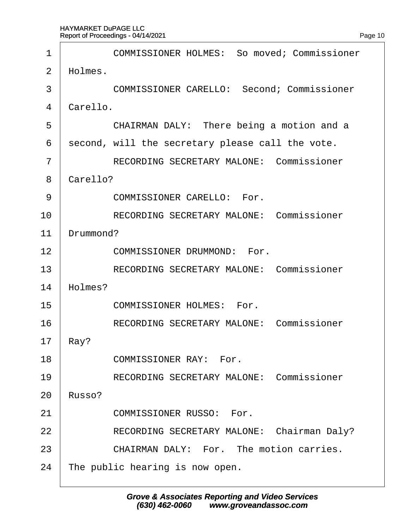$\sqrt{ }$ 

| 1  | <b>COMMISSIONER HOLMES: So moved; Commissioner</b> |
|----|----------------------------------------------------|
| 2  | Holmes.                                            |
| 3  | <b>COMMISSIONER CARELLO: Second; Commissioner</b>  |
| 4  | Carello.                                           |
| 5  | CHAIRMAN DALY: There being a motion and a          |
| 6  | second, will the secretary please call the vote.   |
| 7  | <b>RECORDING SECRETARY MALONE: Commissioner</b>    |
| 8  | Carello?                                           |
| 9  | <b>COMMISSIONER CARELLO: For.</b>                  |
| 10 | <b>RECORDING SECRETARY MALONE: Commissioner</b>    |
| 11 | Drummond?                                          |
| 12 | <b>COMMISSIONER DRUMMOND: For.</b>                 |
| 13 | <b>RECORDING SECRETARY MALONE: Commissioner</b>    |
| 14 | Holmes?                                            |
| 15 | <b>COMMISSIONER HOLMES: For.</b>                   |
| 16 | <b>RECORDING SECRETARY MALONE: Commissioner</b>    |
| 17 | Ray?                                               |
| 18 | <b>COMMISSIONER RAY: For.</b>                      |
| 19 | <b>RECORDING SECRETARY MALONE: Commissioner</b>    |
| 20 | Russo?                                             |
| 21 | <b>COMMISSIONER RUSSO: For.</b>                    |
| 22 | RECORDING SECRETARY MALONE: Chairman Daly?         |
| 23 | <b>CHAIRMAN DALY: For. The motion carries.</b>     |
| 24 | The public hearing is now open.                    |
|    |                                                    |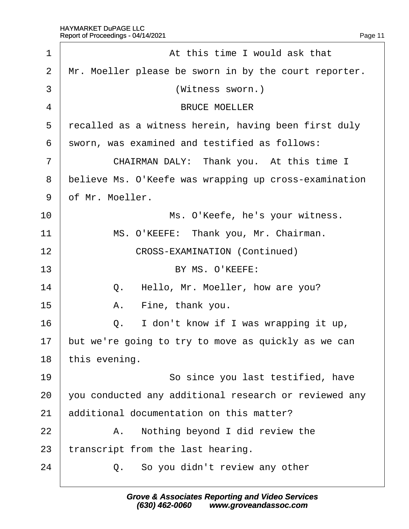| 1              | At this time I would ask that                         |  |  |
|----------------|-------------------------------------------------------|--|--|
| 2              | Mr. Moeller please be sworn in by the court reporter. |  |  |
| 3              | (Witness sworn.)                                      |  |  |
| 4              | <b>BRUCE MOELLER</b>                                  |  |  |
| 5              | recalled as a witness herein, having been first duly  |  |  |
| 6              | sworn, was examined and testified as follows:         |  |  |
| $\overline{7}$ | CHAIRMAN DALY: Thank you. At this time I              |  |  |
| 8              | believe Ms. O'Keefe was wrapping up cross-examination |  |  |
| 9              | of Mr. Moeller.                                       |  |  |
| 10             | Ms. O'Keefe, he's your witness.                       |  |  |
| 11             | MS. O'KEEFE: Thank you, Mr. Chairman.                 |  |  |
| 12             | <b>CROSS-EXAMINATION (Continued)</b>                  |  |  |
| 13             | BY MS. O'KEEFE:                                       |  |  |
| 14             | Q. Hello, Mr. Moeller, how are you?                   |  |  |
| 15             | Fine, thank you.<br>Α.                                |  |  |
| 16             | Q. I don't know if I was wrapping it up,              |  |  |
| 17             | but we're going to try to move as quickly as we can   |  |  |
| 18             | this evening.                                         |  |  |
| 19             | So since you last testified, have                     |  |  |
| 20             | you conducted any additional research or reviewed any |  |  |
| 21             | additional documentation on this matter?              |  |  |
| 22             | A. Nothing beyond I did review the                    |  |  |
| 23             | transcript from the last hearing.                     |  |  |
| 24             | Q. So you didn't review any other                     |  |  |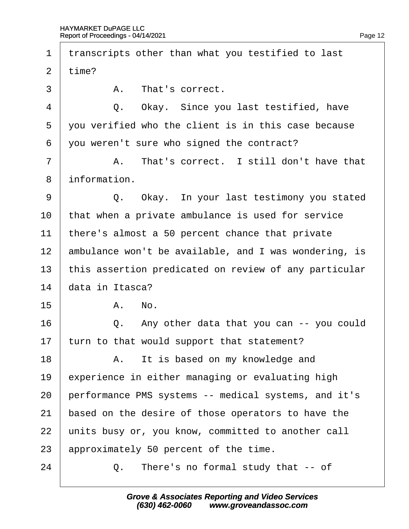| 1              |                 | transcripts other than what you testified to last     |
|----------------|-----------------|-------------------------------------------------------|
| 2              | time?           |                                                       |
| 3              |                 | A. That's correct.                                    |
| $\overline{4}$ |                 | Q. Okay. Since you last testified, have               |
| 5              |                 | you verified who the client is in this case because   |
| 6              |                 | you weren't sure who signed the contract?             |
| 7              |                 | A. That's correct. I still don't have that            |
| 8              | information.    |                                                       |
| 9              |                 | Q. Okay. In your last testimony you stated            |
| 10             |                 | that when a private ambulance is used for service     |
| 11             |                 | there's almost a 50 percent chance that private       |
| 12             |                 | ambulance won't be available, and I was wondering, is |
| 13             |                 | this assertion predicated on review of any particular |
| 14             | data in Itasca? |                                                       |
| 15             |                 | A. No.                                                |
| 16             |                 | Q. Any other data that you can -- you could           |
| 17             |                 | turn to that would support that statement?            |
| 18             |                 | A. It is based on my knowledge and                    |
| 19             |                 | experience in either managing or evaluating high      |
| 20             |                 | performance PMS systems -- medical systems, and it's  |
| 21             |                 | based on the desire of those operators to have the    |
| 22             |                 | units busy or, you know, committed to another call    |
| 23             |                 | approximately 50 percent of the time.                 |
| 24             |                 | Q. There's no formal study that -- of                 |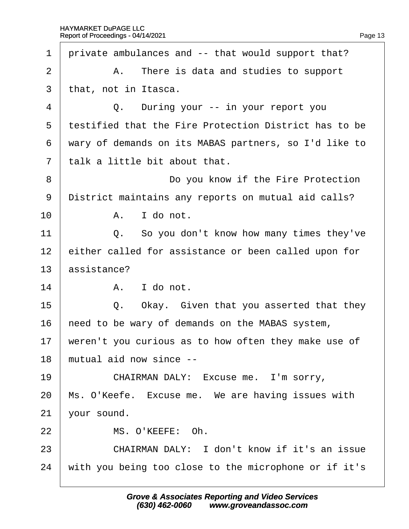| private ambulances and -- that would support that?    |
|-------------------------------------------------------|
| A. There is data and studies to support               |
| that, not in Itasca.                                  |
| Q. During your -- in your report you                  |
| testified that the Fire Protection District has to be |
| wary of demands on its MABAS partners, so I'd like to |
| talk a little bit about that.                         |
| Do you know if the Fire Protection                    |
| District maintains any reports on mutual aid calls?   |
| A. I do not.                                          |
| Q. So you don't know how many times they've           |
| either called for assistance or been called upon for  |
| assistance?                                           |
| A. I do not.                                          |
| Q. Okay. Given that you asserted that they            |
| heed to be wary of demands on the MABAS system,       |
| weren't you curious as to how often they make use of  |
| mutual aid now since --                               |
| CHAIRMAN DALY: Excuse me. I'm sorry,                  |
| Ms. O'Keefe. Excuse me. We are having issues with     |
| vour sound.                                           |
| MS. O'KEEFE: Oh.                                      |
| CHAIRMAN DALY: I don't know if it's an issue          |
| with you being too close to the microphone or if it's |
|                                                       |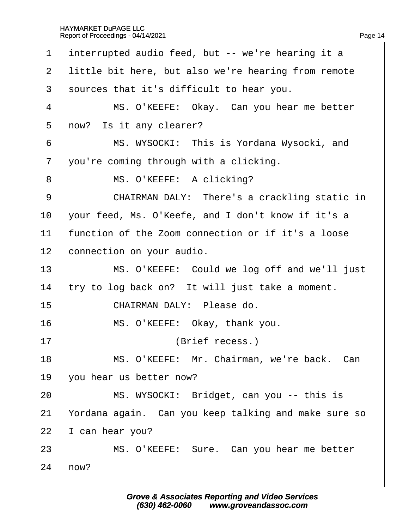| 1              | interrupted audio feed, but -- we're hearing it a    |
|----------------|------------------------------------------------------|
| $\overline{2}$ | little bit here, but also we're hearing from remote  |
| 3              | sources that it's difficult to hear you.             |
| 4              | MS. O'KEEFE: Okay. Can you hear me better            |
| 5              | now? Is it any clearer?                              |
| 6              | MS. WYSOCKI: This is Yordana Wysocki, and            |
| $\overline{7}$ | you're coming through with a clicking.               |
| 8              | MS. O'KEEFE: A clicking?                             |
| 9              | CHAIRMAN DALY: There's a crackling static in         |
| 10             | your feed, Ms. O'Keefe, and I don't know if it's a   |
| 11             | function of the Zoom connection or if it's a loose   |
| 12             | connection on your audio.                            |
| 13             | MS. O'KEEFE: Could we log off and we'll just         |
| 14             | try to log back on? It will just take a moment.      |
| 15             | CHAIRMAN DALY: Please do.                            |
| 16             | MS. O'KEEFE: Okay, thank you.                        |
| 17             | (Brief recess.)                                      |
| 18             | MS. O'KEEFE: Mr. Chairman, we're back. Can           |
| 19             | you hear us better now?                              |
| 20             | MS. WYSOCKI: Bridget, can you -- this is             |
| 21             | Yordana again. Can you keep talking and make sure so |
| 22             | can hear you?                                        |
| 23             | MS. O'KEEFE: Sure. Can you hear me better            |
| 24             | how?                                                 |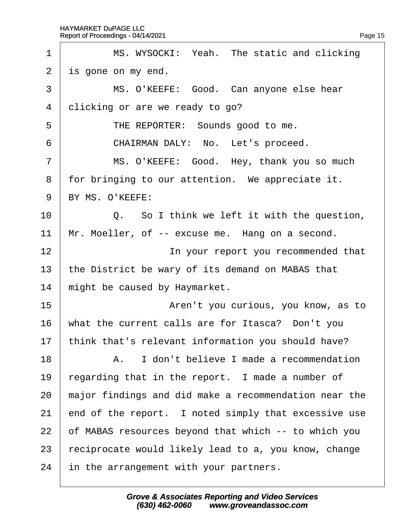| 1               | MS. WYSOCKI: Yeah. The static and clicking            |
|-----------------|-------------------------------------------------------|
| 2               | is gone on my end.                                    |
| 3               | MS. O'KEEFE: Good. Can anyone else hear               |
| $\overline{4}$  | dlicking or are we ready to go?                       |
| 5               | THE REPORTER: Sounds good to me.                      |
| 6               | CHAIRMAN DALY: No. Let's proceed.                     |
| $\overline{7}$  | MS. O'KEEFE: Good. Hey, thank you so much             |
| 8               | for bringing to our attention. We appreciate it.      |
| 9               | BY MS. O'KEEFE:                                       |
| 10              | Q. So I think we left it with the question,           |
| 11              | Mr. Moeller, of -- excuse me. Hang on a second.       |
| 12              | In your report you recommended that                   |
| 13              | the District be wary of its demand on MABAS that      |
| 14              | might be caused by Haymarket.                         |
| 15              | Aren't you curious, you know, as to                   |
| 16              | what the current calls are for Itasca? Don't you      |
| 17 <sub>2</sub> | think that's relevant information you should have?    |
| 18              | A. I don't believe I made a recommendation            |
| 19              | regarding that in the report. I made a number of      |
| 20              | major findings and did make a recommendation near the |
| 21              | end of the report. I noted simply that excessive use  |
| 22              | of MABAS resources beyond that which -- to which you  |
| 23              | reciprocate would likely lead to a, you know, change  |
| 24              | in the arrangement with your partners.                |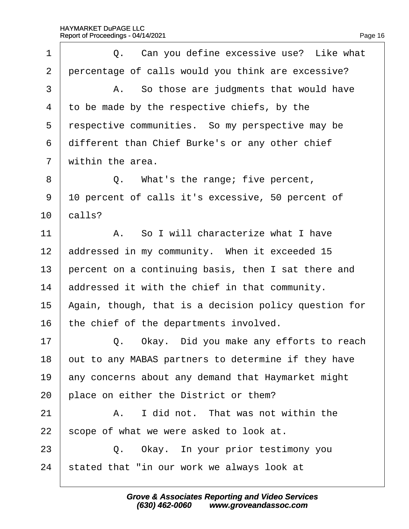| 1              | Q. Can you define excessive use? Like what            |
|----------------|-------------------------------------------------------|
| $\mathbf{2}$   | percentage of calls would you think are excessive?    |
| 3              | A. So those are judgments that would have             |
| 4              | to be made by the respective chiefs, by the           |
| 5              | respective communities. So my perspective may be      |
| 6              | different than Chief Burke's or any other chief       |
| $\overline{7}$ | within the area.                                      |
| 8              | Q. What's the range; five percent,                    |
| 9              | 10 percent of calls it's excessive, 50 percent of     |
| 10             | calls?                                                |
| 11             | A. So I will characterize what I have                 |
| 12             | addressed in my community. When it exceeded 15        |
| 13             | percent on a continuing basis, then I sat there and   |
| 14             | addressed it with the chief in that community.        |
| 15             | Again, though, that is a decision policy question for |
| 16             | the chief of the departments involved.                |
| 17             | Q. Okay. Did you make any efforts to reach            |
| 18             | but to any MABAS partners to determine if they have   |
| 19             | any concerns about any demand that Haymarket might    |
| 20             | place on either the District or them?                 |
| 21             | I did not. That was not within the<br>А.              |
| 22             | scope of what we were asked to look at.               |
| 23             | Q. Okay. In your prior testimony you                  |
| 24             | stated that "in our work we always look at            |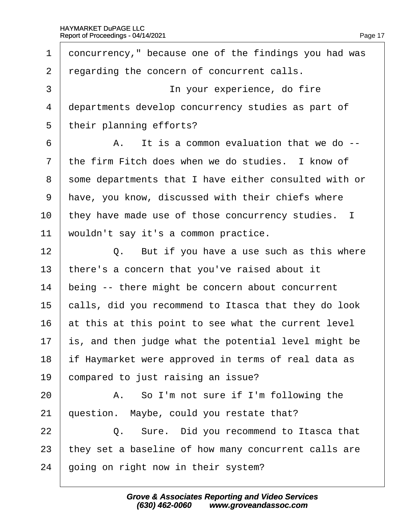| 1              | doncurrency," because one of the findings you had was |
|----------------|-------------------------------------------------------|
| $\overline{2}$ | regarding the concern of concurrent calls.            |
| 3              | In your experience, do fire                           |
| 4              | departments develop concurrency studies as part of    |
| 5              | their planning efforts?                               |
| 6              | A. It is a common evaluation that we do --            |
| $\overline{7}$ | the firm Fitch does when we do studies. I know of     |
| 8              | some departments that I have either consulted with or |
| 9              | have, you know, discussed with their chiefs where     |
| 10             | they have made use of those concurrency studies. I    |
| 11             | wouldn't say it's a common practice.                  |
| 12             | Q. But if you have a use such as this where           |
| 13             | there's a concern that you've raised about it         |
| 14             | being -- there might be concern about concurrent      |
| 15             | calls, did you recommend to Itasca that they do look  |
| 16             | at this at this point to see what the current level   |
| 17             | is, and then judge what the potential level might be  |
| 18             | if Haymarket were approved in terms of real data as   |
| 19             | compared to just raising an issue?                    |
| 20             | A. So I'm not sure if I'm following the               |
| 21             | question. Maybe, could you restate that?              |
|                |                                                       |
| 22             | Q. Sure. Did you recommend to Itasca that             |
| 23             | they set a baseline of how many concurrent calls are  |
| 24             | going on right now in their system?                   |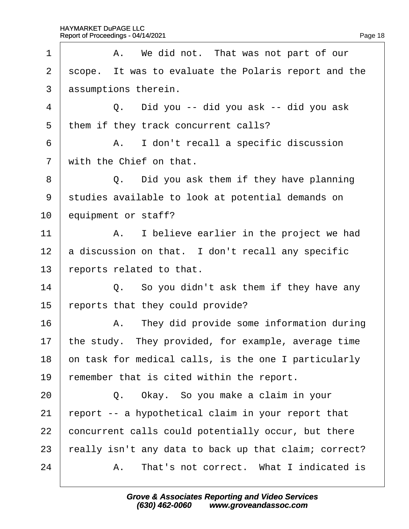| 1              | A. We did not. That was not part of our              |
|----------------|------------------------------------------------------|
| $\overline{2}$ | scope. It was to evaluate the Polaris report and the |
| 3              | assumptions therein.                                 |
| 4              | Q. Did you -- did you ask -- did you ask             |
| 5              | them if they track concurrent calls?                 |
| 6              | A. I don't recall a specific discussion              |
| $\overline{7}$ | with the Chief on that.                              |
| 8              | Q. Did you ask them if they have planning            |
| 9              | studies available to look at potential demands on    |
| 10             | equipment or staff?                                  |
| 11             | A. I believe earlier in the project we had           |
| 12             | a discussion on that. I don't recall any specific    |
| 13             | reports related to that.                             |
| 14             | Q. So you didn't ask them if they have any           |
| 15             | eports that they could provide?                      |
| 16             | A. They did provide some information during          |
| 17             | the study. They provided, for example, average time  |
| 18             | on task for medical calls, is the one I particularly |
| 19             | emember that is cited within the report.             |
| 20             | Q. Okay. So you make a claim in your                 |
| 21             | eport -- a hypothetical claim in your report that    |
| 22             | concurrent calls could potentially occur, but there  |
| 23             | eally isn't any data to back up that claim; correct? |
| 24             | A. That's not correct. What I indicated is           |
|                |                                                      |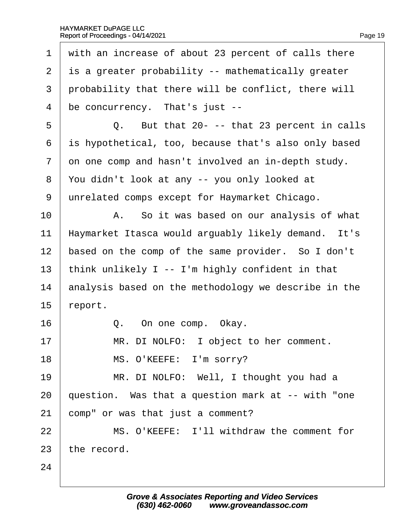| with an increase of about 23 percent of calls there  |
|------------------------------------------------------|
| is a greater probability -- mathematically greater   |
| probability that there will be conflict, there will  |
| be concurrency. That's just --                       |
| Q. But that 20- -- that 23 percent in calls          |
| is hypothetical, too, because that's also only based |
| on one comp and hasn't involved an in-depth study.   |
| You didn't look at any -- you only looked at         |
| unrelated comps except for Haymarket Chicago.        |
| A. So it was based on our analysis of what           |
| Haymarket Itasca would arguably likely demand. It's  |
| based on the comp of the same provider. So I don't   |
| think unlikely I -- I'm highly confident in that     |
| analysis based on the methodology we describe in the |
| report.                                              |
| Q. On one comp. Okay.                                |
| MR. DI NOLFO: I object to her comment.               |
| MS. O'KEEFE: I'm sorry?                              |
| MR. DI NOLFO: Well, I thought you had a              |
| question. Was that a question mark at -- with "one"  |
| comp" or was that just a comment?                    |
| MS. O'KEEFE: I'll withdraw the comment for           |
| the record.                                          |
|                                                      |
|                                                      |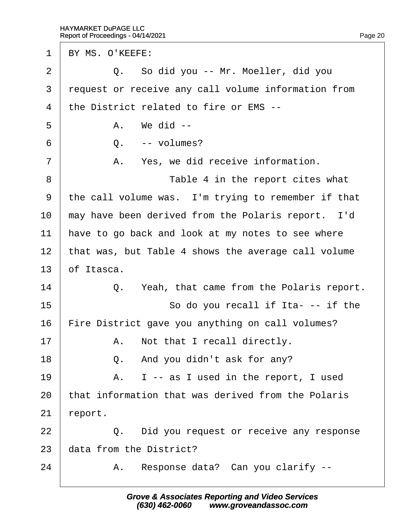1 BY MS. O'KEEFE:  $2 \mid Q$ . So did you -- Mr. Moeller, did you 3 request or receive any call volume information from ·4· ·the District related to fire or EMS --  $5 \quad$   $A \quad$  We did -- $6 \mid Q$ . -- volumes?  $7$  | A. Yes, we did receive information. 8 **I** Table 4 in the report cites what 9 the call volume was. I'm trying to remember if that 10 may have been derived from the Polaris report. I'd 11 have to go back and look at my notes to see where 12 that was, but Table 4 shows the average call volume 13  $\theta$  Itasca.  $14$   $\Box$   $\Box$  Yeah, that came from the Polaris report.  $15$   $\parallel$  So do you recall if Ita- -- if the 16 Fire District gave you anything on call volumes?  $17$   $\parallel$  A. Not that I recall directly. 18  $\vert$  Q. And you didn't ask for any?  $19$   $\parallel$  A. I -- as I used in the report, I used 20 that information that was derived from the Polaris  $21$  report. 22 **Q.** Did you request or receive any response 23 data from the District?  $24$  | A. Response data? Can you clarify  $-$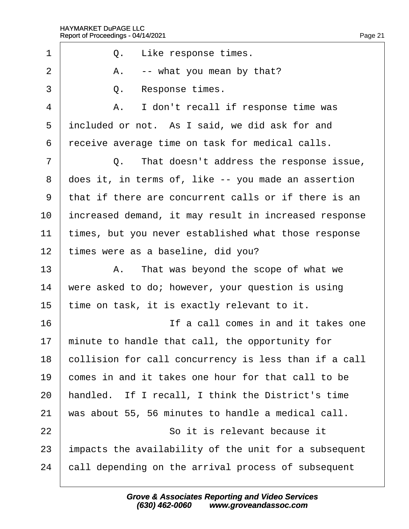| 1               | Q. Like response times.                               |
|-----------------|-------------------------------------------------------|
| $\overline{2}$  | A. -- what you mean by that?                          |
| 3               | Q.<br>Response times.                                 |
| 4               | A. I don't recall if response time was                |
| 5               | included or not. As I said, we did ask for and        |
| 6               | receive average time on task for medical calls.       |
| $\overline{7}$  | Q. That doesn't address the response issue,           |
| 8               | does it, in terms of, like -- you made an assertion   |
| 9               | that if there are concurrent calls or if there is an  |
| 10              | increased demand, it may result in increased response |
| 11              | times, but you never established what those response  |
| 12 <sub>2</sub> | times were as a baseline, did you?                    |
| 13              | A. That was beyond the scope of what we               |
| 14              | were asked to do; however, your question is using     |
| 15              | time on task, it is exactly relevant to it.           |
| 16              | If a call comes in and it takes one                   |
| 17              | minute to handle that call, the opportunity for       |
| 18              | collision for call concurrency is less than if a call |
| 19              | comes in and it takes one hour for that call to be    |
| 20              | handled. If I recall, I think the District's time     |
| 21              | was about 55, 56 minutes to handle a medical call.    |
| 22              | So it is relevant because it                          |
| 23              | impacts the availability of the unit for a subsequent |
| 24              | call depending on the arrival process of subsequent   |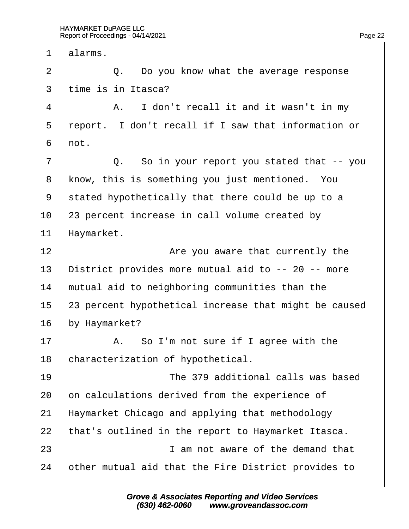1 dlarms.  $2 \mid Q$ . Do you know what the average response 3 time is in Itasca?  $4$  | A. I don't recall it and it wasn't in my 5 report. I don't recall if I saw that information or  $6$   $\theta$  $7 \mid$  Q. So in your report you stated that -- you 8 know, this is something you just mentioned. You 9 stated hypothetically that there could be up to a 10 23 percent increase in call volume created by 11 Haymarket. 12 **I** *Are you aware that currently the* 13 District provides more mutual aid to -- 20 -- more 14 mutual aid to neighboring communities than the 15 23 percent hypothetical increase that might be caused 16 by Haymarket?  $17$   $\parallel$  A. So I'm not sure if I agree with the 18 characterization of hypothetical. 19· · · · · · · · · · ·The 379 additional calls was based 20 on calculations derived from the experience of 21 Haymarket Chicago and applying that methodology 22 that's outlined in the report to Haymarket Itasca.  $23$   $\parallel$  **am not aware of the demand that** 24 bther mutual aid that the Fire District provides to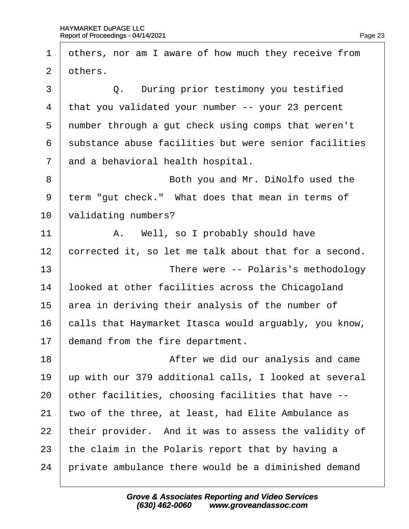| 1              | others, nor am I aware of how much they receive from  |
|----------------|-------------------------------------------------------|
| 2              | others.                                               |
| 3              | Q. During prior testimony you testified               |
| 4              | that you validated your number -- your 23 percent     |
| 5              | number through a gut check using comps that weren't   |
| 6              | substance abuse facilities but were senior facilities |
| $\overline{7}$ | and a behavioral health hospital.                     |
| 8              | Both you and Mr. DiNolfo used the                     |
| 9              | term "gut check." What does that mean in terms of     |
| 10             | validating numbers?                                   |
| 11             | A. Well, so I probably should have                    |
| 12             | corrected it, so let me talk about that for a second. |
| 13             | There were -- Polaris's methodology                   |
| 14             | looked at other facilities across the Chicagoland     |
| 15             | area in deriving their analysis of the number of      |
| 16             | calls that Haymarket Itasca would arguably, you know, |
| 17             | demand from the fire department.                      |
| 18             | After we did our analysis and came                    |
| 19             | up with our 379 additional calls, I looked at several |
| 20             | other facilities, choosing facilities that have --    |
| 21             | two of the three, at least, had Elite Ambulance as    |
| 22             | their provider. And it was to assess the validity of  |
| 23             | the claim in the Polaris report that by having a      |
| 24             | private ambulance there would be a diminished demand  |
|                |                                                       |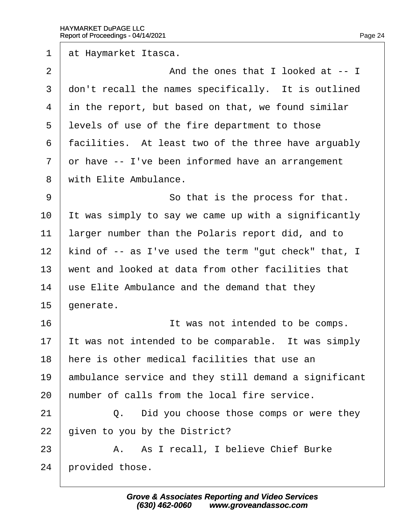1 at Haymarket Itasca. 2 And the ones that I looked at -- I 3 don't recall the names specifically. It is outlined 4 in the report, but based on that, we found similar 5 levels of use of the fire department to those 6 facilities. At least two of the three have arguably 7 dr have -- I've been informed have an arrangement 8 with Elite Ambulance. 9 **9 So that is the process for that.** 10 It was simply to say we came up with a significantly 11 larger number than the Polaris report did, and to 12 kind of -- as I've used the term "gut check" that, I 13 went and looked at data from other facilities that 14 use Elite Ambulance and the demand that they  $15$  denerate. 16 **If was not intended to be comps.** 17 It was not intended to be comparable. It was simply 18 here is other medical facilities that use an 19 ambulance service and they still demand a significant 20 humber of calls from the local fire service.  $21$   $\Box$  Q. Did you choose those comps or were they 22 given to you by the District? 23 | A. As I recall, I believe Chief Burke 24 brovided those.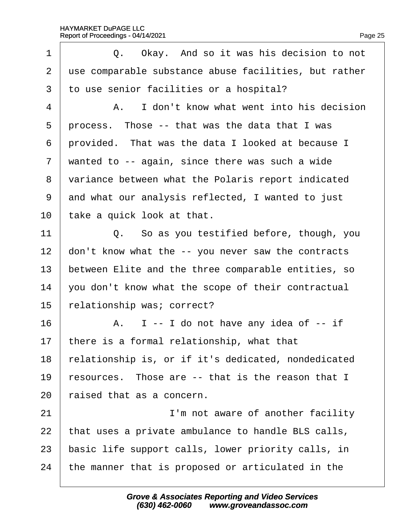| 1              | Q. Okay. And so it was his decision to not            |
|----------------|-------------------------------------------------------|
| $\overline{2}$ | use comparable substance abuse facilities, but rather |
| 3              | to use senior facilities or a hospital?               |
| 4              | A. I don't know what went into his decision           |
| 5              | process. Those -- that was the data that I was        |
| 6              | provided. That was the data I looked at because I     |
| $\overline{7}$ | wanted to -- again, since there was such a wide       |
| 8              | variance between what the Polaris report indicated    |
| 9              | and what our analysis reflected, I wanted to just     |
| 10             | take a quick look at that.                            |
| 11             | Q. So as you testified before, though, you            |
| 12             | don't know what the -- you never saw the contracts    |
| 13             | between Elite and the three comparable entities, so   |
| 14             | you don't know what the scope of their contractual    |
| 15             | elationship was; correct?                             |
| 16             | A. I -- I do not have any idea of -- if               |
| 17             | there is a formal relationship, what that             |
| 18             | relationship is, or if it's dedicated, nondedicated   |
| 19             | resources. Those are -- that is the reason that I     |
| 20             | aised that as a concern.                              |
| 21             | I'm not aware of another facility                     |
| 22             | that uses a private ambulance to handle BLS calls,    |
| 23             | basic life support calls, lower priority calls, in    |
| 24             | the manner that is proposed or articulated in the     |
|                |                                                       |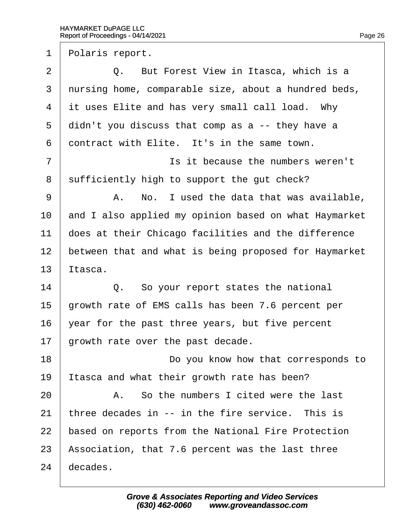1 Polaris report.

 $2 \mid Q$ . But Forest View in Itasca, which is a 3 nursing home, comparable size, about a hundred beds, 4 it uses Elite and has very small call load. Why 5 didn't you discuss that comp as a -- they have a 6 dontract with Elite. It's in the same town. 7 **I** is it because the numbers weren't 8 sufficiently high to support the gut check? 9 | A. No. I used the data that was available, 10 and I also applied my opinion based on what Haymarket 11 does at their Chicago facilities and the difference 12 between that and what is being proposed for Haymarket 13 Itasca.  $14$   $\Box$   $\Box$   $\Box$  So your report states the national 15 drowth rate of EMS calls has been 7.6 percent per 16 vear for the past three years, but five percent 17 drowth rate over the past decade. 18 **Do you know how that corresponds to** 19 Itasca and what their growth rate has been?  $20$   $\parallel$  A. So the numbers I cited were the last 21 three decades in  $-$  in the fire service. This is 22 based on reports from the National Fire Protection 23 Association, that 7.6 percent was the last three 24 decades.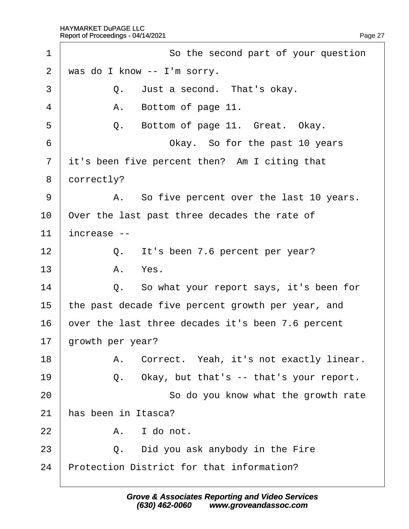| 1              | So the second part of your question               |
|----------------|---------------------------------------------------|
| $\overline{2}$ | was do I know -- I'm sorry.                       |
| 3              | Q. Just a second. That's okay.                    |
| $\overline{4}$ | A. Bottom of page 11.                             |
| 5              | Q.<br>Bottom of page 11. Great. Okay.             |
| 6              | Okay. So for the past 10 years                    |
| $\overline{7}$ | it's been five percent then? Am I citing that     |
| 8              | dorrectly?                                        |
| 9              | A. So five percent over the last 10 years.        |
| 10             | Over the last past three decades the rate of      |
| 11             | increase --                                       |
| 12             | Q. It's been 7.6 percent per year?                |
| 13             | A. Yes.                                           |
| 14             | Q. So what your report says, it's been for        |
| 15             | the past decade five percent growth per year, and |
| 16             | over the last three decades it's been 7.6 percent |
| 17             | growth per year?                                  |
| 18             | A. Correct. Yeah, it's not exactly linear.        |
| 19             | Okay, but that's -- that's your report.<br>Q.     |
| 20             | So do you know what the growth rate               |
| 21             | has been in Itasca?                               |
| 22             | I do not.<br>А.                                   |
| 23             | Q. Did you ask anybody in the Fire                |
| 24             | Protection District for that information?         |
|                |                                                   |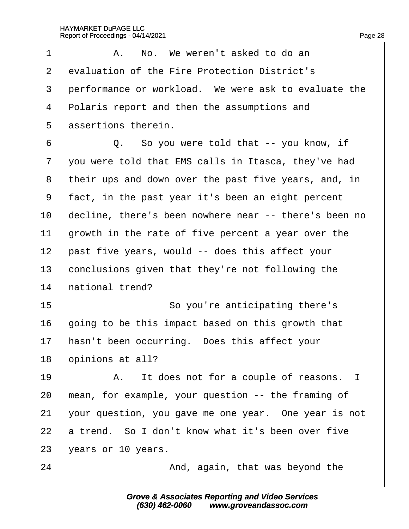| 1  | A. No. We weren't asked to do an                      |
|----|-------------------------------------------------------|
| 2  | evaluation of the Fire Protection District's          |
| 3  | performance or workload. We were ask to evaluate the  |
| 4  | Polaris report and then the assumptions and           |
| 5  | assertions therein.                                   |
| 6  | Q. So you were told that -- you know, if              |
| 7  | you were told that EMS calls in Itasca, they've had   |
| 8  | their ups and down over the past five years, and, in  |
| 9  | fact, in the past year it's been an eight percent     |
| 10 | decline, there's been nowhere near -- there's been no |
| 11 | growth in the rate of five percent a year over the    |
| 12 | past five years, would -- does this affect your       |
| 13 | conclusions given that they're not following the      |
| 14 | hational trend?                                       |
| 15 | So you're anticipating there's                        |
| 16 | going to be this impact based on this growth that     |
| 17 | hasn't been occurring. Does this affect your          |
| 18 | opinions at all?                                      |
| 19 | A. It does not for a couple of reasons. I             |
| 20 | mean, for example, your question -- the framing of    |
| 21 | your question, you gave me one year. One year is not  |
| 22 | a trend. So I don't know what it's been over five     |
| 23 | years or 10 years.                                    |
| 24 | And, again, that was beyond the                       |
|    |                                                       |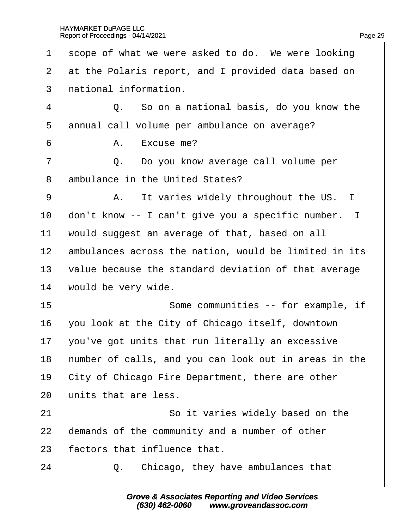| 1              | scope of what we were asked to do. We were looking    |
|----------------|-------------------------------------------------------|
| 2              | at the Polaris report, and I provided data based on   |
| 3              | national information.                                 |
| 4              | Q. So on a national basis, do you know the            |
| 5              | annual call volume per ambulance on average?          |
| 6              | A. Excuse me?                                         |
| $\overline{7}$ | Do you know average call volume per<br>Q.             |
| 8              | ambulance in the United States?                       |
| 9              | A. It varies widely throughout the US. I              |
| 10             | don't know -- I can't give you a specific number. I   |
| 11             | would suggest an average of that, based on all        |
| 12             | ambulances across the nation, would be limited in its |
| 13             | value because the standard deviation of that average  |
| 14             | would be very wide.                                   |
| 15             | Some communities -- for example, if                   |
| 16             | you look at the City of Chicago itself, downtown      |
| 17             | you've got units that run literally an excessive      |
| 18             | humber of calls, and you can look out in areas in the |
| 19             | City of Chicago Fire Department, there are other      |
| 20             | units that are less.                                  |
| 21             | So it varies widely based on the                      |
| 22             | demands of the community and a number of other        |
| 23             | factors that influence that.                          |
| 24             | Chicago, they have ambulances that<br>Q.              |
|                |                                                       |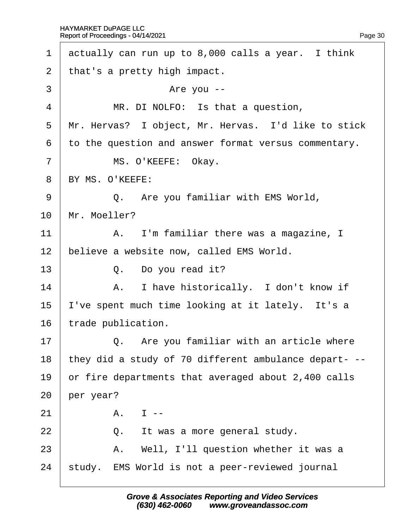| $\mathbf 1$    | actually can run up to 8,000 calls a year. I think    |
|----------------|-------------------------------------------------------|
| 2              | that's a pretty high impact.                          |
| 3              | Are you --                                            |
| 4              | MR. DI NOLFO: Is that a question,                     |
| 5              | Mr. Hervas? I object, Mr. Hervas. I'd like to stick   |
| 6              | to the question and answer format versus commentary.  |
| $\overline{7}$ | MS. O'KEEFE: Okay.                                    |
| 8              | BY MS. O'KEEFE:                                       |
| 9              | Q. Are you familiar with EMS World,                   |
| 10             | Mr. Moeller?                                          |
| 11             | A. I'm familiar there was a magazine, I               |
| 12             | believe a website now, called EMS World.              |
| 13             | Q. Do you read it?                                    |
| 14             | A. I have historically. I don't know if               |
| 15             | 've spent much time looking at it lately. It's a      |
| 16             | trade publication.                                    |
| 17             | Q. Are you familiar with an article where             |
| 18             | they did a study of 70 different ambulance depart- -- |
| 19             | or fire departments that averaged about 2,400 calls   |
| 20             | per year?                                             |
| 21             | $A.$ $I -$                                            |
| 22             | Q. It was a more general study.                       |
| 23             | A. Well, I'll question whether it was a               |
| 24             | study. EMS World is not a peer-reviewed journal       |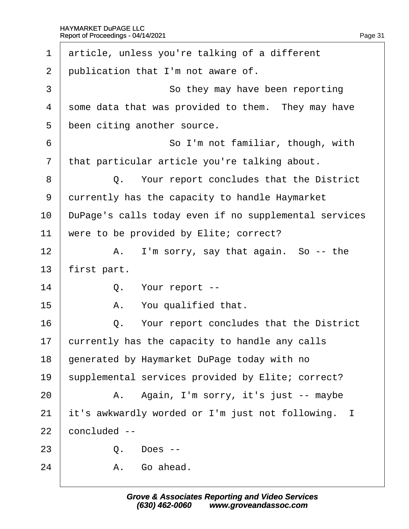| $\mathbf 1$    | article, unless you're talking of a different         |
|----------------|-------------------------------------------------------|
| $\overline{2}$ | publication that I'm not aware of.                    |
| 3              | So they may have been reporting                       |
| 4              | some data that was provided to them. They may have    |
| 5              | been citing another source.                           |
| 6              | So I'm not familiar, though, with                     |
| $\overline{7}$ | that particular article you're talking about.         |
| 8              | Q. Your report concludes that the District            |
| 9              | durrently has the capacity to handle Haymarket        |
| 10             | DuPage's calls today even if no supplemental services |
| 11             | were to be provided by Elite; correct?                |
| 12             | A. I'm sorry, say that again. So -- the               |
| 13             | first part.                                           |
| 14             | Q. Your report --                                     |
| 15             | A. You qualified that.                                |
| 16             | Q. Your report concludes that the District            |
| 17             | currently has the capacity to handle any calls        |
| 18             | generated by Haymarket DuPage today with no           |
| 19             | supplemental services provided by Elite; correct?     |
| 20             | A. Again, I'm sorry, it's just -- maybe               |
| 21             | it's awkwardly worded or I'm just not following. I    |
| 22             | concluded --                                          |
| 23             | Q.<br>Does --                                         |
| 24             | A. Go ahead.                                          |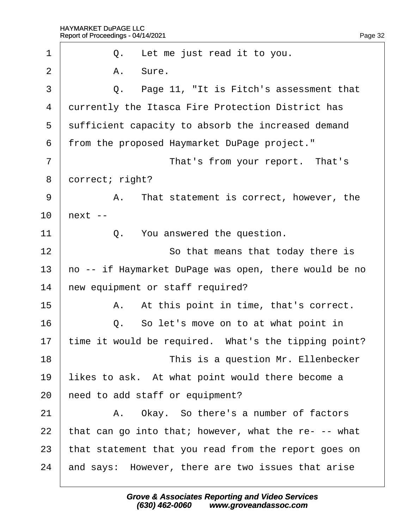| 1              | Q. Let me just read it to you.                        |
|----------------|-------------------------------------------------------|
| $\overline{2}$ | A. Sure.                                              |
| 3              | Q. Page 11, "It is Fitch's assessment that            |
| 4              | durrently the Itasca Fire Protection District has     |
| 5              | sufficient capacity to absorb the increased demand    |
| 6              | from the proposed Haymarket DuPage project."          |
| $\overline{7}$ | That's from your report. That's                       |
| 8              | dorrect; right?                                       |
| 9              | A. That statement is correct, however, the            |
| 10             | hext --                                               |
| 11             | Q. You answered the question.                         |
| 12             | So that means that today there is                     |
| 13             | ho -- if Haymarket DuPage was open, there would be no |
| 14             | hew equipment or staff required?                      |
| 15             | A. At this point in time, that's correct.             |
| 16             | Q. So let's move on to at what point in               |
| 17             | time it would be required. What's the tipping point?  |
| 18             | This is a question Mr. Ellenbecker                    |
| 19             | likes to ask. At what point would there become a      |
| 20             | heed to add staff or equipment?                       |
| 21             | A. Okay. So there's a number of factors               |
| 22             | that can go into that; however, what the re- -- what  |
| 23             | that statement that you read from the report goes on  |
| 24             | and says: However, there are two issues that arise    |
|                |                                                       |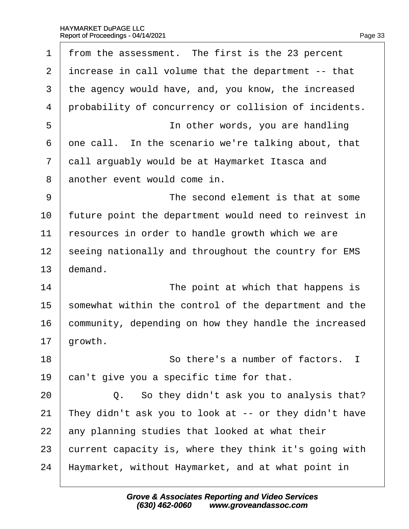| $\mathbf 1$    | from the assessment. The first is the 23 percent      |
|----------------|-------------------------------------------------------|
| 2              | increase in call volume that the department -- that   |
| 3              | the agency would have, and, you know, the increased   |
| $\overline{4}$ | probability of concurrency or collision of incidents. |
| 5              | In other words, you are handling                      |
| 6              | one call. In the scenario we're talking about, that   |
| $\overline{7}$ | dall arguably would be at Haymarket Itasca and        |
| 8              | another event would come in.                          |
| 9              | The second element is that at some                    |
| 10             | future point the department would need to reinvest in |
| 11             | resources in order to handle growth which we are      |
| 12             | seeing nationally and throughout the country for EMS  |
| 13             | demand.                                               |
| 14             | The point at which that happens is                    |
| 15             | somewhat within the control of the department and the |
| 16             | community, depending on how they handle the increased |
| 17             | growth.                                               |
| 18             | So there's a number of factors. I                     |
| 19             | can't give you a specific time for that.              |
| 20             | Q. So they didn't ask you to analysis that?           |
| 21             | They didn't ask you to look at -- or they didn't have |
| 22             | any planning studies that looked at what their        |
| 23             | current capacity is, where they think it's going with |
| 24             | Haymarket, without Haymarket, and at what point in    |
|                |                                                       |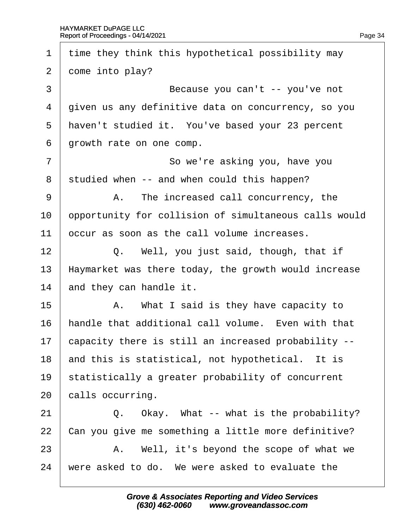| 1              | time they think this hypothetical possibility may     |
|----------------|-------------------------------------------------------|
| $\overline{2}$ | dome into play?                                       |
| 3              | Because you can't -- you've not                       |
| 4              | given us any definitive data on concurrency, so you   |
| 5              | haven't studied it. You've based your 23 percent      |
| 6              | growth rate on one comp.                              |
| $\overline{7}$ | So we're asking you, have you                         |
| 8              | studied when -- and when could this happen?           |
| 9              | A. The increased call concurrency, the                |
| 10             | opportunity for collision of simultaneous calls would |
| 11             | occur as soon as the call volume increases.           |
| 12             | Q. Well, you just said, though, that if               |
| 13             | Haymarket was there today, the growth would increase  |
| 14             | and they can handle it.                               |
| 15             | A. What I said is they have capacity to               |
| 16             | handle that additional call volume. Even with that    |
| 17             | capacity there is still an increased probability --   |
| 18             | and this is statistical, not hypothetical. It is      |
| 19             | statistically a greater probability of concurrent     |
| 20             | calls occurring.                                      |
| 21             | Q. Okay. What -- what is the probability?             |
| 22             | Can you give me something a little more definitive?   |
| 23             | A. Well, it's beyond the scope of what we             |
| 24             | were asked to do. We were asked to evaluate the       |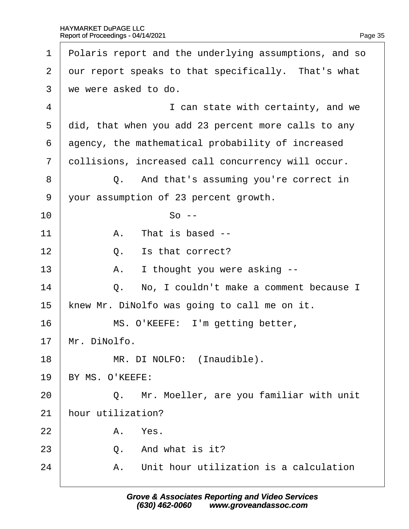| 1              | Polaris report and the underlying assumptions, and so |
|----------------|-------------------------------------------------------|
| 2              | dur report speaks to that specifically. That's what   |
| 3              | we were asked to do.                                  |
| 4              | I can state with certainty, and we                    |
| 5              | did, that when you add 23 percent more calls to any   |
| 6              | agency, the mathematical probability of increased     |
| $\overline{7}$ | dollisions, increased call concurrency will occur.    |
| 8              | Q. And that's assuming you're correct in              |
| 9              | your assumption of 23 percent growth.                 |
| 10             | $So -$                                                |
| 11             | A. That is based --                                   |
| 12             | Is that correct?<br>Q.                                |
| 13             | I thought you were asking --<br>А.                    |
| 14             | Q. No, I couldn't make a comment because I            |
| 15             | knew Mr. DiNolfo was going to call me on it.          |
| 16             | MS. O'KEEFE: I'm getting better,                      |
| 17             | Mr. DiNolfo.                                          |
| 18             | MR. DI NOLFO: (Inaudible).                            |
| 19             | BY MS. O'KEEFE:                                       |
| 20             | Q. Mr. Moeller, are you familiar with unit            |
| 21             | hour utilization?                                     |
| 22             | A. Yes.                                               |
| 23             | Q. And what is it?                                    |
| 24             | A. Unit hour utilization is a calculation             |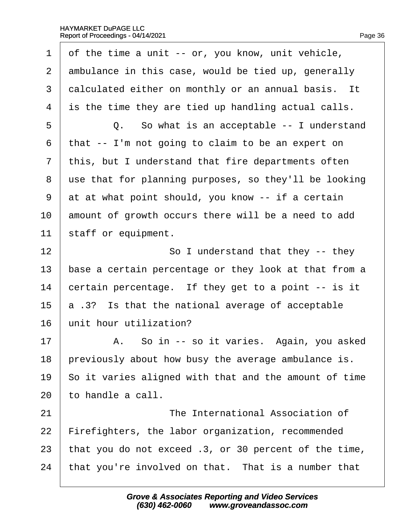|  | Page 36 |
|--|---------|
|  |         |

1 of the time a unit -- or, you know, unit vehicle, 2 ambulance in this case, would be tied up, generally 3 dalculated either on monthly or an annual basis. It 4 is the time they are tied up handling actual calls. 5 **Q.** So what is an acceptable -- I understand ·6· ·that -- I'm not going to claim to be an expert on 7 this, but I understand that fire departments often 8 use that for planning purposes, so they'll be looking 9 at at what point should, you know -- if a certain 10 amount of growth occurs there will be a need to add 11 staff or equipment.  $12$   $\parallel$  So I understand that they -- they 13 base a certain percentage or they look at that from a 14  $\epsilon$  bertain percentage. If they get to a point  $\epsilon$ - is it 15  $\,$  a .3? Is that the national average of acceptable 16 unit hour utilization?  $17$  | A. So in -- so it varies. Again, you asked 18 previously about how busy the average ambulance is. 19 So it varies aligned with that and the amount of time 20 to handle a call. 21 **I** The International Association of 22 Firefighters, the labor organization, recommended 23 that you do not exceed .3, or 30 percent of the time, 24 that you're involved on that. That is a number that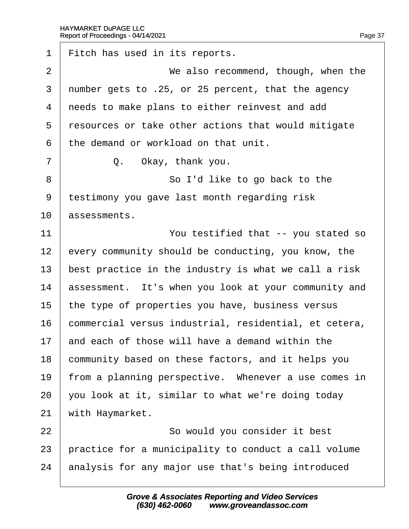1 Fitch has used in its reports. 2 **We also recommend, though, when the** 3 number gets to .25, or 25 percent, that the agency 4 needs to make plans to either reinvest and add 5 resources or take other actions that would mitigate ·6· ·the demand or workload on that unit.  $7 \mid$  Q. Okay, thank you. 8 **So I'd like to go back to the** 9 testimony you gave last month regarding risk 10 *assessments*. 11 **I** You testified that -- you stated so 12 every community should be conducting, you know, the 13 best practice in the industry is what we call a risk 14 assessment. It's when you look at your community and 15 the type of properties you have, business versus 16 commercial versus industrial, residential, et cetera, 17 and each of those will have a demand within the 18 community based on these factors, and it helps you 19 from a planning perspective. Whenever a use comes in 20  $\sqrt{20}$  vou look at it, similar to what we're doing today 21 with Haymarket. 22 **So would you consider it best** 23 practice for a municipality to conduct a call volume 24 analysis for any major use that's being introduced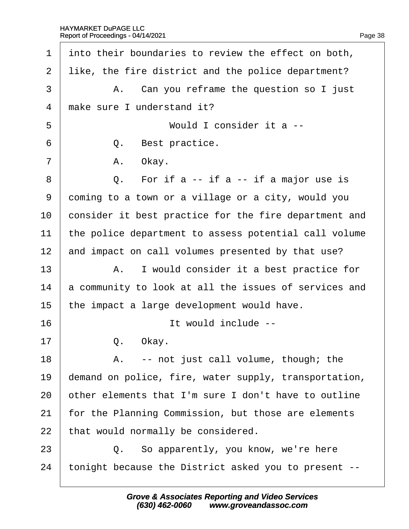| 1              | into their boundaries to review the effect on both,   |  |
|----------------|-------------------------------------------------------|--|
| $\overline{2}$ | like, the fire district and the police department?    |  |
| 3              | A. Can you reframe the question so I just             |  |
| 4              | make sure I understand it?                            |  |
| 5              | Would I consider it a --                              |  |
| 6              | Best practice.<br>Q.                                  |  |
| $\overline{7}$ | A. Okay.                                              |  |
| 8              | Q. For if $a - if a - if a major use is$              |  |
| 9              | doming to a town or a village or a city, would you    |  |
| 10             | consider it best practice for the fire department and |  |
| 11             | the police department to assess potential call volume |  |
| 12             | and impact on call volumes presented by that use?     |  |
| 13             | A. I would consider it a best practice for            |  |
| 14             | a community to look at all the issues of services and |  |
| 15             | the impact a large development would have.            |  |
| 16             | It would include --                                   |  |
| 17             | Q.<br>Okav.                                           |  |
| 18             | A. -- not just call volume, though; the               |  |
| 19             | demand on police, fire, water supply, transportation, |  |
| 20             | other elements that I'm sure I don't have to outline  |  |
| 21             | or the Planning Commission, but those are elements    |  |
| 22             | that would normally be considered.                    |  |
| 23             | Q. So apparently, you know, we're here                |  |
| 24             | tonight because the District asked you to present --  |  |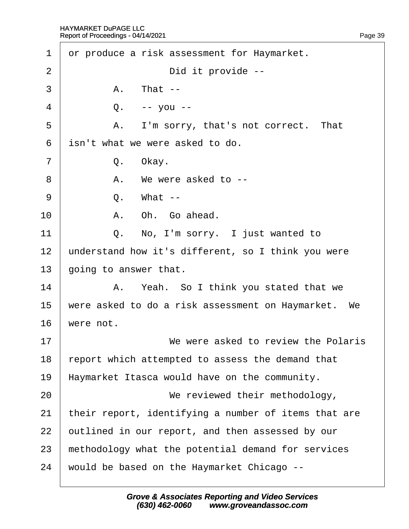| 1              | dr produce a risk assessment for Haymarket.          |
|----------------|------------------------------------------------------|
| 2              | Did it provide --                                    |
| 3              | A. That --                                           |
| 4              | Q. -- you --                                         |
| 5              | A. I'm sorry, that's not correct. That               |
| 6              | isn't what we were asked to do.                      |
| $\overline{7}$ | Q. Okay.                                             |
| 8              | A. We were asked to --                               |
| 9              | Q.<br>What --                                        |
| 10             | A. Oh. Go ahead.                                     |
| 11             | Q. No, I'm sorry. I just wanted to                   |
| 12             | understand how it's different, so I think you were   |
| 13             | going to answer that.                                |
| 14             | A. Yeah. So I think you stated that we               |
| 15             | were asked to do a risk assessment on Haymarket. We  |
| 16             | were not.                                            |
| 17             | We were asked to review the Polaris                  |
| 18             | report which attempted to assess the demand that     |
| 19             | Haymarket Itasca would have on the community.        |
| 20             | We reviewed their methodology,                       |
| 21             | their report, identifying a number of items that are |
| 22             | putlined in our report, and then assessed by our     |
| 23             | methodology what the potential demand for services   |
| 24             | would be based on the Haymarket Chicago --           |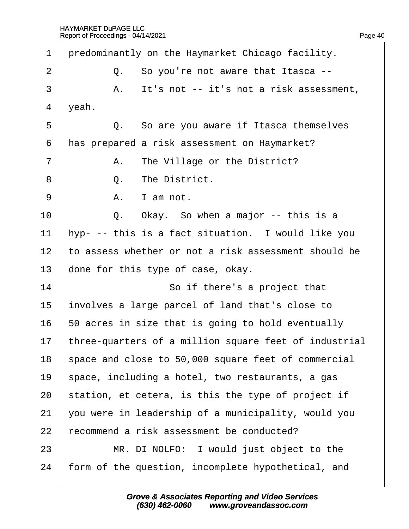| 1              | predominantly on the Haymarket Chicago facility.      |  |
|----------------|-------------------------------------------------------|--|
| 2              | Q. So you're not aware that Itasca --                 |  |
| 3              | It's not -- it's not a risk assessment,<br>Α.         |  |
| 4              | yeah.                                                 |  |
| 5              | Q. So are you aware if Itasca themselves              |  |
| 6              | has prepared a risk assessment on Haymarket?          |  |
| $\overline{7}$ | A. The Village or the District?                       |  |
| 8              | The District.<br>Q.                                   |  |
| 9              | I am not.<br>А.                                       |  |
| 10             | Q. Okay. So when a major -- this is a                 |  |
| 11             | hyp- -- this is a fact situation. I would like you    |  |
| 12             | to assess whether or not a risk assessment should be  |  |
| 13             | done for this type of case, okay.                     |  |
| 14             | So if there's a project that                          |  |
| 15             | involves a large parcel of land that's close to       |  |
| 16             | 50 acres in size that is going to hold eventually     |  |
| 17             | three-quarters of a million square feet of industrial |  |
| 18             | space and close to 50,000 square feet of commercial   |  |
| 19             | space, including a hotel, two restaurants, a gas      |  |
| 20             | station, et cetera, is this the type of project if    |  |
| 21             | you were in leadership of a municipality, would you   |  |
| 22             | ecommend a risk assessment be conducted?              |  |
| 23             | MR. DI NOLFO: I would just object to the              |  |
| 24             | form of the question, incomplete hypothetical, and    |  |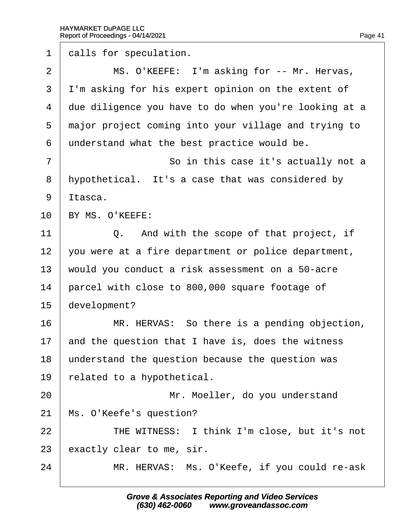1 dalls for speculation. 2 | MS. O'KEEFE: I'm asking for -- Mr. Hervas, 3 I'm asking for his expert opinion on the extent of 4 due diligence you have to do when you're looking at a 5 major project coming into your village and trying to 6 understand what the best practice would be. 7 **So in this case it's actually not a** 8 hypothetical. It's a case that was considered by 9 Itasca. 10 BY MS. O'KEEFE: 11  $\vert$  Q. And with the scope of that project, if 12 you were at a fire department or police department, 13 would you conduct a risk assessment on a 50-acre 14 parcel with close to 800,000 square footage of 15 development? 16 **MR. HERVAS: So there is a pending objection,** 17 and the question that I have is, does the witness 18 understand the question because the question was 19 related to a hypothetical. 20 | Mr. Moeller, do you understand 21 Ms. O'Keefe's question? 22 **Fig. 7 · · · THE WITNESS:** I think I'm close, but it's not 23 exactly clear to me, sir. 24 | MR. HERVAS: Ms. O'Keefe, if you could re-ask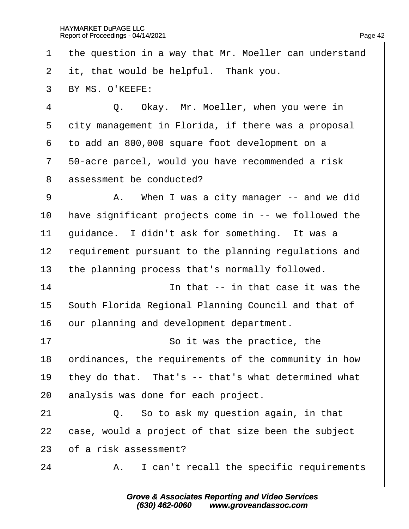1 the question in a way that Mr. Moeller can understand 2 it, that would be helpful. Thank you. 3 BY MS. O'KEEFE: 4 | Q. Okay. Mr. Moeller, when you were in 5 dity management in Florida, if there was a proposal ·6· ·to add an 800,000 square foot development on a 7 50-acre parcel, would you have recommended a risk 8 assessment be conducted? 9 | A. When I was a city manager -- and we did 10 have significant projects come in -- we followed the 11 guidance. I didn't ask for something. It was a 12 requirement pursuant to the planning regulations and 13 the planning process that's normally followed.  $14$   $\parallel$  **in that -- in that case it was the** 15 South Florida Regional Planning Council and that of 16 bur planning and development department. 17 **So it was the practice, the** 18 brainances, the requirements of the community in how 19 they do that. That's -- that's what determined what 20 analysis was done for each project. 21· · · · · ·Q.· ·So to ask my question again, in that 22 case, would a project of that size been the subject 23 bt a risk assessment?  $24$  | A. I can't recall the specific requirements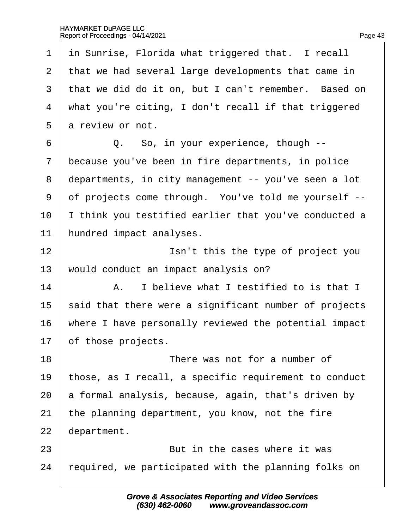| 1              | in Sunrise, Florida what triggered that. I recall     |
|----------------|-------------------------------------------------------|
| $\overline{2}$ | that we had several large developments that came in   |
| 3              | that we did do it on, but I can't remember. Based on  |
| 4              | what you're citing, I don't recall if that triggered  |
| 5              | a review or not.                                      |
| 6              | Q. So, in your experience, though --                  |
| $\overline{7}$ | because you've been in fire departments, in police    |
| 8              | departments, in city management -- you've seen a lot  |
| 9              | of projects come through. You've told me yourself --  |
| 10             | think you testified earlier that you've conducted a   |
| 11             | hundred impact analyses.                              |
| 12             | Isn't this the type of project you                    |
| 13             | would conduct an impact analysis on?                  |
| 14             | A. I believe what I testified to is that I            |
| 15             | said that there were a significant number of projects |
| 16             | where I have personally reviewed the potential impact |
| 17             | of those projects.                                    |
| 18             | There was not for a number of                         |
| 19             | those, as I recall, a specific requirement to conduct |
| 20             | a formal analysis, because, again, that's driven by   |
| 21             | the planning department, you know, not the fire       |
| 22             | department.                                           |
| 23             | But in the cases where it was                         |
| 24             | required, we participated with the planning folks on  |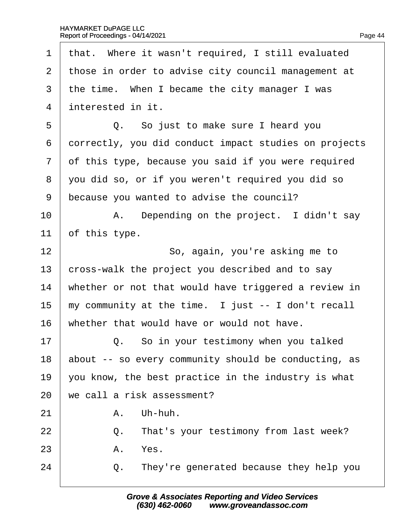1 that. Where it wasn't required, I still evaluated 2 those in order to advise city council management at 3 the time. When I became the city manager I was 4 *interested in it.*  $5 \mid Q_i$ . So just to make sure I heard you 6 dorrectly, you did conduct impact studies on projects 7 of this type, because you said if you were required 8 you did so, or if you weren't required you did so 9 because you wanted to advise the council?  $10$  | A. Depending on the project. I didn't say 11 of this type. 12 **So, again, you're asking me to** 13 cross-walk the project you described and to say 14 whether or not that would have triggered a review in 15 my community at the time. I just -- I don't recall 16 whether that would have or would not have.  $17$   $\Box$  Q. So in your testimony when you talked 18 about -- so every community should be conducting, as 19  $\sqrt{ }$  you know, the best practice in the industry is what 20 we call a risk assessment?  $21$   $A.$  Uh-huh. 22 **Q.** That's your testimony from last week?  $23$  A. Yes.  $24$   $\Box$  Q. They're generated because they help you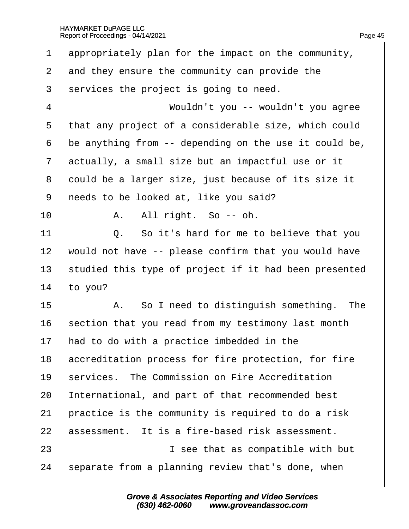| 1              | appropriately plan for the impact on the community,   |  |
|----------------|-------------------------------------------------------|--|
| 2              | and they ensure the community can provide the         |  |
| 3              | services the project is going to need.                |  |
| $\overline{4}$ | Wouldn't you -- wouldn't you agree                    |  |
| 5              | that any project of a considerable size, which could  |  |
| 6              | be anything from -- depending on the use it could be, |  |
| $\overline{7}$ | actually, a small size but an impactful use or it     |  |
| 8              | dould be a larger size, just because of its size it   |  |
| 9              | needs to be looked at, like you said?                 |  |
| 10             | A. All right. So -- oh.                               |  |
| 11             | Q. So it's hard for me to believe that you            |  |
| 12             | would not have -- please confirm that you would have  |  |
| 13             | studied this type of project if it had been presented |  |
| 14             | to you?                                               |  |
| 15             | A. So I need to distinguish something. The            |  |
| 16             | section that you read from my testimony last month    |  |
| 17             | had to do with a practice imbedded in the             |  |
| 18             | accreditation process for fire protection, for fire   |  |
| 19             | services. The Commission on Fire Accreditation        |  |
| 20             | International, and part of that recommended best      |  |
| 21             | practice is the community is required to do a risk    |  |
| 22             | assessment. It is a fire-based risk assessment.       |  |
| 23             | I see that as compatible with but                     |  |
| 24             | separate from a planning review that's done, when     |  |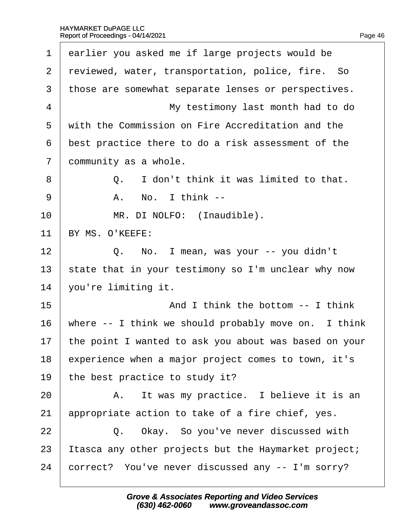| 1              | earlier you asked me if large projects would be       |
|----------------|-------------------------------------------------------|
| 2              | reviewed, water, transportation, police, fire. So     |
| 3              | those are somewhat separate lenses or perspectives.   |
| 4              | My testimony last month had to do                     |
| 5              | with the Commission on Fire Accreditation and the     |
| 6              | best practice there to do a risk assessment of the    |
| $\overline{7}$ | dommunity as a whole.                                 |
| 8              | Q. I don't think it was limited to that.              |
| 9              | A. No. I think --                                     |
| 10             | MR. DI NOLFO: (Inaudible).                            |
| 11             | BY MS. O'KEEFE:                                       |
| 12             | Q. No. I mean, was your -- you didn't                 |
| 13             | state that in your testimony so I'm unclear why now   |
| 14             | you're limiting it.                                   |
| 15             | And I think the bottom -- I think                     |
| 16             | where -- I think we should probably move on. I think  |
| 17             | the point I wanted to ask you about was based on your |
| 18             | experience when a major project comes to town, it's   |
| 19             | the best practice to study it?                        |
| 20             | A. It was my practice. I believe it is an             |
| 21             | appropriate action to take of a fire chief, yes.      |
| 22             | Q. Okay. So you've never discussed with               |
| 23             | tasca any other projects but the Haymarket project;   |
| 24             | correct? You've never discussed any -- I'm sorry?     |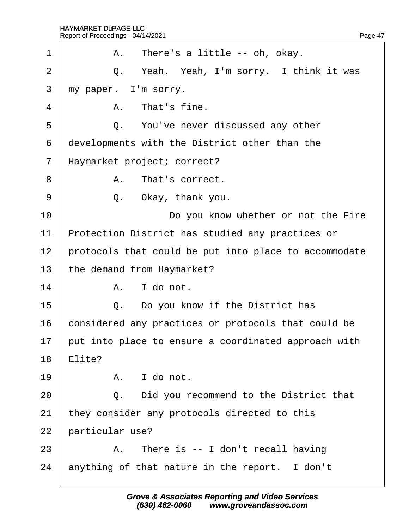| 1              |                                                       | A. There's a little -- oh, okay.                     |
|----------------|-------------------------------------------------------|------------------------------------------------------|
| $\overline{2}$ |                                                       | Q. Yeah. Yeah, I'm sorry. I think it was             |
| 3              |                                                       | my paper. I'm sorry.                                 |
| 4              |                                                       | A. That's fine.                                      |
| 5              |                                                       | Q. You've never discussed any other                  |
| 6              |                                                       | developments with the District other than the        |
| $\overline{7}$ |                                                       | Haymarket project; correct?                          |
| 8              |                                                       | A. That's correct.                                   |
| 9              | Q.                                                    | Okay, thank you.                                     |
| 10             |                                                       | Do you know whether or not the Fire                  |
| 11             | Protection District has studied any practices or      |                                                      |
| 12             | protocols that could be put into place to accommodate |                                                      |
| 13             | the demand from Haymarket?                            |                                                      |
| 14             |                                                       | A. I do not.                                         |
| 15             |                                                       | Q. Do you know if the District has                   |
| 16             |                                                       | considered any practices or protocols that could be  |
| 17             |                                                       | put into place to ensure a coordinated approach with |
| 18             | Elite?                                                |                                                      |
| 19             |                                                       | A. I do not.                                         |
| 20             |                                                       | Q. Did you recommend to the District that            |
| 21             |                                                       | they consider any protocols directed to this         |
| 22             | particular use?                                       |                                                      |
| 23             |                                                       | A. There is -- I don't recall having                 |
| 24             |                                                       | anything of that nature in the report. I don't       |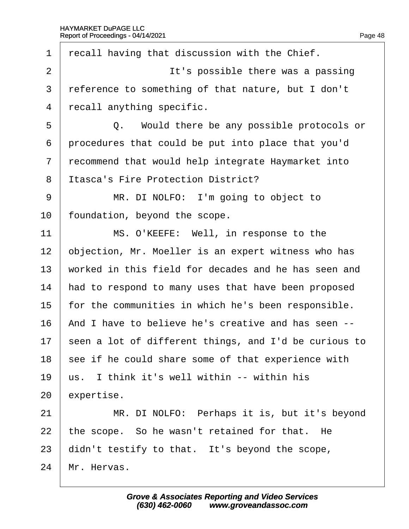| 1              | recall having that discussion with the Chief.         |
|----------------|-------------------------------------------------------|
| $\overline{2}$ | It's possible there was a passing                     |
| 3              | reference to something of that nature, but I don't    |
| 4              | recall anything specific.                             |
| 5              | Q. Would there be any possible protocols or           |
| 6              | procedures that could be put into place that you'd    |
| $\overline{7}$ | recommend that would help integrate Haymarket into    |
| 8              | <b>Itasca's Fire Protection District?</b>             |
| 9              | MR. DI NOLFO: I'm going to object to                  |
| 10             | foundation, beyond the scope.                         |
| 11             | MS. O'KEEFE: Well, in response to the                 |
| 12             | objection, Mr. Moeller is an expert witness who has   |
| 13             | worked in this field for decades and he has seen and  |
| 14             | had to respond to many uses that have been proposed   |
| 15             | for the communities in which he's been responsible.   |
| 16             | And I have to believe he's creative and has seen --   |
| 17             | seen a lot of different things, and I'd be curious to |
| 18             | see if he could share some of that experience with    |
| 19             | us. I think it's well within -- within his            |
| 20             | expertise.                                            |
| 21             | MR. DI NOLFO: Perhaps it is, but it's beyond          |
| 22             | the scope. So he wasn't retained for that. He         |
| 23             | didn't testify to that. It's beyond the scope,        |
| 24             | Mr. Hervas.                                           |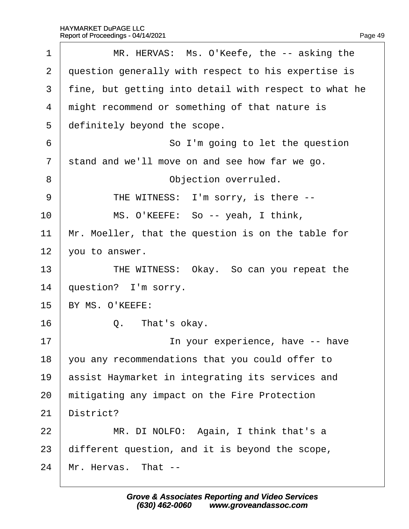| 1              | MR. HERVAS: Ms. O'Keefe, the -- asking the            |
|----------------|-------------------------------------------------------|
| $\overline{2}$ | question generally with respect to his expertise is   |
| 3              | fine, but getting into detail with respect to what he |
| 4              | might recommend or something of that nature is        |
| 5              | definitely beyond the scope.                          |
| 6              | So I'm going to let the question                      |
| $\overline{7}$ | stand and we'll move on and see how far we go.        |
| 8              | Objection overruled.                                  |
| 9              | THE WITNESS: I'm sorry, is there --                   |
| 10             | MS. O'KEEFE: So -- yeah, I think,                     |
| 11             | Mr. Moeller, that the question is on the table for    |
| 12             | you to answer.                                        |
| 13             | THE WITNESS: Okay. So can you repeat the              |
| 14             | question? I'm sorry.                                  |
| 15             | BY MS. O'KEEFE:                                       |
| 16             | Q. That's okay.                                       |
| 17             | In your experience, have -- have                      |
| 18             | you any recommendations that you could offer to       |
| 19             | assist Haymarket in integrating its services and      |
| 20             | mitigating any impact on the Fire Protection          |
| 21             | District?                                             |
| 22             | MR. DI NOLFO: Again, I think that's a                 |
| 23             | different question, and it is beyond the scope,       |
| 24             | Mr. Hervas. That --                                   |
|                |                                                       |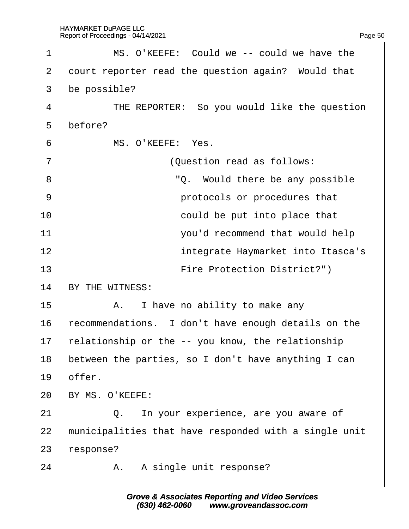| 1              | MS. O'KEEFE: Could we -- could we have the            |
|----------------|-------------------------------------------------------|
| $\overline{2}$ | dourt reporter read the question again? Would that    |
| 3              | be possible?                                          |
| 4              | THE REPORTER: So you would like the question          |
| 5              | before?                                               |
| 6              | MS. O'KEEFE: Yes.                                     |
| $\overline{7}$ | (Question read as follows:                            |
| 8              | "Q. Would there be any possible                       |
| 9              | protocols or procedures that                          |
| 10             | could be put into place that                          |
| 11             | you'd recommend that would help                       |
| 12             | integrate Haymarket into Itasca's                     |
| 13             | Fire Protection District?")                           |
| 14             | BY THE WITNESS:                                       |
| 15             | A. I have no ability to make any                      |
| 16             | recommendations. I don't have enough details on the   |
| 17             | relationship or the -- you know, the relationship     |
| 18             | between the parties, so I don't have anything I can   |
| 19             | offer.                                                |
| 20             | BY MS. O'KEEFE:                                       |
| 21             | In your experience, are you aware of<br>Q.            |
| 22             | municipalities that have responded with a single unit |
| 23             | ∤esponse?                                             |
| 24             | A. A single unit response?                            |
|                |                                                       |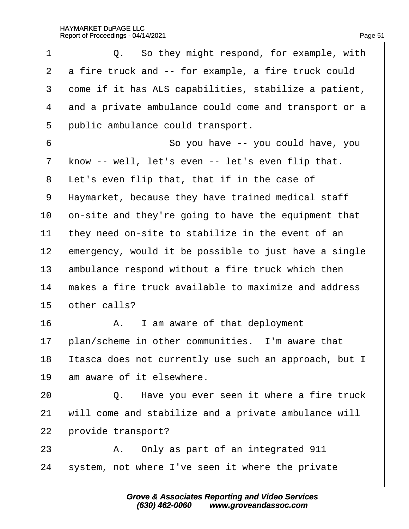| 1              | Q. So they might respond, for example, with           |
|----------------|-------------------------------------------------------|
| $\overline{2}$ | a fire truck and -- for example, a fire truck could   |
| 3              | dome if it has ALS capabilities, stabilize a patient, |
| 4              | and a private ambulance could come and transport or a |
| 5              | public ambulance could transport.                     |
| 6              | So you have -- you could have, you                    |
| 7              | know -- well, let's even -- let's even flip that.     |
| 8              | Let's even flip that, that if in the case of          |
| 9              | Haymarket, because they have trained medical staff    |
| 10             | on-site and they're going to have the equipment that  |
| 11             | they need on-site to stabilize in the event of an     |
| 12             | emergency, would it be possible to just have a single |
| 13             | ambulance respond without a fire truck which then     |
| 14             | makes a fire truck available to maximize and address  |
| 15             | other calls?                                          |
| 16             | A. I am aware of that deployment                      |
| 17             | plan/scheme in other communities. I'm aware that      |
| 18             | tasca does not currently use such an approach, but I  |
| 19             | am aware of it elsewhere.                             |
| 20             | Q. Have you ever seen it where a fire truck           |
| 21             | will come and stabilize and a private ambulance will  |
| 22             | provide transport?                                    |
| 23             | A. Only as part of an integrated 911                  |
| 24             | system, not where I've seen it where the private      |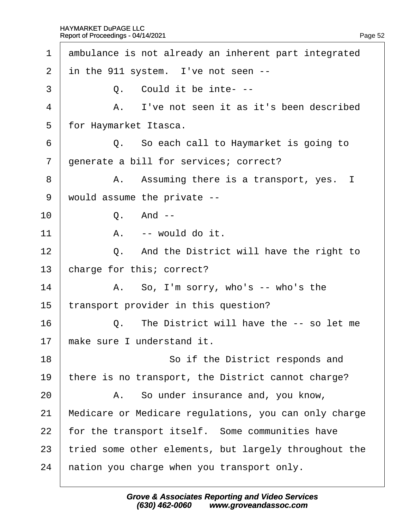| ambulance is not already an inherent part integrated  |
|-------------------------------------------------------|
| in the 911 system. I've not seen --                   |
| Q. Could it be inte---                                |
| A. I've not seen it as it's been described            |
| for Haymarket Itasca.                                 |
| Q. So each call to Haymarket is going to              |
| generate a bill for services; correct?                |
| A. Assuming there is a transport, yes. I              |
| would assume the private --                           |
| Q. And --                                             |
| A. -- would do it.                                    |
| Q. And the District will have the right to            |
| charge for this; correct?                             |
| A. So, I'm sorry, who's -- who's the                  |
| transport provider in this question?                  |
| Q. The District will have the -- so let me            |
| make sure I understand it.                            |
| So if the District responds and                       |
| there is no transport, the District cannot charge?    |
| A. So under insurance and, you know,                  |
| Medicare or Medicare regulations, you can only charge |
| for the transport itself. Some communities have       |
| tried some other elements, but largely throughout the |
| hation you charge when you transport only.            |
|                                                       |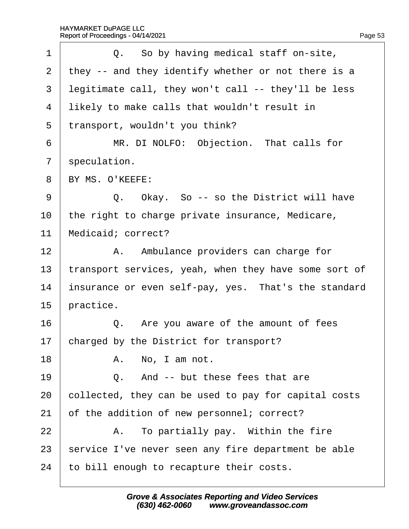| 1              | Q. So by having medical staff on-site,                |
|----------------|-------------------------------------------------------|
| $\overline{2}$ | they -- and they identify whether or not there is a   |
| 3              | legitimate call, they won't call -- they'll be less   |
| 4              | likely to make calls that wouldn't result in          |
| 5              | transport, wouldn't you think?                        |
| 6              | MR. DI NOLFO: Objection. That calls for               |
| $\overline{7}$ | speculation.                                          |
| 8              | BY MS. O'KEEFE:                                       |
| 9              | Q. Okay. So -- so the District will have              |
| 10             | the right to charge private insurance, Medicare,      |
| 11             | Medicaid; correct?                                    |
| 12             | A. Ambulance providers can charge for                 |
| 13             | transport services, yeah, when they have some sort of |
| 14             | insurance or even self-pay, yes. That's the standard  |
| 15             | practice.                                             |
| 16             | Q. Are you aware of the amount of fees                |
| 17             | charged by the District for transport?                |
| 18             | A. No, I am not.                                      |
| 19             | And -- but these fees that are<br>Q.                  |
| 20             | collected, they can be used to pay for capital costs  |
| 21             | of the addition of new personnel; correct?            |
| 22             | A. To partially pay. Within the fire                  |
| 23             | service I've never seen any fire department be able   |
| 24             | to bill enough to recapture their costs.              |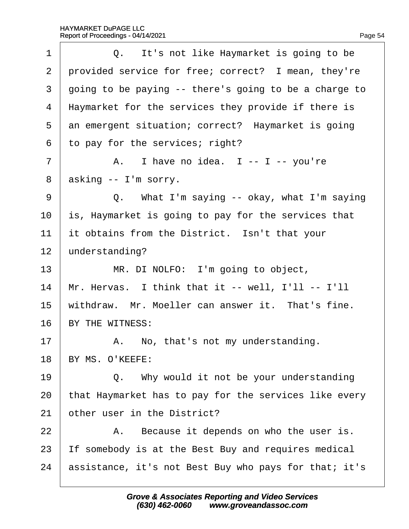| 1              | Q. It's not like Haymarket is going to be             |
|----------------|-------------------------------------------------------|
| $\overline{2}$ | provided service for free; correct? I mean, they're   |
| 3              | going to be paying -- there's going to be a charge to |
| 4              | Haymarket for the services they provide if there is   |
| 5              | an emergent situation; correct? Haymarket is going    |
| 6              | to pay for the services; right?                       |
| 7              | A. I have no idea. I -- I -- you're                   |
| 8              | asking -- I'm sorry.                                  |
| 9              | Q. What I'm saying -- okay, what I'm saying           |
| 10             | is, Haymarket is going to pay for the services that   |
| 11             | it obtains from the District. Isn't that your         |
| 12             | understanding?                                        |
| 13             | MR. DI NOLFO: I'm going to object,                    |
| 14             | Mr. Hervas. I think that it -- well, I'll -- I'll     |
| 15             | withdraw. Mr. Moeller can answer it. That's fine.     |
| 16             | BY THE WITNESS:                                       |
| 17             | A. No, that's not my understanding.                   |
| 18             | BY MS. O'KEEFE:                                       |
| 19             | Q. Why would it not be your understanding             |
| 20             | that Haymarket has to pay for the services like every |
| 21             | other user in the District?                           |
| 22             | A. Because it depends on who the user is.             |
| 23             | If somebody is at the Best Buy and requires medical   |
| 24             | assistance, it's not Best Buy who pays for that; it's |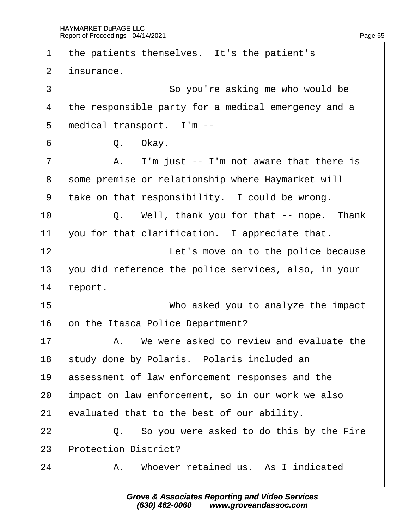| 1  | the patients themselves. It's the patient's          |
|----|------------------------------------------------------|
| 2  | insurance.                                           |
| 3  | So you're asking me who would be                     |
| 4  | the responsible party for a medical emergency and a  |
| 5  | medical transport. I'm --                            |
| 6  | Q. Okay.                                             |
| 7  | A. I'm just -- I'm not aware that there is           |
| 8  | some premise or relationship where Haymarket will    |
| 9  | take on that responsibility. I could be wrong.       |
| 10 | Q. Well, thank you for that -- nope. Thank           |
| 11 | you for that clarification. I appreciate that.       |
| 12 | Let's move on to the police because                  |
| 13 | you did reference the police services, also, in your |
| 14 | report.                                              |
| 15 | Who asked you to analyze the impact                  |
| 16 | on the Itasca Police Department?                     |
| 17 | A. We were asked to review and evaluate the          |
| 18 | study done by Polaris. Polaris included an           |
| 19 | assessment of law enforcement responses and the      |
| 20 | impact on law enforcement, so in our work we also    |
| 21 | evaluated that to the best of our ability.           |
| 22 | Q. So you were asked to do this by the Fire          |
| 23 | <b>Protection District?</b>                          |
| 24 | A. Whoever retained us. As I indicated               |
|    |                                                      |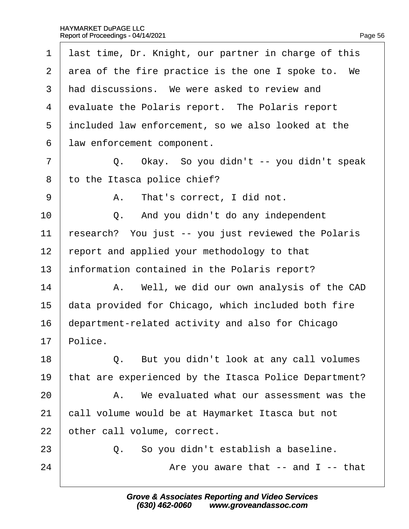| 1              | last time, Dr. Knight, our partner in charge of this  |
|----------------|-------------------------------------------------------|
| $\overline{2}$ | area of the fire practice is the one I spoke to. We   |
| 3              | had discussions. We were asked to review and          |
| 4              | evaluate the Polaris report. The Polaris report       |
| 5              | included law enforcement, so we also looked at the    |
| 6              | law enforcement component.                            |
| $\overline{7}$ | Q. Okay. So you didn't -- you didn't speak            |
| 8              | to the Itasca police chief?                           |
| 9              | A. That's correct, I did not.                         |
| 10             | Q. And you didn't do any independent                  |
| 11             | research? You just -- you just reviewed the Polaris   |
| 12             | report and applied your methodology to that           |
| 13             | information contained in the Polaris report?          |
| 14             | A. Well, we did our own analysis of the CAD           |
| 15             | data provided for Chicago, which included both fire   |
| 16             | department-related activity and also for Chicago      |
| 17             | Police.                                               |
| 18             | Q. But you didn't look at any call volumes            |
| 19             | that are experienced by the Itasca Police Department? |
| 20             | A. We evaluated what our assessment was the           |
| 21             | call volume would be at Haymarket Itasca but not      |
| 22             | other call volume, correct.                           |
| 23             | Q. So you didn't establish a baseline.                |
| 24             | Are you aware that -- and I -- that                   |
|                |                                                       |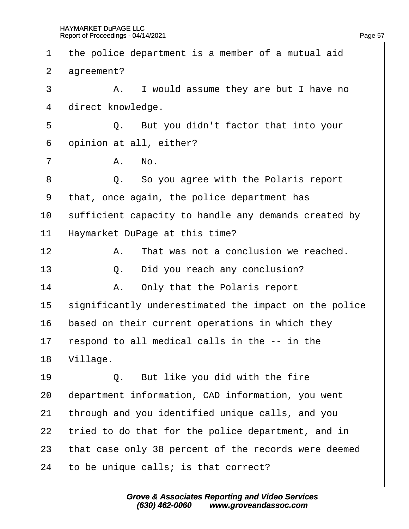1 the police department is a member of a mutual aid 2 dgreement? 3 | A. I would assume they are but I have no 4 direct knowledge.  $5 \mid Q$ . But you didn't factor that into your 6 opinion at all, either?  $7 \parallel$  A, No. 8 | Q. So you agree with the Polaris report ·9· ·that, once again, the police department has 10 sufficient capacity to handle any demands created by 11 Haymarket DuPage at this time?  $12$   $\parallel$  A. That was not a conclusion we reached.  $13 \mid Q$ . Did you reach any conclusion? 14 | A. Only that the Polaris report 15 significantly underestimated the impact on the police 16 based on their current operations in which they 17 respond to all medical calls in the  $-$  in the 18 Village.  $19$   $\Box$  Q. But like you did with the fire 20 department information, CAD information, you went 21 through and you identified unique calls, and you 22 tried to do that for the police department, and in 23 that case only 38 percent of the records were deemed 24 to be unique calls; is that correct?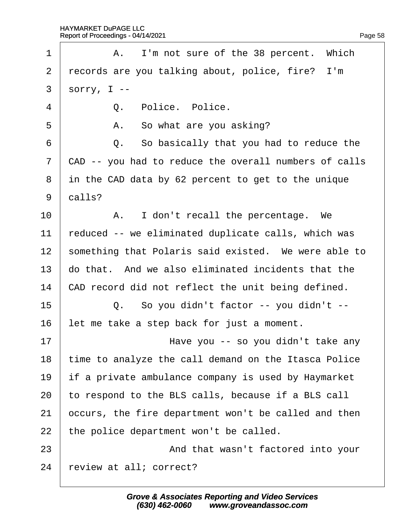| 1              | A. I'm not sure of the 38 percent. Which              |
|----------------|-------------------------------------------------------|
| 2              | records are you talking about, police, fire? I'm      |
| $\mathfrak{S}$ | sorry, $I -$                                          |
| 4              | Q. Police. Police.                                    |
| 5              | A. So what are you asking?                            |
| 6              | Q. So basically that you had to reduce the            |
| $\overline{7}$ | CAD -- you had to reduce the overall numbers of calls |
| 8              | in the CAD data by 62 percent to get to the unique    |
| 9              | dalls?                                                |
| 10             | A. I don't recall the percentage. We                  |
| 11             | reduced -- we eliminated duplicate calls, which was   |
| 12             | something that Polaris said existed. We were able to  |
| 13             | do that. And we also eliminated incidents that the    |
| 14             | CAD record did not reflect the unit being defined.    |
| 15             | Q. So you didn't factor -- you didn't --              |
| 16             | let me take a step back for just a moment.            |
| 17             | Have you -- so you didn't take any                    |
| 18             | time to analyze the call demand on the Itasca Police  |
| 19             | if a private ambulance company is used by Haymarket   |
| 20             | to respond to the BLS calls, because if a BLS call    |
| 21             | occurs, the fire department won't be called and then  |
| 22             | the police department won't be called.                |
| 23             | And that wasn't factored into your                    |
| 24             | review at all; correct?                               |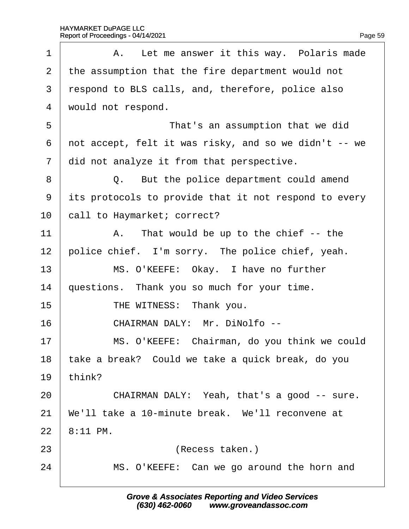| 1              | A. Let me answer it this way. Polaris made            |
|----------------|-------------------------------------------------------|
| 2              | the assumption that the fire department would not     |
| 3              | respond to BLS calls, and, therefore, police also     |
| $\overline{4}$ | would not respond.                                    |
| 5              | That's an assumption that we did                      |
| 6              | not accept, felt it was risky, and so we didn't -- we |
| $\overline{7}$ | did not analyze it from that perspective.             |
| 8              | Q. But the police department could amend              |
| 9              | its protocols to provide that it not respond to every |
| 10             | call to Haymarket; correct?                           |
| 11             | A. That would be up to the chief -- the               |
| 12             | police chief. I'm sorry. The police chief, yeah.      |
| 13             | MS. O'KEEFE: Okay. I have no further                  |
| 14             | questions. Thank you so much for your time.           |
| 15             | THE WITNESS: Thank you.                               |
| 16             | CHAIRMAN DALY: Mr. DiNolfo --                         |
| 17             | MS. O'KEEFE: Chairman, do you think we could          |
| 18             | take a break? Could we take a quick break, do you     |
| 19             | think?                                                |
| 20             | CHAIRMAN DALY: Yeah, that's a good -- sure.           |
| 21             | We'll take a 10-minute break. We'll reconvene at      |
| 22             | 8:11 PM.                                              |
| 23             | (Recess taken.)                                       |
| 24             | MS. O'KEEFE: Can we go around the horn and            |
|                |                                                       |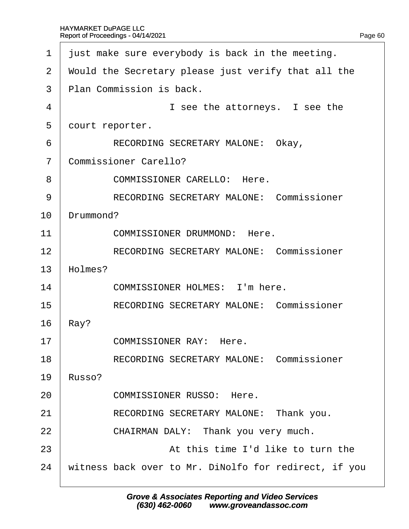| 1              | just make sure everybody is back in the meeting.      |  |
|----------------|-------------------------------------------------------|--|
| $\overline{2}$ | Would the Secretary please just verify that all the   |  |
| 3              | Plan Commission is back.                              |  |
| 4              | I see the attorneys. I see the                        |  |
| 5              | dourt reporter.                                       |  |
| 6              | RECORDING SECRETARY MALONE: Okay,                     |  |
| $\overline{7}$ | <b>Commissioner Carello?</b>                          |  |
| 8              | <b>COMMISSIONER CARELLO: Here.</b>                    |  |
| 9              | <b>RECORDING SECRETARY MALONE: Commissioner</b>       |  |
| 10             | Drummond?                                             |  |
| 11             | <b>COMMISSIONER DRUMMOND: Here.</b>                   |  |
| 12             | <b>RECORDING SECRETARY MALONE: Commissioner</b>       |  |
| 13             | Holmes?                                               |  |
| 14             | <b>COMMISSIONER HOLMES: I'm here.</b>                 |  |
| 15             | <b>RECORDING SECRETARY MALONE: Commissioner</b>       |  |
| 16             | Ray?                                                  |  |
| 17             | <b>COMMISSIONER RAY: Here.</b>                        |  |
| 18             | <b>RECORDING SECRETARY MALONE: Commissioner</b>       |  |
| 19             | Russo?                                                |  |
| 20             | <b>COMMISSIONER RUSSO: Here.</b>                      |  |
| 21             | RECORDING SECRETARY MALONE: Thank you.                |  |
| 22             | CHAIRMAN DALY: Thank you very much.                   |  |
| 23             | At this time I'd like to turn the                     |  |
| 24             | witness back over to Mr. DiNolfo for redirect, if you |  |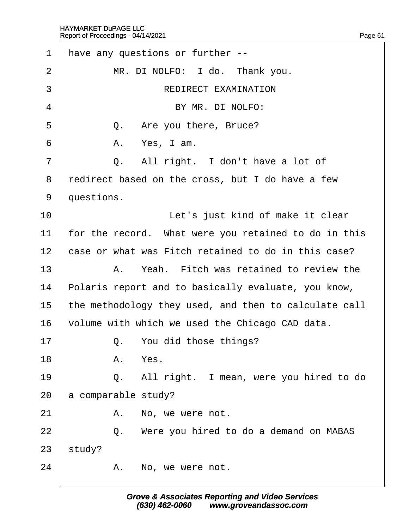| 1               |                                                     | have any questions or further --                      |
|-----------------|-----------------------------------------------------|-------------------------------------------------------|
| $\overline{2}$  |                                                     | MR. DI NOLFO: I do. Thank you.                        |
| 3               |                                                     | <b>REDIRECT EXAMINATION</b>                           |
| 4               |                                                     | BY MR. DI NOLFO:                                      |
| 5               |                                                     | Q. Are you there, Bruce?                              |
| 6               |                                                     | A. Yes, I am.                                         |
| 7               |                                                     | Q. All right. I don't have a lot of                   |
| 8               |                                                     | redirect based on the cross, but I do have a few      |
| 9               | duestions.                                          |                                                       |
| 10              |                                                     | Let's just kind of make it clear                      |
| 11              |                                                     | for the record. What were you retained to do in this  |
| 12 <sup>2</sup> | case or what was Fitch retained to do in this case? |                                                       |
| 13              |                                                     | A. Yeah. Fitch was retained to review the             |
| 14              |                                                     | Polaris report and to basically evaluate, you know,   |
| 15              |                                                     | the methodology they used, and then to calculate call |
| 16              |                                                     | volume with which we used the Chicago CAD data.       |
| 17              |                                                     | Q. You did those things?                              |
| 18              |                                                     | A. Yes.                                               |
| 19              |                                                     | Q. All right. I mean, were you hired to do            |
| 20              |                                                     | a comparable study?                                   |
| 21              |                                                     | A. No, we were not.                                   |
| 22              |                                                     | Q. Were you hired to do a demand on MABAS             |
| 23              | study?                                              |                                                       |
| 24              |                                                     | A. No, we were not.                                   |
|                 |                                                     |                                                       |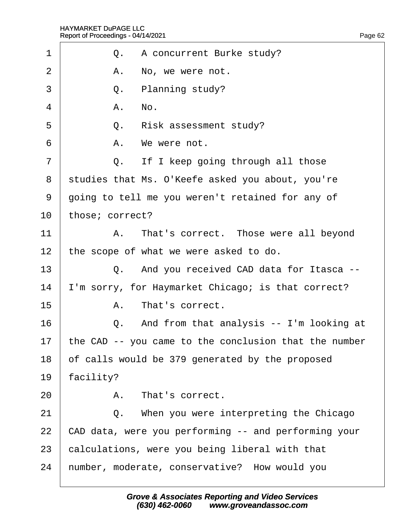| 1              |                 | Q. A concurrent Burke study?                          |
|----------------|-----------------|-------------------------------------------------------|
| $\overline{2}$ |                 | A. No, we were not.                                   |
| 3              |                 | Q. Planning study?                                    |
| $\overline{4}$ |                 | A. No.                                                |
| 5              |                 | Q. Risk assessment study?                             |
| 6              |                 | A. We were not.                                       |
| $\overline{7}$ |                 | Q. If I keep going through all those                  |
| 8              |                 | studies that Ms. O'Keefe asked you about, you're      |
| 9              |                 | going to tell me you weren't retained for any of      |
| 10             | those; correct? |                                                       |
| 11             |                 | A. That's correct. Those were all beyond              |
| 12             |                 | the scope of what we were asked to do.                |
| 13             |                 | Q. And you received CAD data for Itasca --            |
| 14             |                 | 'm sorry, for Haymarket Chicago; is that correct?     |
| 15             |                 | A. That's correct.                                    |
| 16             |                 | Q. And from that analysis -- I'm looking at           |
| 17             |                 | the CAD -- you came to the conclusion that the number |
| 18             |                 | of calls would be 379 generated by the proposed       |
| 19             | facility?       |                                                       |
| 20             |                 | A. That's correct.                                    |
| 21             |                 | Q. When you were interpreting the Chicago             |
| 22             |                 | CAD data, were you performing -- and performing your  |
| 23             |                 | calculations, were you being liberal with that        |
| 24             |                 | humber, moderate, conservative? How would you         |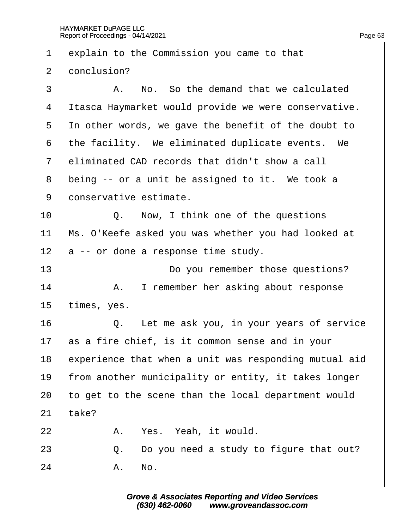1 explain to the Commission you came to that 2 donclusion?  $\overline{3}$   $\overline{9}$  A. No. So the demand that we calculated 4 Itasca Haymarket would provide we were conservative. 5 In other words, we gave the benefit of the doubt to 6 the facility. We eliminated duplicate events. We 7 eliminated CAD records that didn't show a call 8 being -- or a unit be assigned to it. We took a 9 donservative estimate. 10 | Q. Now, I think one of the questions 11 Ms. O'Keefe asked you was whether you had looked at 12  $\alpha$  -- or done a response time study. 13 **Do you remember those questions?** 14 | A. I remember her asking about response 15 *, yes.*  $16$   $\Box$  Q. Let me ask you, in your years of service 17 as a fire chief, is it common sense and in your 18 experience that when a unit was responding mutual aid 19 from another municipality or entity, it takes longer 20 to get to the scene than the local department would  $21$  take? 22 | A. Yes. Yeah, it would. 23  $\vert$  Q. Do you need a study to figure that out?  $24$   $A$ . No.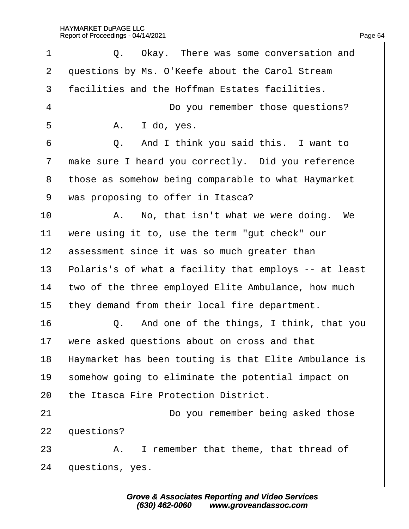| 1              | Q. Okay. There was some conversation and              |
|----------------|-------------------------------------------------------|
| $\overline{2}$ | questions by Ms. O'Keefe about the Carol Stream       |
| 3              | facilities and the Hoffman Estates facilities.        |
| $\overline{4}$ | Do you remember those questions?                      |
| 5              | A. I do, yes.                                         |
| 6              | Q. And I think you said this. I want to               |
| $\overline{7}$ | make sure I heard you correctly. Did you reference    |
| 8              | those as somehow being comparable to what Haymarket   |
| 9              | was proposing to offer in Itasca?                     |
| 10             | A. No, that isn't what we were doing. We              |
| 11             | were using it to, use the term "gut check" our        |
| 12             | assessment since it was so much greater than          |
| 13             | Polaris's of what a facility that employs -- at least |
| 14             | two of the three employed Elite Ambulance, how much   |
| 15             | they demand from their local fire department.         |
| 16             | Q. And one of the things, I think, that you           |
| 17             | were asked questions about on cross and that          |
| 18             | Haymarket has been touting is that Elite Ambulance is |
| 19             | somehow going to eliminate the potential impact on    |
| 20             | the Itasca Fire Protection District.                  |
| 21             | Do you remember being asked those                     |
| 22             | questions?                                            |
| 23             | A. I remember that theme, that thread of              |
| 24             | questions, yes.                                       |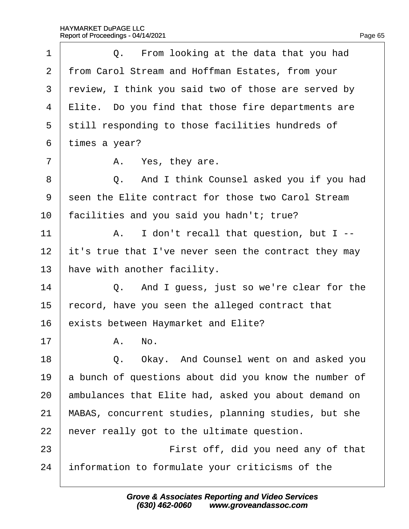| 1  | Q. From looking at the data that you had              |
|----|-------------------------------------------------------|
| 2  | from Carol Stream and Hoffman Estates, from your      |
| 3  | review, I think you said two of those are served by   |
| 4  | Elite. Do you find that those fire departments are    |
| 5  | still responding to those facilities hundreds of      |
| 6  | times a year?                                         |
| 7  | A. Yes, they are.                                     |
| 8  | Q. And I think Counsel asked you if you had           |
| 9  | seen the Elite contract for those two Carol Stream    |
| 10 | facilities and you said you hadn't; true?             |
| 11 | A. I don't recall that question, but I --             |
| 12 | it's true that I've never seen the contract they may  |
| 13 | have with another facility.                           |
| 14 | Q. And I guess, just so we're clear for the           |
| 15 | fecord, have you seen the alleged contract that       |
| 16 | exists between Haymarket and Elite?                   |
| 17 | A. No.                                                |
| 18 | Q. Okay. And Counsel went on and asked you            |
| 19 | a bunch of questions about did you know the number of |
| 20 | ambulances that Elite had, asked you about demand on  |
| 21 | MABAS, concurrent studies, planning studies, but she  |
| 22 | hever really got to the ultimate question.            |
| 23 | First off, did you need any of that                   |
| 24 | information to formulate your criticisms of the       |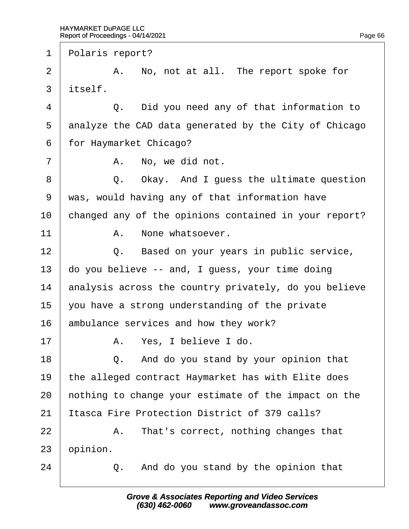1 Polaris report?  $2 \mid$  A. No, not at all. The report spoke for 3 itself.  $4 \mid$  Q. Did you need any of that information to 5 dnalyze the CAD data generated by the City of Chicago 6 for Haymarket Chicago?  $7 \mid$  A. No, we did not. 8 | Q. Okay. And I guess the ultimate question ·9· ·was, would having any of that information have 10 changed any of the opinions contained in your report?  $11$   $A.$  None whatsoever. 12 **Q.** Based on your years in public service, 13 do you believe -- and, I guess, your time doing 14 analysis across the country privately, do you believe 15  $\sqrt{ }$  you have a strong understanding of the private 16 ambulance services and how they work? 17 | A. Yes, I believe I do. 18  $\vert$  Q. And do you stand by your opinion that 19 the alleged contract Haymarket has with Elite does 20 hothing to change your estimate of the impact on the 21 Itasca Fire Protection District of 379 calls?  $22$  | A. That's correct, nothing changes that 23 *bpinion.*  $24$   $\Box$  Q. And do you stand by the opinion that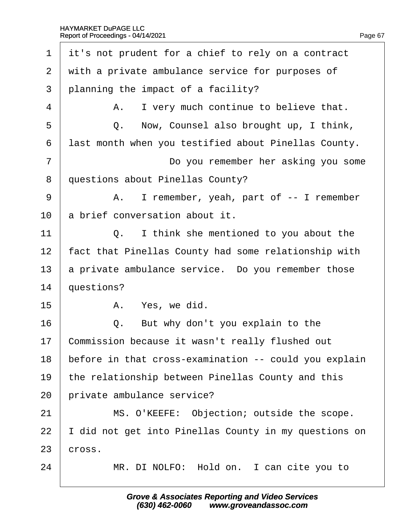| $\mathbf 1$ | it's not prudent for a chief to rely on a contract    |
|-------------|-------------------------------------------------------|
| 2           | with a private ambulance service for purposes of      |
| 3           | planning the impact of a facility?                    |
| 4           | A. I very much continue to believe that.              |
| 5           | Q. Now, Counsel also brought up, I think,             |
| 6           | last month when you testified about Pinellas County.  |
| 7           | Do you remember her asking you some                   |
| 8           | questions about Pinellas County?                      |
| 9           | A. I remember, yeah, part of -- I remember            |
| 10          | a brief conversation about it.                        |
| 11          | Q. I think she mentioned to you about the             |
| 12          | fact that Pinellas County had some relationship with  |
| 13          | a private ambulance service. Do you remember those    |
| 14          | questions?                                            |
| 15          | A. Yes, we did.                                       |
| 16          | Q. But why don't you explain to the                   |
| 17          | Commission because it wasn't really flushed out       |
| 18          | before in that cross-examination -- could you explain |
| 19          | the relationship between Pinellas County and this     |
| 20          | private ambulance service?                            |
| 21          | MS. O'KEEFE: Objection; outside the scope.            |
| 22          | did not get into Pinellas County in my questions on   |
| 23          | cross.                                                |
| 24          | MR. DI NOLFO: Hold on. I can cite you to              |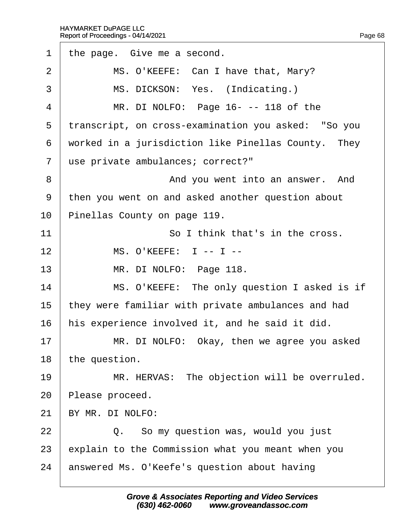| $\mathbf 1$    | the page. Give me a second.                         |
|----------------|-----------------------------------------------------|
| $\overline{2}$ | MS. O'KEEFE: Can I have that, Mary?                 |
| 3              | MS. DICKSON: Yes. (Indicating.)                     |
| $\overline{4}$ | MR. DI NOLFO: Page 16---118 of the                  |
| 5              | transcript, on cross-examination you asked: "So you |
| 6              | worked in a jurisdiction like Pinellas County. They |
| $\overline{7}$ | use private ambulances; correct?"                   |
| 8              | And you went into an answer. And                    |
| 9              | then you went on and asked another question about   |
| 10             | Pinellas County on page 119.                        |
| 11             | So I think that's in the cross.                     |
| 12             | <b>MS. O'KEEFE: 1 -- 1 --</b>                       |
| 13             | MR. DI NOLFO: Page 118.                             |
| 14             | MS. O'KEEFE: The only question I asked is if        |
| 15             | they were familiar with private ambulances and had  |
| 16             | his experience involved it, and he said it did.     |
| 17             | MR. DI NOLFO: Okay, then we agree you asked         |
| 18             | the question.                                       |
| 19             | MR. HERVAS: The objection will be overruled.        |
| 20             | Please proceed.                                     |
| 21             | BY MR. DI NOLFO:                                    |
| 22             | Q. So my question was, would you just               |
| 23             | explain to the Commission what you meant when you   |
| 24             | answered Ms. O'Keefe's question about having        |
|                |                                                     |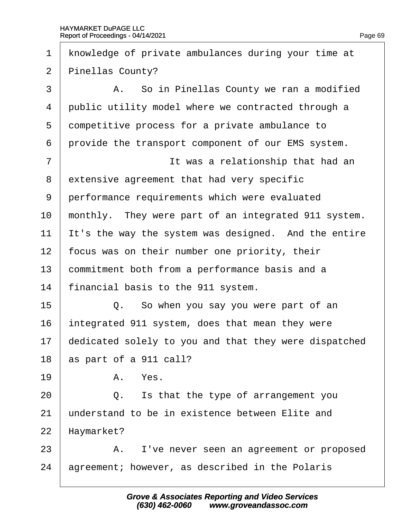| $\mathbf 1$    | knowledge of private ambulances during your time at   |
|----------------|-------------------------------------------------------|
| $\overline{2}$ | Pinellas County?                                      |
| 3              | A. So in Pinellas County we ran a modified            |
| 4              | public utility model where we contracted through a    |
| 5              | dompetitive process for a private ambulance to        |
| 6              | provide the transport component of our EMS system.    |
| 7              | It was a relationship that had an                     |
| 8              | extensive agreement that had very specific            |
| 9              | performance requirements which were evaluated         |
| 10             | monthly. They were part of an integrated 911 system.  |
| 11             | It's the way the system was designed. And the entire  |
| 12             | focus was on their number one priority, their         |
| 13             | commitment both from a performance basis and a        |
| 14             | financial basis to the 911 system.                    |
| 15             | Q. So when you say you were part of an                |
| 16             | integrated 911 system, does that mean they were       |
| 17             | dedicated solely to you and that they were dispatched |
| 18             | as part of a 911 call?                                |
| 19             | A. Yes.                                               |
| 20             | Is that the type of arrangement you<br>Q.             |
| 21             | understand to be in existence between Elite and       |
| 22             | Haymarket?                                            |
| 23             | A. I've never seen an agreement or proposed           |
| 24             | agreement; however, as described in the Polaris       |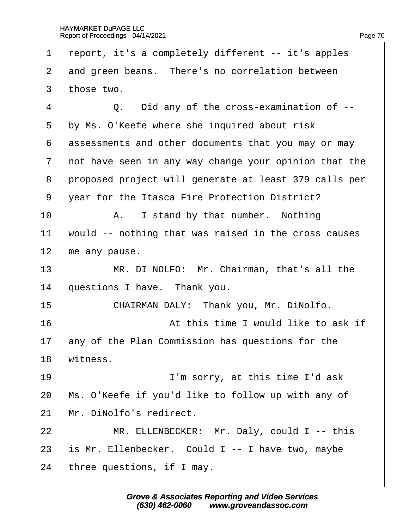Г

| 1              | report, it's a completely different -- it's apples    |
|----------------|-------------------------------------------------------|
| $\overline{2}$ | and green beans. There's no correlation between       |
| 3              | those two.                                            |
| 4              | Q. Did any of the cross-examination of --             |
| 5              | by Ms. O'Keefe where she inquired about risk          |
| 6              | assessments and other documents that you may or may   |
| $\overline{7}$ | not have seen in any way change your opinion that the |
| 8              | proposed project will generate at least 379 calls per |
| 9              | year for the Itasca Fire Protection District?         |
| 10             | A. I stand by that number. Nothing                    |
| 11             | would -- nothing that was raised in the cross causes  |
| 12             | me any pause.                                         |
| 13             | MR. DI NOLFO: Mr. Chairman, that's all the            |
| 14             | questions I have. Thank you.                          |
| 15             | CHAIRMAN DALY: Thank you, Mr. DiNolfo.                |
| 16             | At this time I would like to ask if                   |
| 17             | any of the Plan Commission has questions for the      |
| 18             | witness.                                              |
| 19             | I'm sorry, at this time I'd ask                       |
| 20             | Ms. O'Keefe if you'd like to follow up with any of    |
| 21             | Mr. DiNolfo's redirect.                               |
| 22             | MR. ELLENBECKER: Mr. Daly, could I -- this            |
| 23             | is Mr. Ellenbecker. Could I -- I have two, maybe      |
| 24             | three questions, if I may.                            |
|                |                                                       |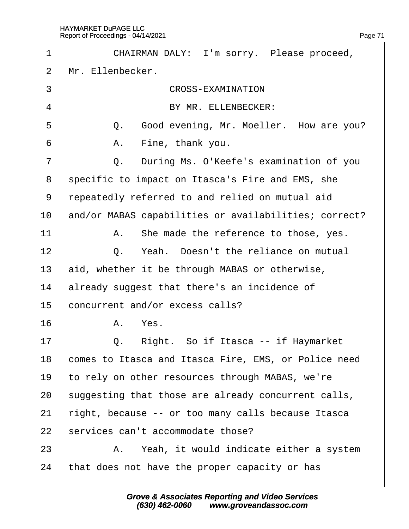| 1  | CHAIRMAN DALY: I'm sorry. Please proceed,             |
|----|-------------------------------------------------------|
| 2  | Mr. Ellenbecker.                                      |
| 3  | <b>CROSS-EXAMINATION</b>                              |
| 4  | BY MR. ELLENBECKER:                                   |
| 5  | Q. Good evening, Mr. Moeller. How are you?            |
| 6  | A. Fine, thank you.                                   |
| 7  | During Ms. O'Keefe's examination of you<br>Q.         |
| 8  | specific to impact on Itasca's Fire and EMS, she      |
| 9  | repeatedly referred to and relied on mutual aid       |
| 10 | and/or MABAS capabilities or availabilities; correct? |
| 11 | A. She made the reference to those, yes.              |
| 12 | Q. Yeah. Doesn't the reliance on mutual               |
| 13 | aid, whether it be through MABAS or otherwise,        |
| 14 | already suggest that there's an incidence of          |
| 15 | concurrent and/or excess calls?                       |
| 16 | A. Yes.                                               |
| 17 | Right. So if Itasca -- if Haymarket<br>Q.             |
| 18 | comes to Itasca and Itasca Fire, EMS, or Police need  |
| 19 | to rely on other resources through MABAS, we're       |
| 20 | suggesting that those are already concurrent calls,   |
| 21 | right, because -- or too many calls because Itasca    |
| 22 | services can't accommodate those?                     |
| 23 | A. Yeah, it would indicate either a system            |
| 24 | that does not have the proper capacity or has         |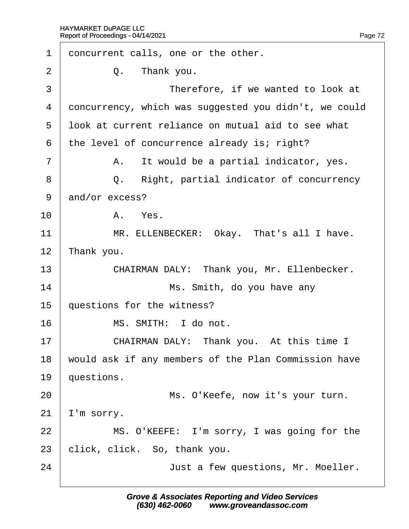| 1              | doncurrent calls, one or the other.                   |
|----------------|-------------------------------------------------------|
| 2              | Q. Thank you.                                         |
| 3              | Therefore, if we wanted to look at                    |
| 4              | doncurrency, which was suggested you didn't, we could |
| 5              | look at current reliance on mutual aid to see what    |
| 6              | the level of concurrence already is; right?           |
| $\overline{7}$ | A. It would be a partial indicator, yes.              |
| 8              | Right, partial indicator of concurrency<br>Q.         |
| 9              | and/or excess?                                        |
| 10             | A. Yes.                                               |
| 11             | MR. ELLENBECKER: Okay. That's all I have.             |
| 12             | Thank you.                                            |
| 13             | CHAIRMAN DALY: Thank you, Mr. Ellenbecker.            |
| 14             | Ms. Smith, do you have any                            |
| 15             | questions for the witness?                            |
| 16             | MS. SMITH: I do not.                                  |
| 17             | CHAIRMAN DALY: Thank you. At this time I              |
| 18             | would ask if any members of the Plan Commission have  |
| 19             | questions.                                            |
| 20             | Ms. O'Keefe, now it's your turn.                      |
| 21             | 'm sorry.                                             |
| 22             | MS. O'KEEFE: I'm sorry, I was going for the           |
| 23             | click, click. So, thank you.                          |
| 24             | Just a few questions, Mr. Moeller.                    |
|                |                                                       |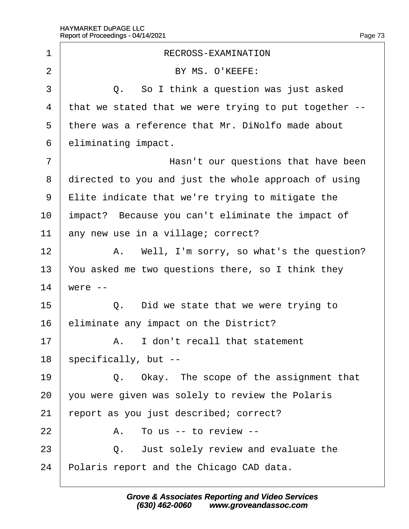| 1              | RECROSS-EXAMINATION                                   |
|----------------|-------------------------------------------------------|
| $\overline{2}$ | BY MS. O'KEEFE:                                       |
| 3              | Q. So I think a question was just asked               |
| 4              | that we stated that we were trying to put together -- |
| 5              | there was a reference that Mr. DiNolfo made about     |
| 6              | eliminating impact.                                   |
| 7              | Hasn't our questions that have been                   |
| 8              | directed to you and just the whole approach of using  |
| 9              | $E$ lite indicate that we're trying to mitigate the   |
| 10             | Impact? Because you can't eliminate the impact of     |
| 11             | any new use in a village; correct?                    |
| 12             | A. Well, I'm sorry, so what's the question?           |
| 13             | You asked me two questions there, so I think they     |
| 14             | were --                                               |
| 15             | Q. Did we state that we were trying to                |
| 16             | eliminate any impact on the District?                 |
| 17             | A. I don't recall that statement                      |
| 18             | specifically, but --                                  |
| 19             | Q. Okay. The scope of the assignment that             |
| 20             | you were given was solely to review the Polaris       |
| 21             | report as you just described; correct?                |
| 22             | A. To us -- to review --                              |
| 23             | Q. Just solely review and evaluate the                |
| 24             | Polaris report and the Chicago CAD data.              |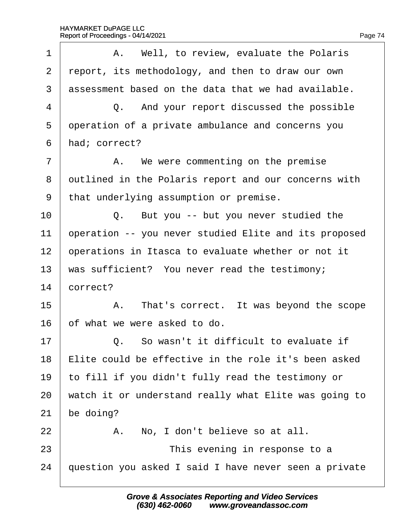| 1              | A. Well, to review, evaluate the Polaris              |
|----------------|-------------------------------------------------------|
| $\overline{2}$ | report, its methodology, and then to draw our own     |
| 3              | assessment based on the data that we had available.   |
| 4              | Q. And your report discussed the possible             |
| 5              | operation of a private ambulance and concerns you     |
| 6              | had; correct?                                         |
| 7              | A. We were commenting on the premise                  |
| 8              | dutlined in the Polaris report and our concerns with  |
| 9              | that underlying assumption or premise.                |
| 10             | Q. But you -- but you never studied the               |
| 11             | operation -- you never studied Elite and its proposed |
| 12             | operations in Itasca to evaluate whether or not it    |
| 13             | was sufficient? You never read the testimony;         |
| 14             | correct?                                              |
| 15             | A. That's correct. It was beyond the scope            |
| 16             | of what we were asked to do.                          |
| 17             | Q. So wasn't it difficult to evaluate if              |
| 18             | Elite could be effective in the role it's been asked  |
| 19             | to fill if you didn't fully read the testimony or     |
| 20             | watch it or understand really what Elite was going to |
| 21             | be doing?                                             |
| 22             | A. No, I don't believe so at all.                     |
| 23             | This evening in response to a                         |
| 24             | question you asked I said I have never seen a private |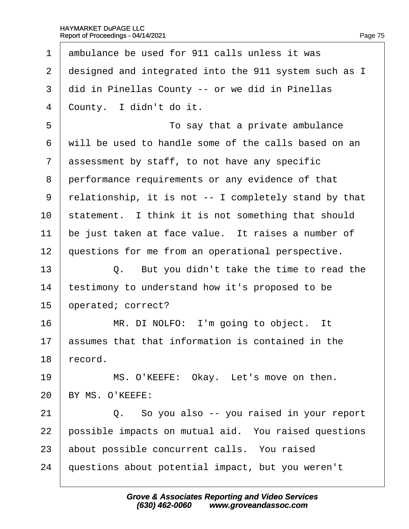- 1 ambulance be used for 911 calls unless it was
- 2 designed and integrated into the 911 system such as I
- 3 did in Pinellas County -- or we did in Pinellas
- 4 County. I didn't do it.

5 **b • · · · · · · To say that a private ambulance** ·6· ·will be used to handle some of the calls based on an 7 assessment by staff, to not have any specific 8 performance requirements or any evidence of that ·9· ·relationship, it is not -- I completely stand by that 10 statement. I think it is not something that should 11 be just taken at face value. It raises a number of 12 questions for me from an operational perspective.  $13 \mid Q$ . But you didn't take the time to read the 14 testimony to understand how it's proposed to be 15 **b**perated; correct?  $16$  | MR. DI NOLFO: I'm going to object. It 17 **basames that that information is contained in the** 18 record. 19 | MS. O'KEEFE: Okay. Let's move on then. 20 BY MS. O'KEEFE:  $21$   $\Box$  Q. So you also -- you raised in your report

22 bossible impacts on mutual aid. You raised questions

- 23 about possible concurrent calls. You raised
- 24 guestions about potential impact, but you weren't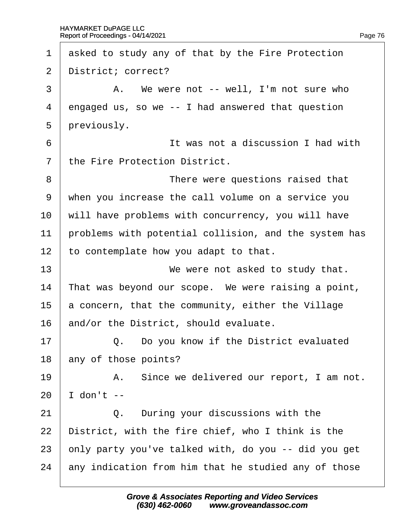| $\mathbf 1$    | asked to study any of that by the Fire Protection     |
|----------------|-------------------------------------------------------|
| $\overline{2}$ | District; correct?                                    |
| 3              | A. We were not -- well, I'm not sure who              |
| 4              | engaged us, so we -- I had answered that question     |
| 5              | previously.                                           |
| 6              | It was not a discussion I had with                    |
| 7              | the Fire Protection District.                         |
| 8              | There were questions raised that                      |
| 9              | when you increase the call volume on a service you    |
| 10             | will have problems with concurrency, you will have    |
| 11             | problems with potential collision, and the system has |
| 12             | to contemplate how you adapt to that.                 |
| 13             | We were not asked to study that.                      |
| 14             | That was beyond our scope. We were raising a point,   |
| 15             | a concern, that the community, either the Village     |
| 16             | and/or the District, should evaluate.                 |
| 17             | Q. Do you know if the District evaluated              |
| 18             | any of those points?                                  |
| 19             | A. Since we delivered our report, I am not.           |
| 20             | don't --                                              |
| 21             | Q. During your discussions with the                   |
| 22             | District, with the fire chief, who I think is the     |
| 23             | only party you've talked with, do you -- did you get  |
| 24             | any indication from him that he studied any of those  |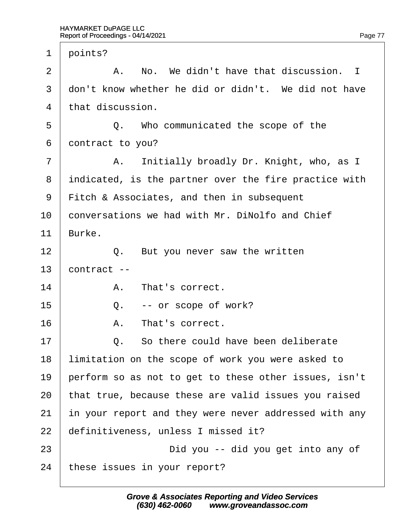| $\mathbf 1$ | points?                                               |
|-------------|-------------------------------------------------------|
| 2           | A. No. We didn't have that discussion. I              |
| 3           | don't know whether he did or didn't. We did not have  |
| 4           | that discussion.                                      |
| 5           | Q. Who communicated the scope of the                  |
| 6           | dontract to you?                                      |
| 7           | A. Initially broadly Dr. Knight, who, as I            |
| 8           | indicated, is the partner over the fire practice with |
| 9           | Fitch & Associates, and then in subsequent            |
| 10          | conversations we had with Mr. DiNolfo and Chief       |
| 11          | Burke.                                                |
| 12          | Q. But you never saw the written                      |
| 13          | contract --                                           |
| 14          | A. That's correct.                                    |
| 15          | Q. -- or scope of work?                               |
| 16          | A. That's correct.                                    |
| 17          | Q. So there could have been deliberate                |
| 18          | limitation on the scope of work you were asked to     |
| 19          | perform so as not to get to these other issues, isn't |
| 20          | that true, because these are valid issues you raised  |
| 21          | in your report and they were never addressed with any |
| 22          | definitiveness, unless I missed it?                   |
| 23          | Did you -- did you get into any of                    |
| 24          | these issues in your report?                          |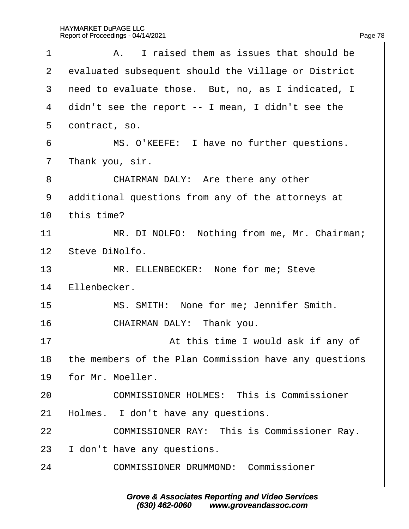| 1              | A. I raised them as issues that should be             |
|----------------|-------------------------------------------------------|
| 2              | evaluated subsequent should the Village or District   |
| 3              | need to evaluate those. But, no, as I indicated, I    |
| 4              | didn't see the report -- I mean, I didn't see the     |
| 5              | dontract, so.                                         |
| 6              | MS. O'KEEFE: I have no further questions.             |
| $\overline{7}$ | Thank you, sir.                                       |
| 8              | CHAIRMAN DALY: Are there any other                    |
| 9              | additional questions from any of the attorneys at     |
| 10             | this time?                                            |
| 11             | MR. DI NOLFO: Nothing from me, Mr. Chairman;          |
| 12             | Steve DiNolfo.                                        |
| 13             | MR. ELLENBECKER: None for me; Steve                   |
| 14             | Ellenbecker.                                          |
| 15             | MS. SMITH: None for me; Jennifer Smith.               |
| 16             | CHAIRMAN DALY: Thank you.                             |
| 17             | At this time I would ask if any of                    |
| 18             | the members of the Plan Commission have any questions |
| 19             | for Mr. Moeller.                                      |
| 20             | <b>COMMISSIONER HOLMES: This is Commissioner</b>      |
| 21             | Holmes. I don't have any questions.                   |
| 22             | <b>COMMISSIONER RAY: This is Commissioner Ray.</b>    |
| 23             | don't have any questions.                             |
| 24             | <b>COMMISSIONER DRUMMOND: Commissioner</b>            |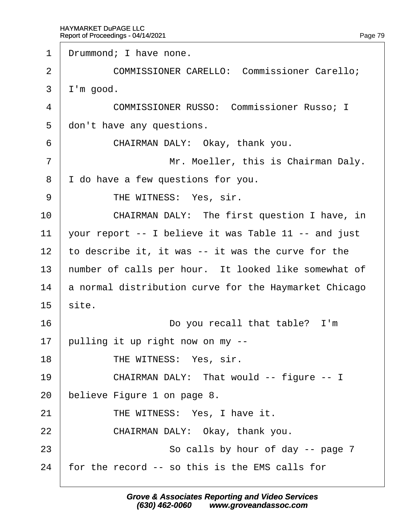1 Drummond; I have none. 2 | COMMISSIONER CARELLO: Commissioner Carello; 3 I'm good. 4 COMMISSIONER RUSSO: Commissioner Russo: I 5 don't have any questions. 6 **CHAIRMAN DALY: Okay, thank you.** 7 | Mr. Moeller, this is Chairman Daly. 8 I do have a few questions for you. 9 | THE WITNESS: Yes, sir. 10 **CHAIRMAN DALY:** The first question I have, in 11 vour report -- I believe it was Table 11 -- and just 12 to describe it, it was -- it was the curve for the 13 humber of calls per hour. It looked like somewhat of 14 **a** normal distribution curve for the Haymarket Chicago  $15$  site. 16 **Do you recall that table?** I'm 17 **bulling it up right now on my --**18 | THE WITNESS: Yes, sir. 19 | CHAIRMAN DALY: That would -- figure -- I 20 believe Figure 1 on page 8. 21 | THE WITNESS: Yes, I have it.  $22$  **CHAIRMAN DALY: Okay, thank you.** 23 **So calls by hour of day -- page 7** 24 for the record -- so this is the EMS calls for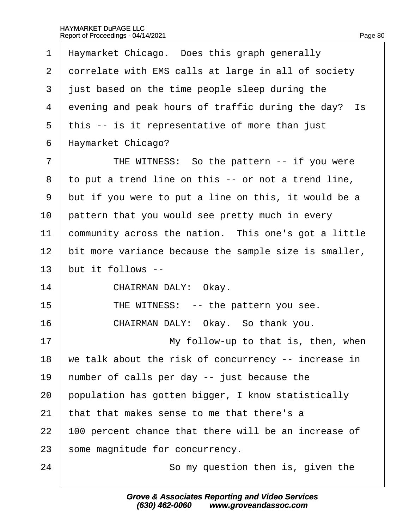| 1              | Haymarket Chicago. Does this graph generally          |
|----------------|-------------------------------------------------------|
| $\overline{2}$ | dorrelate with EMS calls at large in all of society   |
| 3              | just based on the time people sleep during the        |
| 4              | evening and peak hours of traffic during the day? Is  |
| 5              | this -- is it representative of more than just        |
| 6              | Haymarket Chicago?                                    |
| 7              | THE WITNESS: So the pattern -- if you were            |
| 8              | to put a trend line on this -- or not a trend line,   |
| 9              | but if you were to put a line on this, it would be a  |
| 10             | pattern that you would see pretty much in every       |
| 11             | community across the nation. This one's got a little  |
| 12             | bit more variance because the sample size is smaller, |
| 13             | but it follows --                                     |
| 14             | CHAIRMAN DALY: Okay.                                  |
| 15             | THE WITNESS: -- the pattern you see.                  |
| 16             | CHAIRMAN DALY: Okay. So thank you.                    |
| 17             | My follow-up to that is, then, when                   |
| 18             | we talk about the risk of concurrency -- increase in  |
| 19             | humber of calls per day -- just because the           |
| 20             | population has gotten bigger, I know statistically    |
| 21             | that that makes sense to me that there's a            |
| 22             | 100 percent chance that there will be an increase of  |
| 23             | some magnitude for concurrency.                       |
| 24             | So my question then is, given the                     |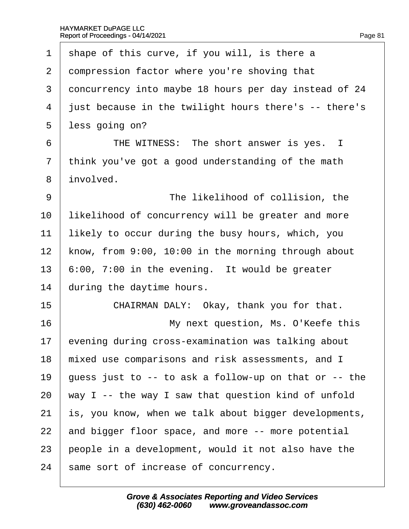| 1              | shape of this curve, if you will, is there a          |
|----------------|-------------------------------------------------------|
| 2              | dompression factor where you're shoving that          |
| 3              | doncurrency into maybe 18 hours per day instead of 24 |
| 4              | just because in the twilight hours there's -- there's |
| 5              | less going on?                                        |
| 6              | THE WITNESS: The short answer is yes. I               |
| $\overline{7}$ | think you've got a good understanding of the math     |
| 8              | involved.                                             |
| 9              | The likelihood of collision, the                      |
| 10             | likelihood of concurrency will be greater and more    |
| 11             | likely to occur during the busy hours, which, you     |
| 12             | know, from 9:00, 10:00 in the morning through about   |
| 13             | 6:00, 7:00 in the evening. It would be greater        |
| 14             | during the daytime hours.                             |
| 15             | CHAIRMAN DALY: Okay, thank you for that.              |
| 16             | My next question, Ms. O'Keefe this                    |
| 17             | evening during cross-examination was talking about    |
| 18             | mixed use comparisons and risk assessments, and I     |
| 19             | guess just to -- to ask a follow-up on that or -- the |
| 20             | way I -- the way I saw that question kind of unfold   |
| 21             | s, you know, when we talk about bigger developments,  |
| 22             | and bigger floor space, and more -- more potential    |
| 23             | people in a development, would it not also have the   |
| 24             | same sort of increase of concurrency.                 |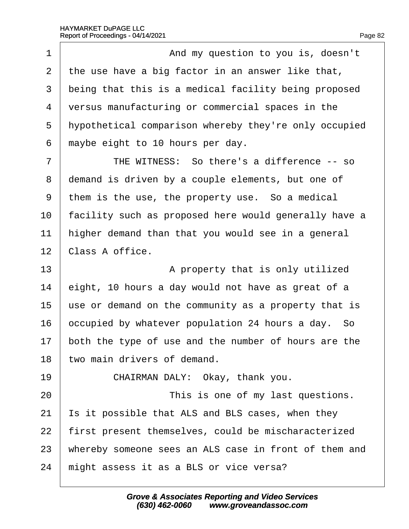| $\overline{1}$ | And my question to you is, doesn't                    |
|----------------|-------------------------------------------------------|
| 2              | the use have a big factor in an answer like that,     |
| 3              | being that this is a medical facility being proposed  |
| 4              | versus manufacturing or commercial spaces in the      |
| 5              | hypothetical comparison whereby they're only occupied |
| 6              | maybe eight to 10 hours per day.                      |
| $\overline{7}$ | THE WITNESS: So there's a difference -- so            |
| 8              | demand is driven by a couple elements, but one of     |
| 9              | them is the use, the property use. So a medical       |
| 10             | acility such as proposed here would generally have a  |
| 11             | higher demand than that you would see in a general    |
| 12             | Class A office.                                       |
| 13             | A property that is only utilized                      |
| 14             | eight, 10 hours a day would not have as great of a    |
| 15             | use or demand on the community as a property that is  |
| 16             | occupied by whatever population 24 hours a day. So    |
| 17             | both the type of use and the number of hours are the  |
| 18             | two main drivers of demand.                           |
| 19             | CHAIRMAN DALY: Okay, thank you.                       |
| 20             | This is one of my last questions.                     |
| 21             | s it possible that ALS and BLS cases, when they       |
| 22             | first present themselves, could be mischaracterized   |
| 23             | whereby someone sees an ALS case in front of them and |
| 24             | might assess it as a BLS or vice versa?               |
|                |                                                       |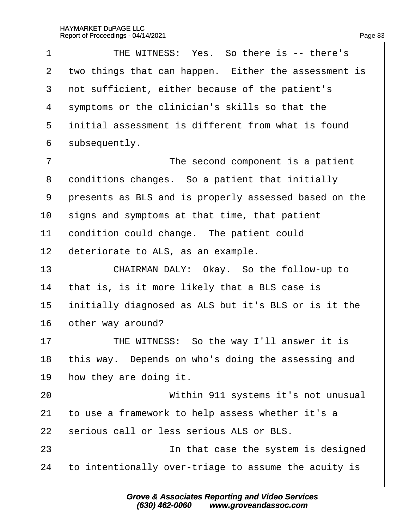| 1              | THE WITNESS: Yes. So there is -- there's              |
|----------------|-------------------------------------------------------|
| 2              | two things that can happen. Either the assessment is  |
| 3              | not sufficient, either because of the patient's       |
| 4              | symptoms or the clinician's skills so that the        |
| 5              | initial assessment is different from what is found    |
| 6              | subsequently.                                         |
| $\overline{7}$ | The second component is a patient                     |
| 8              | donditions changes. So a patient that initially       |
| 9              | presents as BLS and is properly assessed based on the |
| 10             | signs and symptoms at that time, that patient         |
| 11             | condition could change. The patient could             |
| 12             | deteriorate to ALS, as an example.                    |
| 13             | CHAIRMAN DALY: Okay. So the follow-up to              |
| 14             | that is, is it more likely that a BLS case is         |
| 15             | initially diagnosed as ALS but it's BLS or is it the  |
| 16             | other way around?                                     |
| 17             | THE WITNESS: So the way I'll answer it is             |
| 18             | this way. Depends on who's doing the assessing and    |
| 19             | how they are doing it.                                |
| 20             | Within 911 systems it's not unusual                   |
| 21             | to use a framework to help assess whether it's a      |
| 22             | serious call or less serious ALS or BLS.              |
| 23             | In that case the system is designed                   |
| 24             | to intentionally over-triage to assume the acuity is  |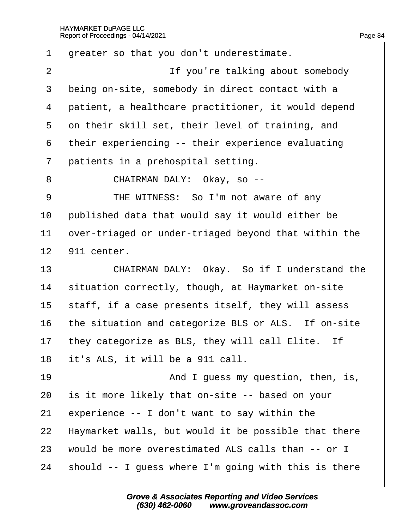| 1              | greater so that you don't underestimate.             |
|----------------|------------------------------------------------------|
| $\overline{2}$ | If you're talking about somebody                     |
| 3              | being on-site, somebody in direct contact with a     |
| 4              | patient, a healthcare practitioner, it would depend  |
| 5              | on their skill set, their level of training, and     |
| 6              | their experiencing -- their experience evaluating    |
| $\overline{7}$ | patients in a prehospital setting.                   |
| 8              | CHAIRMAN DALY: Okay, so --                           |
| 9              | THE WITNESS: So I'm not aware of any                 |
| 10             | published data that would say it would either be     |
| 11             | over-triaged or under-triaged beyond that within the |
| 12             | 911 center.                                          |
| 13             | CHAIRMAN DALY: Okay. So if I understand the          |
| 14             | situation correctly, though, at Haymarket on-site    |
| 15             | staff, if a case presents itself, they will assess   |
| 16             | the situation and categorize BLS or ALS. If on-site  |
| 17             | they categorize as BLS, they will call Elite. If     |
| 18             | it's ALS, it will be a 911 call.                     |
| 19             | And I guess my question, then, is,                   |
| 20             | s it more likely that on-site -- based on your       |
| 21             | experience -- I don't want to say within the         |
| 22             | Haymarket walls, but would it be possible that there |
| 23             | would be more overestimated ALS calls than -- or I   |
| 24             | should -- I guess where I'm going with this is there |
|                |                                                      |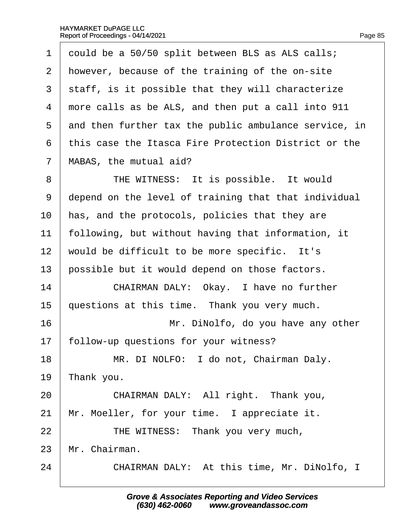| $\mathbf 1$    | dould be a 50/50 split between BLS as ALS calls;      |
|----------------|-------------------------------------------------------|
| $\overline{2}$ | however, because of the training of the on-site       |
| 3              | staff, is it possible that they will characterize     |
| 4              | more calls as be ALS, and then put a call into 911    |
| 5              | and then further tax the public ambulance service, in |
| 6              | this case the Itasca Fire Protection District or the  |
| $\overline{7}$ | MABAS, the mutual aid?                                |
| 8              | THE WITNESS: It is possible. It would                 |
| 9              | depend on the level of training that that individual  |
| 10             | has, and the protocols, policies that they are        |
| 11             | following, but without having that information, it    |
| 12             | would be difficult to be more specific. It's          |
| 13             | possible but it would depend on those factors.        |
| 14             | CHAIRMAN DALY: Okay. I have no further                |
| 15             | questions at this time. Thank you very much.          |
| 16             | Mr. DiNolfo, do you have any other                    |
| 17             | follow-up questions for your witness?                 |
| 18             | MR. DI NOLFO: I do not, Chairman Daly.                |
| 19             | ∏hank you.                                            |
| 20             | CHAIRMAN DALY: All right. Thank you,                  |
| 21             | Mr. Moeller, for your time. I appreciate it.          |
| 22             | THE WITNESS: Thank you very much,                     |
| 23             | Mr. Chairman.                                         |
| 24             | CHAIRMAN DALY: At this time, Mr. DiNolfo, I           |
|                |                                                       |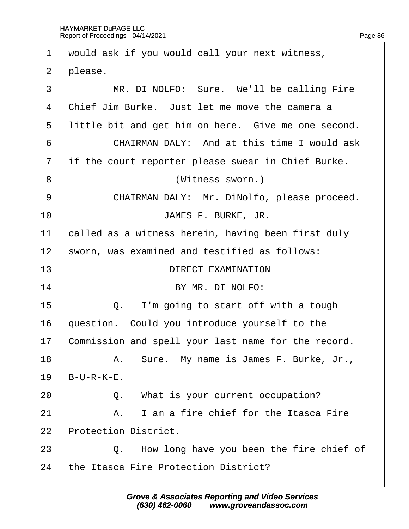| $\mathbf 1$    | would ask if you would call your next witness,      |
|----------------|-----------------------------------------------------|
| 2              | please.                                             |
| 3              | MR. DI NOLFO: Sure. We'll be calling Fire           |
| $\overline{4}$ | Chief Jim Burke. Just let me move the camera a      |
| 5              | little bit and get him on here. Give me one second. |
| 6              | <b>CHAIRMAN DALY: And at this time I would ask</b>  |
| $\overline{7}$ | if the court reporter please swear in Chief Burke.  |
| 8              | (Witness sworn.)                                    |
| 9              | CHAIRMAN DALY: Mr. DiNolfo, please proceed.         |
| 10             | JAMES F. BURKE, JR.                                 |
| 11             | called as a witness herein, having been first duly  |
| 12             | sworn, was examined and testified as follows:       |
| 13             | <b>DIRECT EXAMINATION</b>                           |
| 14             | BY MR. DI NOLFO:                                    |
| 15             | I'm going to start off with a tough<br>Q.           |
| 16             | question. Could you introduce yourself to the       |
| 17             | Commission and spell your last name for the record. |
| 18             | A. Sure. My name is James F. Burke, Jr.,            |
| 19             | $B-U-R-K-E$ .                                       |
| 20             | Q. What is your current occupation?                 |
| 21             | A. I am a fire chief for the Itasca Fire            |
| 22             | <b>Protection District.</b>                         |
| 23             | Q. How long have you been the fire chief of         |
| 24             | the Itasca Fire Protection District?                |
|                |                                                     |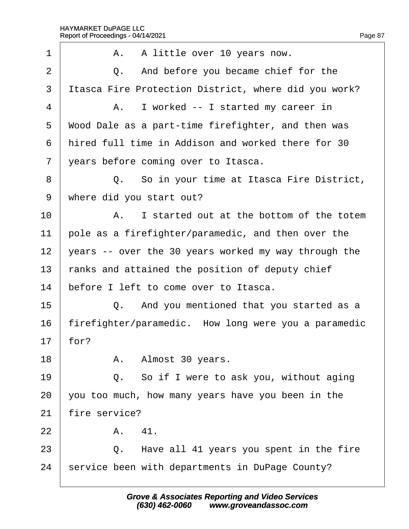| 1              |               | A. A little over 10 years now.                       |
|----------------|---------------|------------------------------------------------------|
| $\overline{2}$ |               | Q. And before you became chief for the               |
| 3              |               | Itasca Fire Protection District, where did you work? |
| 4              |               | A. I worked -- I started my career in                |
| 5              |               | Wood Dale as a part-time firefighter, and then was   |
| 6              |               | hired full time in Addison and worked there for 30   |
| $\overline{7}$ |               | years before coming over to Itasca.                  |
| 8              |               | Q. So in your time at Itasca Fire District,          |
| 9              |               | where did you start out?                             |
| 10             |               | A. I started out at the bottom of the totem          |
| 11             |               | pole as a firefighter/paramedic, and then over the   |
| 12             |               | years -- over the 30 years worked my way through the |
| 13             |               | ranks and attained the position of deputy chief      |
| 14             |               | before I left to come over to Itasca.                |
| 15             |               | Q. And you mentioned that you started as a           |
| 16             |               | firefighter/paramedic. How long were you a paramedic |
| 17             | for?          |                                                      |
| 18             |               | A. Almost 30 years.                                  |
| 19             |               | Q. So if I were to ask you, without aging            |
| 20             |               | you too much, how many years have you been in the    |
| 21             | fire service? |                                                      |
| 22             | A. 41.        |                                                      |
| 23             |               | Q. Have all 41 years you spent in the fire           |
| 24             |               | service been with departments in DuPage County?      |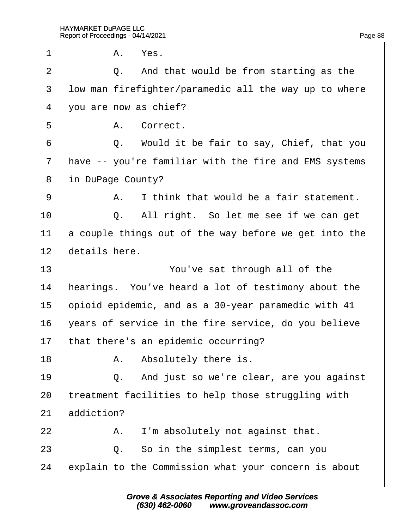|    | A. Yes.                                               |
|----|-------------------------------------------------------|
|    | Q. And that would be from starting as the             |
|    | Iow man firefighter/paramedic all the way up to where |
|    | you are now as chief?                                 |
|    | A. Correct.                                           |
|    | Q. Would it be fair to say, Chief, that you           |
|    | Have -- you're familiar with the fire and EMS systems |
|    | in DuPage County?                                     |
| A. | I think that would be a fair statement.               |
|    | Q. All right. So let me see if we can get             |
|    | a couple things out of the way before we get into the |
|    |                                                       |
|    | You've sat through all of the                         |
|    | hearings. You've heard a lot of testimony about the   |
|    | opioid epidemic, and as a 30-year paramedic with 41   |
|    | years of service in the fire service, do you believe  |
|    | that there's an epidemic occurring?                   |
|    | A. Absolutely there is.                               |
| Q. | And just so we're clear, are you against              |
|    | treatment facilities to help those struggling with    |
|    |                                                       |
| А. | I'm absolutely not against that.                      |
|    | Q. So in the simplest terms, can you                  |
|    | explain to the Commission what your concern is about  |
|    | details here.<br>addiction?                           |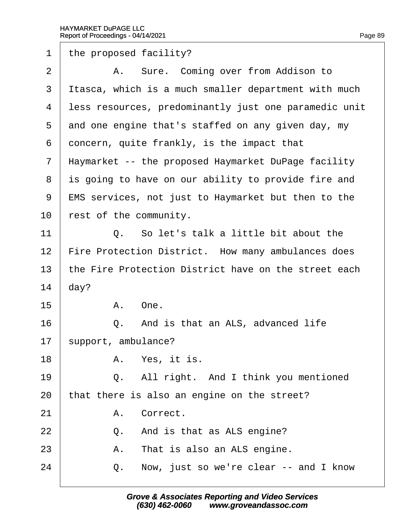1 the proposed facility? 2 | A. Sure. Coming over from Addison to 3 Itasca, which is a much smaller department with much 4 less resources, predominantly just one paramedic unit 5 dnd one engine that's staffed on any given day, my 6 doncern, quite frankly, is the impact that ·7· ·Haymarket -- the proposed Haymarket DuPage facility 8 is going to have on our ability to provide fire and 9 EMS services, not just to Haymarket but then to the 10 rest of the community. 11· · · · · ·Q.· ·So let's talk a little bit about the 12 Fire Protection District. How many ambulances does 13 the Fire Protection District have on the street each 14  $day?$  $15$   $A$  One.  $16$   $\Box$  Q. And is that an ALS, advanced life 17 support, ambulance?  $18$   $\phantom{1}$  A. Yes, it is.  $19$   $\Box$  Q. All right. And I think you mentioned 20 that there is also an engine on the street? 21 | A. Correct.  $22$   $\Box$  Q. And is that as ALS engine?  $23$   $\parallel$  A. That is also an ALS engine.  $24$   $\Box$  Q. Now, just so we're clear -- and I know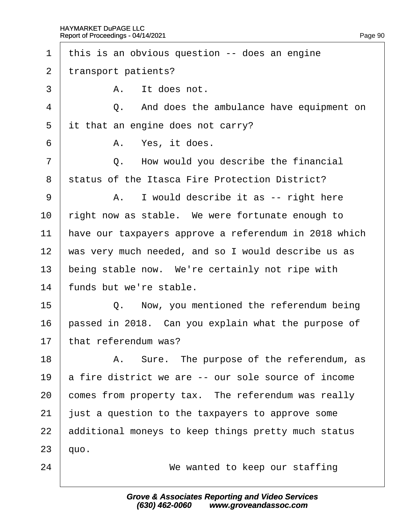| $\mathbf 1$    | this is an obvious question -- does an engine         |
|----------------|-------------------------------------------------------|
| $\overline{2}$ | transport patients?                                   |
| 3              | A. It does not.                                       |
| 4              | And does the ambulance have equipment on<br>Q.        |
| 5              | it that an engine does not carry?                     |
| 6              | A. Yes, it does.                                      |
| 7              | Q. How would you describe the financial               |
| 8              | status of the Itasca Fire Protection District?        |
| 9              | A. I would describe it as -- right here               |
| 10             | right now as stable. We were fortunate enough to      |
| 11             | have our taxpayers approve a referendum in 2018 which |
| 12             | was very much needed, and so I would describe us as   |
| 13             | being stable now. We're certainly not ripe with       |
| 14             | funds but we're stable.                               |
| 15             | Q. Now, you mentioned the referendum being            |
| 16             | passed in 2018. Can you explain what the purpose of   |
| 17             | that referendum was?                                  |
| 18             | A. Sure. The purpose of the referendum, as            |
| 19             | a fire district we are -- our sole source of income   |
| 20             | comes from property tax. The referendum was really    |
| 21             | just a question to the taxpayers to approve some      |
| 22             | additional moneys to keep things pretty much status   |
| 23             | quo.                                                  |
| 24             | We wanted to keep our staffing                        |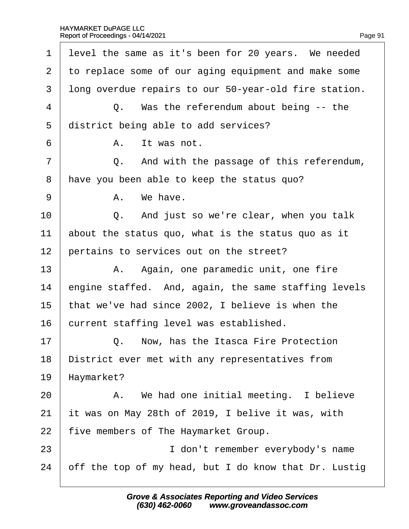| 1              | level the same as it's been for 20 years. We needed   |
|----------------|-------------------------------------------------------|
| $\overline{2}$ | to replace some of our aging equipment and make some  |
| 3              | Iong overdue repairs to our 50-year-old fire station. |
| 4              | Q. Was the referendum about being -- the              |
| 5              | district being able to add services?                  |
| 6              | A. It was not.                                        |
| $\overline{7}$ | Q. And with the passage of this referendum,           |
| 8              | have you been able to keep the status quo?            |
| 9              | A. We have.                                           |
| 10             | Q. And just so we're clear, when you talk             |
| 11             | about the status quo, what is the status quo as it    |
| 12             | pertains to services out on the street?               |
| 13             | A. Again, one paramedic unit, one fire                |
| 14             | engine staffed. And, again, the same staffing levels  |
| 15             | that we've had since 2002, I believe is when the      |
| 16             | current staffing level was established.               |
| 17             | Q. Now, has the Itasca Fire Protection                |
| 18             | District ever met with any representatives from       |
| 19             | Haymarket?                                            |
| 20             | A. We had one initial meeting. I believe              |
| 21             | it was on May 28th of 2019, I belive it was, with     |
| 22             | five members of The Haymarket Group.                  |
| 23             | I don't remember everybody's name                     |
| 24             | off the top of my head, but I do know that Dr. Lustig |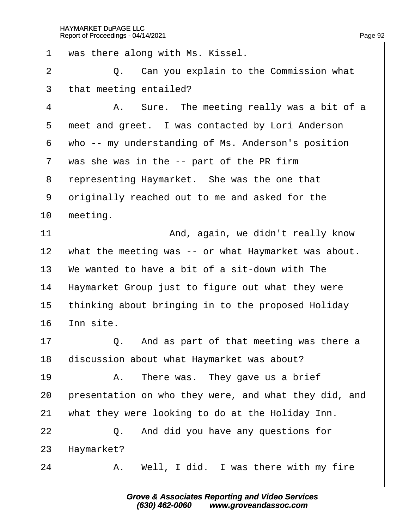| $\mathbf 1$    | was there along with Ms. Kissel.                      |
|----------------|-------------------------------------------------------|
| 2              | Q. Can you explain to the Commission what             |
| 3              | that meeting entailed?                                |
| 4              | A. Sure. The meeting really was a bit of a            |
| 5              | meet and greet. I was contacted by Lori Anderson      |
| 6              | who -- my understanding of Ms. Anderson's position    |
| $\overline{7}$ | was she was in the -- part of the PR firm             |
| 8              | representing Haymarket. She was the one that          |
| 9              | driginally reached out to me and asked for the        |
| 10             | meeting.                                              |
| 11             | And, again, we didn't really know                     |
| 12             | what the meeting was -- or what Haymarket was about.  |
| 13             | We wanted to have a bit of a sit-down with The        |
| 14             | Haymarket Group just to figure out what they were     |
| 15             | thinking about bringing in to the proposed Holiday    |
| 16             | nn site.                                              |
| 17             | Q. And as part of that meeting was there a            |
| 18             | discussion about what Haymarket was about?            |
| 19             | A. There was. They gave us a brief                    |
| 20             | presentation on who they were, and what they did, and |
| 21             | what they were looking to do at the Holiday Inn.      |
| 22             | Q. And did you have any questions for                 |
| 23             | Haymarket?                                            |
| 24             | A. Well, I did. I was there with my fire              |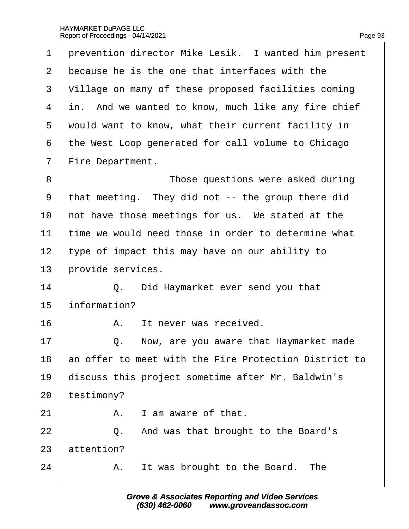| 1              | prevention director Mike Lesik. I wanted him present  |
|----------------|-------------------------------------------------------|
| $\overline{2}$ | because he is the one that interfaces with the        |
| 3              | Village on many of these proposed facilities coming   |
| 4              | in. And we wanted to know, much like any fire chief   |
| 5              | would want to know, what their current facility in    |
| 6              | the West Loop generated for call volume to Chicago    |
| $\overline{7}$ | Fire Department.                                      |
| 8              | Those questions were asked during                     |
| 9              | that meeting. They did not -- the group there did     |
| 10             | not have those meetings for us. We stated at the      |
| 11             | time we would need those in order to determine what   |
| 12             | type of impact this may have on our ability to        |
| 13             | provide services.                                     |
| 14             | Q. Did Haymarket ever send you that                   |
| 15             | information?                                          |
| 16             | It never was received.<br>А.                          |
| 17             | Q.<br>Now, are you aware that Haymarket made          |
| 18             | an offer to meet with the Fire Protection District to |
| 19             | discuss this project sometime after Mr. Baldwin's     |
| 20             | testimony?                                            |
| 21             | A. I am aware of that.                                |
| 22             | Q. And was that brought to the Board's                |
| 23             | attention?                                            |
| 24             | A. It was brought to the Board. The                   |
|                |                                                       |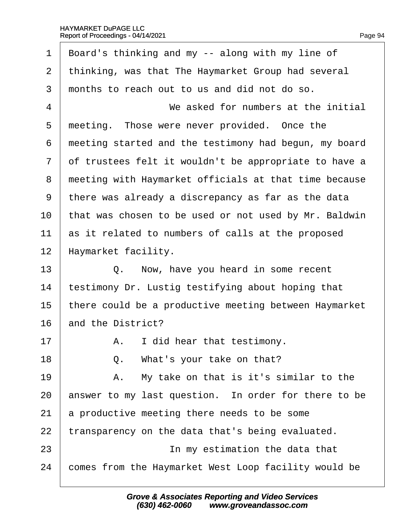1 Board's thinking and my -- along with my line of 2 thinking, was that The Haymarket Group had several 3 months to reach out to us and did not do so. 4 We asked for numbers at the initial 5 meeting. Those were never provided. Once the 6 meeting started and the testimony had begun, my board 7 of trustees felt it wouldn't be appropriate to have a 8 meeting with Haymarket officials at that time because ·9· ·there was already a discrepancy as far as the data 10 that was chosen to be used or not used by Mr. Baldwin 11 as it related to numbers of calls at the proposed 12 Haymarket facility.  $13 \mid Q.$  Now, have you heard in some recent 14 testimony Dr. Lustig testifying about hoping that 15 there could be a productive meeting between Haymarket 16 and the District?  $17$  | A. I did hear that testimony. 18  $\vert$  Q. What's your take on that? 19  $\parallel$  A. My take on that is it's similar to the 20 answer to my last question. In order for there to be 21 a productive meeting there needs to be some 22 transparency on the data that's being evaluated. 23 **IDED** 10 In my estimation the data that 24 comes from the Haymarket West Loop facility would be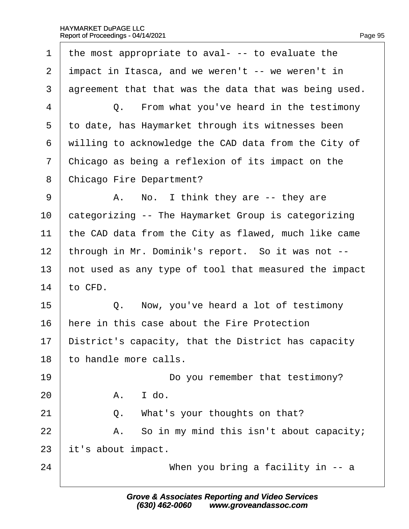|  | Page 95 |
|--|---------|

| 1              | the most appropriate to aval- -- to evaluate the      |
|----------------|-------------------------------------------------------|
| $\overline{2}$ | impact in Itasca, and we weren't -- we weren't in     |
| 3              | agreement that that was the data that was being used. |
| 4              | Q. From what you've heard in the testimony            |
| 5              | to date, has Haymarket through its witnesses been     |
| 6              | willing to acknowledge the CAD data from the City of  |
| $\overline{7}$ | Chicago as being a reflexion of its impact on the     |
| 8              | <b>Chicago Fire Department?</b>                       |
| 9              | A. No. I think they are -- they are                   |
| 10             | categorizing -- The Haymarket Group is categorizing   |
| 11             | the CAD data from the City as flawed, much like came  |
| 12             | through in Mr. Dominik's report. So it was not --     |
| 13             | not used as any type of tool that measured the impact |
| 14             | to CFD.                                               |
| 15             | Q. Now, you've heard a lot of testimony               |
| 16             | here in this case about the Fire Protection           |
| 17             | District's capacity, that the District has capacity   |
| 18             | to handle more calls.                                 |
| 19             | Do you remember that testimony?                       |
| 20             | A. I do.                                              |
| 21             | Q. What's your thoughts on that?                      |
| 22             | A. So in my mind this isn't about capacity;           |
| 23             | it's about impact.                                    |
| 24             | When you bring a facility in -- a                     |
|                |                                                       |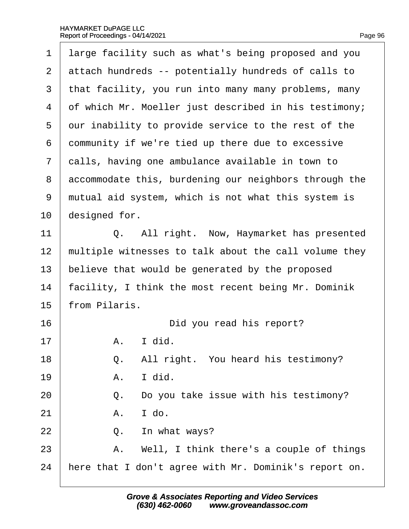| 1                        | large facility such as what's being proposed and you  |
|--------------------------|-------------------------------------------------------|
| 2                        | attach hundreds -- potentially hundreds of calls to   |
| 3                        | that facility, you run into many many problems, many  |
| $\overline{\mathcal{A}}$ | of which Mr. Moeller just described in his testimony; |
| 5                        | dur inability to provide service to the rest of the   |
| 6                        | dommunity if we're tied up there due to excessive     |
| 7                        | dalls, having one ambulance available in town to      |
| 8                        | accommodate this, burdening our neighbors through the |
| 9                        | mutual aid system, which is not what this system is   |
| 10                       | designed for.                                         |
| 11                       | Q. All right. Now, Haymarket has presented            |
| 12                       | multiple witnesses to talk about the call volume they |
| 13                       | believe that would be generated by the proposed       |
| 14                       | facility, I think the most recent being Mr. Dominik   |
| 15                       | from Pilaris.                                         |
| 16                       | Did you read his report?                              |
| 17                       | I did.<br>А.                                          |
| 18                       | Q. All right. You heard his testimony?                |
| 19                       | I did.<br>A.                                          |
| 20                       | Do you take issue with his testimony?<br>Q.           |
| 21                       | I do.<br>A.                                           |
| 22                       | Q.<br>In what ways?                                   |
| 23                       | A. Well, I think there's a couple of things           |
| 24                       | here that I don't agree with Mr. Dominik's report on. |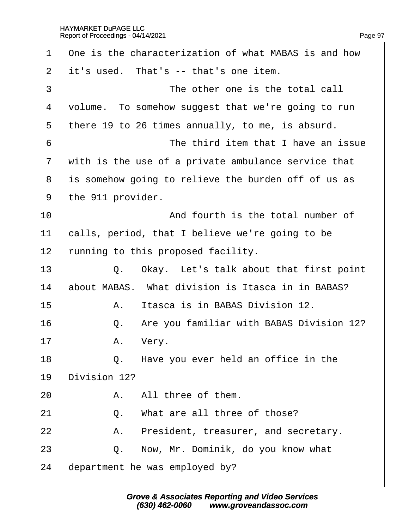| 1  | One is the characterization of what MABAS is and how |
|----|------------------------------------------------------|
| 2  | it's used. That's -- that's one item.                |
| 3  | The other one is the total call                      |
| 4  | volume. To somehow suggest that we're going to run   |
| 5  | there 19 to 26 times annually, to me, is absurd.     |
| 6  | The third item that I have an issue                  |
| 7  | with is the use of a private ambulance service that  |
| 8  | is somehow going to relieve the burden off of us as  |
| 9  | the 911 provider.                                    |
| 10 | And fourth is the total number of                    |
| 11 | calls, period, that I believe we're going to be      |
| 12 | funning to this proposed facility.                   |
| 13 | Q. Okay. Let's talk about that first point           |
| 14 | about MABAS. What division is Itasca in in BABAS?    |
| 15 | Itasca is in BABAS Division 12.<br>А.                |
| 16 | Are you familiar with BABAS Division 12?<br>Q.       |
| 17 | A. Very.                                             |
| 18 | Q. Have you ever held an office in the               |
| 19 | Division 12?                                         |
| 20 | A. All three of them.                                |
| 21 | What are all three of those?<br>Q.                   |
| 22 | President, treasurer, and secretary.<br>А.           |
| 23 | Now, Mr. Dominik, do you know what<br>Q.             |
| 24 | department he was employed by?                       |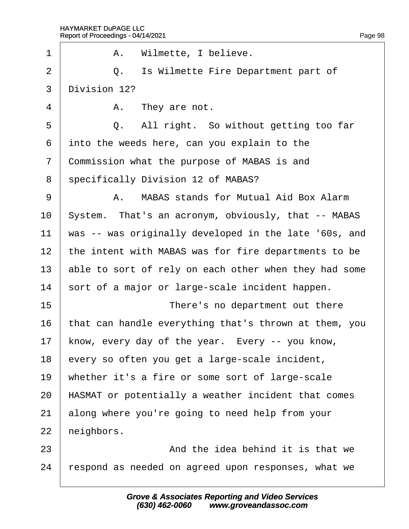#### HAYMARKET DuPAGE LLC Report of Proceedings - 04/14/2021  $\overline{a}$

| 1              | A. Wilmette, I believe.                               |
|----------------|-------------------------------------------------------|
| $\overline{2}$ | Is Wilmette Fire Department part of<br>Q.             |
| 3              | Division 12?                                          |
| 4              | A. They are not.                                      |
| 5              | All right. So without getting too far<br>Q.           |
| 6              | into the weeds here, can you explain to the           |
| $\overline{7}$ | Commission what the purpose of MABAS is and           |
| 8              | specifically Division 12 of MABAS?                    |
| 9              | A. MABAS stands for Mutual Aid Box Alarm              |
| 10             | System. That's an acronym, obviously, that -- MABAS   |
| 11             | was -- was originally developed in the late '60s, and |
| 12             | the intent with MABAS was for fire departments to be  |
| 13             | able to sort of rely on each other when they had some |
| 14             | sort of a major or large-scale incident happen.       |
| 15             | There's no department out there                       |
| 16             | that can handle everything that's thrown at them, you |
| 17             | know, every day of the year. Every -- you know,       |
| 18             | every so often you get a large-scale incident,        |
| 19             | whether it's a fire or some sort of large-scale       |
| 20             | HASMAT or potentially a weather incident that comes   |
| 21             | along where you're going to need help from your       |
| 22             | heighbors.                                            |
| 23             | And the idea behind it is that we                     |
| 24             | respond as needed on agreed upon responses, what we   |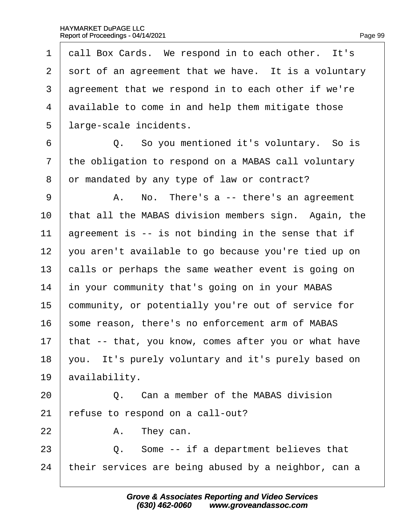1 dall Box Cards. We respond in to each other. It's 2 sort of an agreement that we have. It is a voluntary 3 dareement that we respond in to each other if we're 4 divailable to come in and help them mitigate those 5 large-scale incidents. 6 **Q.** So you mentioned it's voluntary. So is 7 the obligation to respond on a MABAS call voluntary 8 or mandated by any type of law or contract? 9 | A. No. There's a -- there's an agreement 10 that all the MABAS division members sign. Again, the 11 agreement is -- is not binding in the sense that if 12 you aren't available to go because you're tied up on 13 balls or perhaps the same weather event is going on 14 in your community that's going on in your MABAS 15 community, or potentially you're out of service for 16 some reason, there's no enforcement arm of MABAS 17 that -- that, you know, comes after you or what have 18 you. It's purely voluntary and it's purely based on 19 *availability*. 20· · · · · ·Q.· ·Can a member of the MABAS division 21  $\epsilon$  refuse to respond on a call-out?  $22$  | A. They can.  $23$   $\Box$  Q. Some -- if a department believes that 24 their services are being abused by a neighbor, can a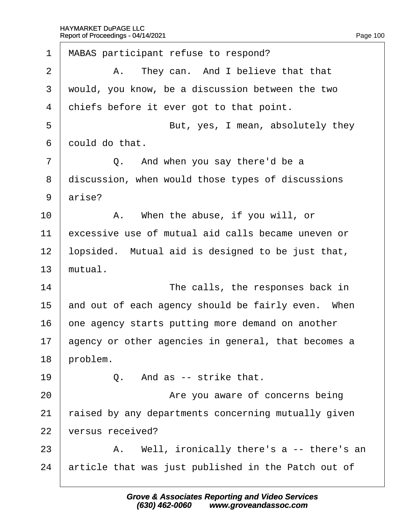| $\mathbf 1$    | MABAS participant refuse to respond?                |
|----------------|-----------------------------------------------------|
| $\overline{2}$ | A. They can. And I believe that that                |
| 3              | would, you know, be a discussion between the two    |
| 4              | chiefs before it ever got to that point.            |
| 5              | But, yes, I mean, absolutely they                   |
| 6              | dould do that.                                      |
| $\overline{7}$ | Q. And when you say there'd be a                    |
| 8              | discussion, when would those types of discussions   |
| 9              | arise?                                              |
| 10             | A. When the abuse, if you will, or                  |
| 11             | excessive use of mutual aid calls became uneven or  |
| 12             | lopsided. Mutual aid is designed to be just that,   |
| 13             | mutual.                                             |
| 14             | The calls, the responses back in                    |
| 15             | and out of each agency should be fairly even. When  |
| 16             | one agency starts putting more demand on another    |
| 17             | agency or other agencies in general, that becomes a |
| 18             | problem.                                            |
| 19             | Q. And as -- strike that.                           |
| 20             | Are you aware of concerns being                     |
| 21             | raised by any departments concerning mutually given |
| 22             | versus received?                                    |
| 23             | A. Well, ironically there's a -- there's an         |
| 24             | article that was just published in the Patch out of |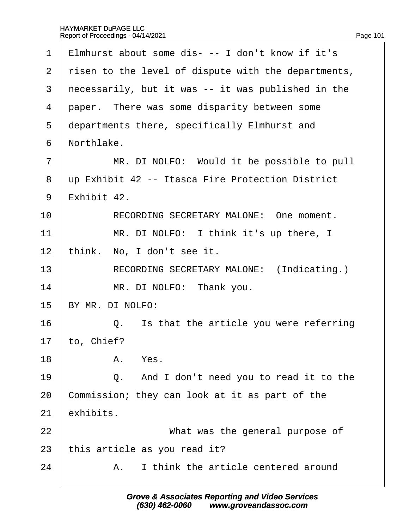| 1                | Elmhurst about some dis- -- I don't know if it's    |
|------------------|-----------------------------------------------------|
| 2                | risen to the level of dispute with the departments, |
| 3                | necessarily, but it was -- it was published in the  |
| 4                | paper. There was some disparity between some        |
| 5                | departments there, specifically Elmhurst and        |
| 6                | Northlake.                                          |
| $\overline{7}$   | MR. DI NOLFO: Would it be possible to pull          |
| 8                | up Exhibit 42 -- Itasca Fire Protection District    |
| 9                | Exhibit 42.                                         |
| 10               | RECORDING SECRETARY MALONE: One moment.             |
| 11               | MR. DI NOLFO: I think it's up there, I              |
| 12               | think. No, I don't see it.                          |
| 13               | RECORDING SECRETARY MALONE: (Indicating.)           |
| 14               | MR. DI NOLFO: Thank you.                            |
| 15               | BY MR. DI NOLFO:                                    |
| 16               | Q. Is that the article you were referring           |
| 17 <sup>17</sup> | to, Chief?                                          |
| 18               | A. Yes.                                             |
| 19               | Q. And I don't need you to read it to the           |
| 20               | Commission; they can look at it as part of the      |
| 21               | exhibits.                                           |
| 22               | What was the general purpose of                     |
| 23               | this article as you read it?                        |
| 24               | A. I think the article centered around              |
|                  |                                                     |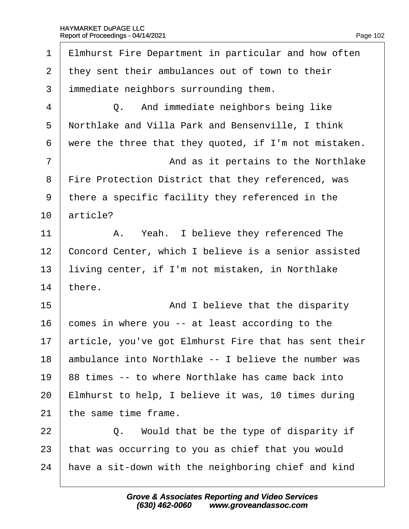| $\mathbf 1$ | Elmhurst Fire Department in particular and how often  |
|-------------|-------------------------------------------------------|
| 2           | they sent their ambulances out of town to their       |
| 3           | immediate neighbors surrounding them.                 |
| 4           | Q. And immediate neighbors being like                 |
| 5           | Northlake and Villa Park and Bensenville, I think     |
| 6           | were the three that they quoted, if I'm not mistaken. |
| 7           | And as it pertains to the Northlake                   |
| 8           | Fire Protection District that they referenced, was    |
| 9           | there a specific facility they referenced in the      |
| 10          | article?                                              |
| 11          | A. Yeah. I believe they referenced The                |
| 12          | Concord Center, which I believe is a senior assisted  |
| 13          | living center, if I'm not mistaken, in Northlake      |
| 14          | there.                                                |
| 15          | And I believe that the disparity                      |
| 16          | comes in where you -- at least according to the       |
| 17          | article, you've got Elmhurst Fire that has sent their |
| 18          | ambulance into Northlake -- I believe the number was  |
| 19          | 88 times -- to where Northlake has came back into     |
| 20          | Elmhurst to help, I believe it was, 10 times during   |
| 21          | the same time frame.                                  |
| 22          | Q. Would that be the type of disparity if             |
| 23          | that was occurring to you as chief that you would     |
| 24          | have a sit-down with the neighboring chief and kind   |
|             |                                                       |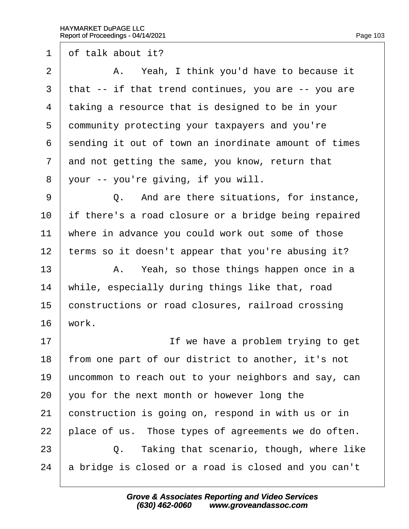1 of talk about it?

 $2 \mid$  A. Yeah, I think you'd have to because it 3 that -- if that trend continues, you are -- you are 4 taking a resource that is designed to be in your 5 dommunity protecting your taxpayers and you're 6 sending it out of town an inordinate amount of times 7 and not getting the same, you know, return that 8 your -- you're giving, if you will. 9 | Q. And are there situations, for instance, 10 if there's a road closure or a bridge being repaired 11 where in advance you could work out some of those 12 terms so it doesn't appear that you're abusing it?  $13$  | A. Yeah, so those things happen once in a 14 while, especially during things like that, road 15 constructions or road closures, railroad crossing  $16$  work. 17 **If we have a problem trying to get** 18 from one part of our district to another, it's not 19 uncommon to reach out to your neighbors and say, can 20  $\sqrt{20}$  vou for the next month or however long the 21 construction is going on, respond in with us or in 22 blace of us. Those types of agreements we do often. 23 **Q.** Taking that scenario, though, where like 24 a bridge is closed or a road is closed and you can't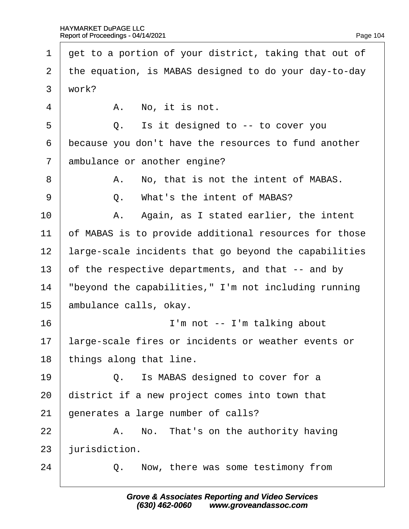- 1 det to a portion of your district, taking that out of
- ·2· ·the equation, is MABAS designed to do your day-to-day
- $3$  work?
- $4 \mid$  A. No. it is not.
- $5 \mid Q_i$  is it designed to  $-i$  to cover you
- 6 because you don't have the resources to fund another
- 7 ambulance or another engine?
- 8 | A. No, that is not the intent of MABAS.
- 9 **9 Q.** What's the intent of MABAS?
- $10$  | A. Again, as I stated earlier, the intent
- 11 of MABAS is to provide additional resources for those
- 12 large-scale incidents that go beyond the capabilities
- 13 of the respective departments, and that -- and by
- 14 *"beyond the capabilities," I'm not including running*
- 15 ambulance calls, okay.
- 16 **I'm not -- I'm talking about**
- 17 large-scale fires or incidents or weather events or
- 18 things along that line.
- $19$   $\Box$  Q. Is MABAS designed to cover for a
- 20 district if a new project comes into town that
- 21 generates a large number of calls?
- $22$  | A. No. That's on the authority having

23 *iurisdiction*.

 $24$   $\phantom{0}$  Q. Now, there was some testimony from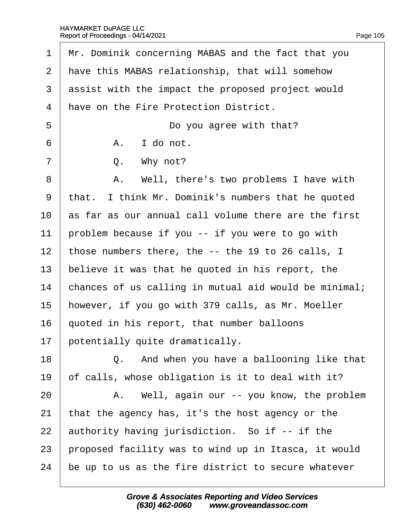| 1              | Mr. Dominik concerning MABAS and the fact that you    |
|----------------|-------------------------------------------------------|
| 2              | have this MABAS relationship, that will somehow       |
| 3              | assist with the impact the proposed project would     |
| 4              | have on the Fire Protection District.                 |
| 5              | Do you agree with that?                               |
| 6              | A. I do not.                                          |
| $\overline{7}$ | Q. Why not?                                           |
| 8              | A. Well, there's two problems I have with             |
| 9              | that. I think Mr. Dominik's numbers that he quoted    |
| 10             | as far as our annual call volume there are the first  |
| 11             | problem because if you -- if you were to go with      |
| 12             | those numbers there, the -- the 19 to 26 calls, I     |
| 13             | believe it was that he quoted in his report, the      |
| 14             | chances of us calling in mutual aid would be minimal; |
| 15             | however, if you go with 379 calls, as Mr. Moeller     |
| 16             | quoted in his report, that number balloons            |
| 17             | potentially quite dramatically.                       |
| 18             | Q. And when you have a ballooning like that           |
| 19             | of calls, whose obligation is it to deal with it?     |
| 20             | A. Well, again our -- you know, the problem           |
| 21             | that the agency has, it's the host agency or the      |
| 22             | authority having jurisdiction. So if -- if the        |
| 23             | proposed facility was to wind up in Itasca, it would  |
| 24             | be up to us as the fire district to secure whatever   |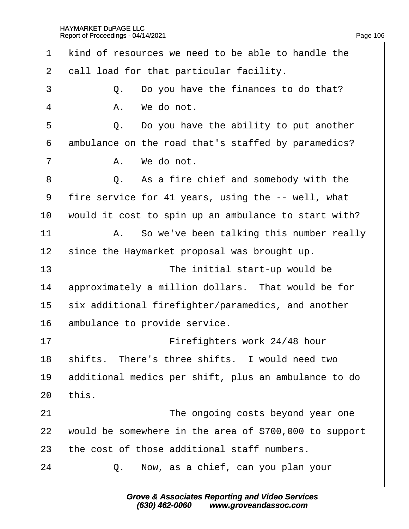1 kind of resources we need to be able to handle the 2 dall load for that particular facility.  $\overline{3}$   $\overline{Q}$ . Do you have the finances to do that?  $4 \mid$  A. We do not.  $5 \mid Q_i$ . Do you have the ability to put another 6 dmbulance on the road that's staffed by paramedics?  $7 \parallel$  A. We do not. 8 **Q.** As a fire chief and somebody with the ·9· ·fire service for 41 years, using the -- well, what 10 would it cost to spin up an ambulance to start with?  $11$   $\parallel$  A. So we've been talking this number really 12 since the Haymarket proposal was brought up. 13 **I** The initial start-up would be 14 approximately a million dollars. That would be for 15 six additional firefighter/paramedics, and another 16 ambulance to provide service. 17 | Firefighters work 24/48 hour 18 shifts. There's three shifts. I would need two 19 additional medics per shift, plus an ambulance to do  $20$  this. 21 **I** The ongoing costs beyond year one 22 would be somewhere in the area of \$700,000 to support 23 the cost of those additional staff numbers.  $24$   $\Box$  Q. Now, as a chief, can you plan your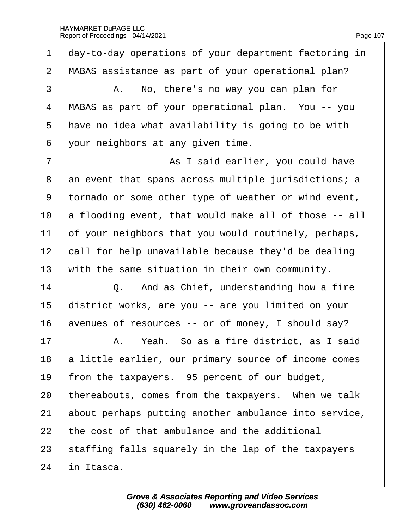1 day-to-day operations of your department factoring in 2 MABAS assistance as part of your operational plan?  $3 \mid$  A. No, there's no way you can plan for 4 MABAS as part of your operational plan. You -- you 5 have no idea what availability is going to be with ·6· ·your neighbors at any given time. 7 | As I said earlier, you could have 8 an event that spans across multiple jurisdictions; a ·9· ·tornado or some other type of weather or wind event, 10 a flooding event, that would make all of those -- all 11 bet your neighbors that you would routinely, perhaps, 12 call for help unavailable because they'd be dealing 13 with the same situation in their own community.  $14$   $\Box$  Q. And as Chief, understanding how a fire 15 district works, are you -- are you limited on your 16 avenues of resources -- or of money, I should say?  $17$   $\parallel$  A. Yeah. So as a fire district, as I said 18 **b** little earlier, our primary source of income comes 19 from the taxpayers. 95 percent of our budget, 20 thereabouts, comes from the taxpayers. When we talk 21 about perhaps putting another ambulance into service, 22 the cost of that ambulance and the additional 23 staffing falls squarely in the lap of the taxpayers 24 in Itasca.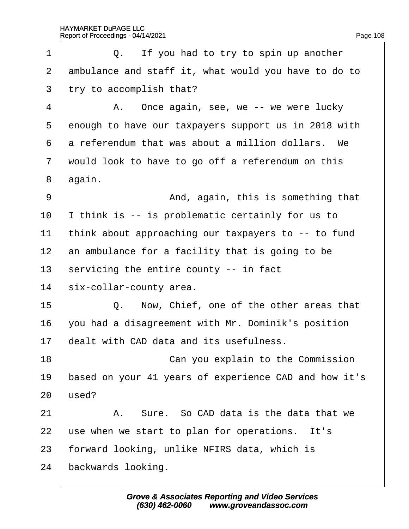| 1              | Q. If you had to try to spin up another               |
|----------------|-------------------------------------------------------|
| 2              | ambulance and staff it, what would you have to do to  |
| 3              | try to accomplish that?                               |
| 4              | A. Once again, see, we -- we were lucky               |
| 5              | enough to have our taxpayers support us in 2018 with  |
| 6              | a referendum that was about a million dollars. We     |
| $\overline{7}$ | would look to have to go off a referendum on this     |
| 8              | again.                                                |
| 9              | And, again, this is something that                    |
| 10             | think is -- is problematic certainly for us to        |
| 11             | think about approaching our taxpayers to -- to fund   |
| 12             | an ambulance for a facility that is going to be       |
| 13             | servicing the entire county -- in fact                |
| 14             | six-collar-county area.                               |
| 15             | Q. Now, Chief, one of the other areas that            |
| 16             | you had a disagreement with Mr. Dominik's position    |
| 17             | dealt with CAD data and its usefulness.               |
| 18             | Can you explain to the Commission                     |
| 19             | based on your 41 years of experience CAD and how it's |
| 20             | used?                                                 |
| 21             | A. Sure. So CAD data is the data that we              |
| 22             | use when we start to plan for operations. It's        |
| 23             | forward looking, unlike NFIRS data, which is          |
| 24             | backwards looking.                                    |
|                |                                                       |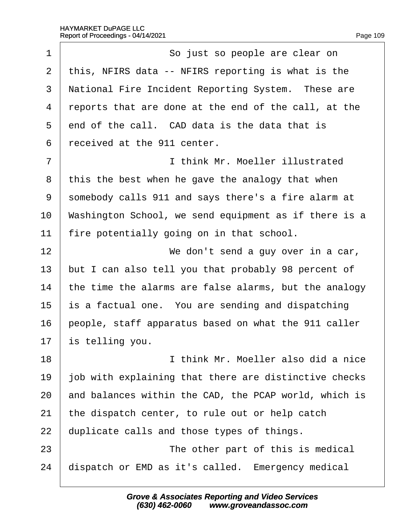| 1              | So just so people are clear on                        |
|----------------|-------------------------------------------------------|
| 2              | this, NFIRS data -- NFIRS reporting is what is the    |
| 3              | National Fire Incident Reporting System. These are    |
| 4              | reports that are done at the end of the call, at the  |
| 5              | end of the call. CAD data is the data that is         |
| 6              | received at the 911 center.                           |
| $\overline{7}$ | I think Mr. Moeller illustrated                       |
| 8              | this the best when he gave the analogy that when      |
| 9              | somebody calls 911 and says there's a fire alarm at   |
| 10             | Washington School, we send equipment as if there is a |
| 11             | fire potentially going on in that school.             |
| 12             | We don't send a guy over in a car,                    |
| 13             | but I can also tell you that probably 98 percent of   |
| 14             | the time the alarms are false alarms, but the analogy |
| 15             | s a factual one. You are sending and dispatching      |
| 16             | people, staff apparatus based on what the 911 caller  |
| 17             | is telling you.                                       |
| 18             | I think Mr. Moeller also did a nice                   |
| 19             | job with explaining that there are distinctive checks |
| 20             | and balances within the CAD, the PCAP world, which is |
| 21             | the dispatch center, to rule out or help catch        |
| 22             | duplicate calls and those types of things.            |
| 23             | The other part of this is medical                     |
| 24             | dispatch or EMD as it's called. Emergency medical     |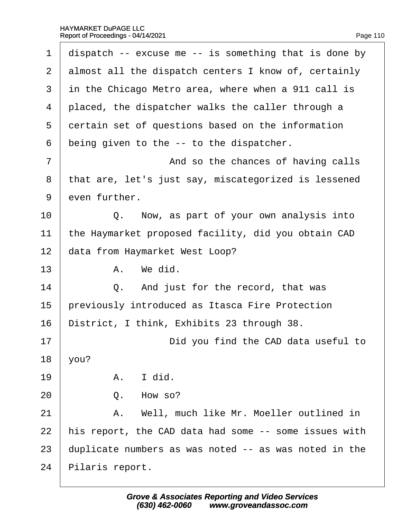| 1              | dispatch -- excuse me -- is something that is done by |
|----------------|-------------------------------------------------------|
| $\overline{2}$ | almost all the dispatch centers I know of, certainly  |
| 3              | in the Chicago Metro area, where when a 911 call is   |
| 4              | placed, the dispatcher walks the caller through a     |
| 5              | dertain set of questions based on the information     |
| 6              | being given to the -- to the dispatcher.              |
| $\overline{7}$ | And so the chances of having calls                    |
| 8              | that are, let's just say, miscategorized is lessened  |
| 9              | even further.                                         |
| 10             | Q. Now, as part of your own analysis into             |
| 11             | the Haymarket proposed facility, did you obtain CAD   |
| 12             | data from Haymarket West Loop?                        |
| 13             | A. We did.                                            |
| 14             | Q. And just for the record, that was                  |
| 15             | previously introduced as Itasca Fire Protection       |
| 16             | District, I think, Exhibits 23 through 38.            |
| 17             | Did you find the CAD data useful to                   |
| 18             | you?                                                  |
| 19             | I did.<br>А.                                          |
| 20             | How so?<br>Q.                                         |
| 21             | A. Well, much like Mr. Moeller outlined in            |
| 22             | his report, the CAD data had some -- some issues with |
| 23             | duplicate numbers as was noted -- as was noted in the |
| 24             | Pilaris report.                                       |
|                |                                                       |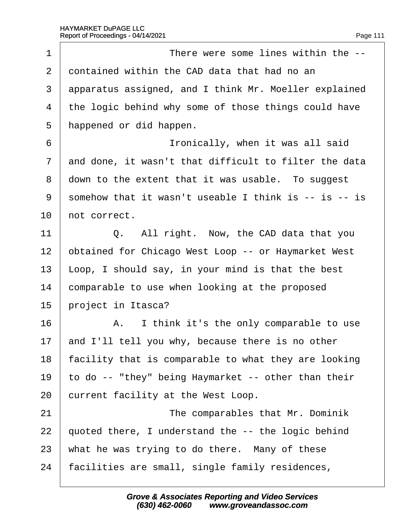| 1              | There were some lines within the --                   |
|----------------|-------------------------------------------------------|
| 2              | dontained within the CAD data that had no an          |
| 3              | apparatus assigned, and I think Mr. Moeller explained |
| 4              | the logic behind why some of those things could have  |
| 5              | happened or did happen.                               |
| 6              | Ironically, when it was all said                      |
| $\overline{7}$ | and done, it wasn't that difficult to filter the data |
| 8              | down to the extent that it was usable. To suggest     |
| 9              | somehow that it wasn't useable I think is -- is -- is |
| 10             | hot correct.                                          |
| 11             | Q. All right. Now, the CAD data that you              |
| 12             | obtained for Chicago West Loop -- or Haymarket West   |
| 13             | Loop, I should say, in your mind is that the best     |
| 14             | comparable to use when looking at the proposed        |
| 15             | project in Itasca?                                    |
| 16             | A. I think it's the only comparable to use            |
| 17             | and I'll tell you why, because there is no other      |
| 18             | facility that is comparable to what they are looking  |
| 19             | to do -- "they" being Haymarket -- other than their   |
| 20             | current facility at the West Loop.                    |
| 21             | The comparables that Mr. Dominik                      |
| 22             | quoted there, I understand the -- the logic behind    |
| 23             | what he was trying to do there. Many of these         |
| 24             | facilities are small, single family residences,       |
|                |                                                       |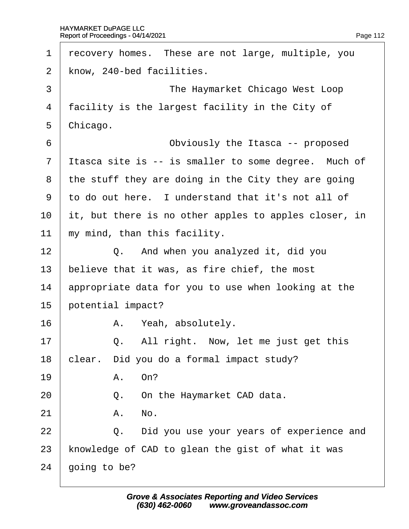| 1              | recovery homes. These are not large, multiple, you    |
|----------------|-------------------------------------------------------|
| $\overline{2}$ | know, 240-bed facilities.                             |
| 3              | The Haymarket Chicago West Loop                       |
| 4              | facility is the largest facility in the City of       |
| 5              | Chicago.                                              |
| 6              | Obviously the Itasca -- proposed                      |
| $\overline{7}$ | Itasca site is -- is smaller to some degree. Much of  |
| 8              | the stuff they are doing in the City they are going   |
| 9              | to do out here. I understand that it's not all of     |
| 10             | it, but there is no other apples to apples closer, in |
| 11             | my mind, than this facility.                          |
| 12             | Q. And when you analyzed it, did you                  |
| 13             | believe that it was, as fire chief, the most          |
| 14             | appropriate data for you to use when looking at the   |
| 15             | potential impact?                                     |
| 16             | A. Yeah, absolutely.                                  |
| 17             | Q. All right. Now, let me just get this               |
| 18             | clear. Did you do a formal impact study?              |
| 19             | A. On?                                                |
| 20             | Q. On the Haymarket CAD data.                         |
| 21             | A. No.                                                |
| 22             | Q. Did you use your years of experience and           |
| 23             | knowledge of CAD to glean the gist of what it was     |
| 24             | going to be?                                          |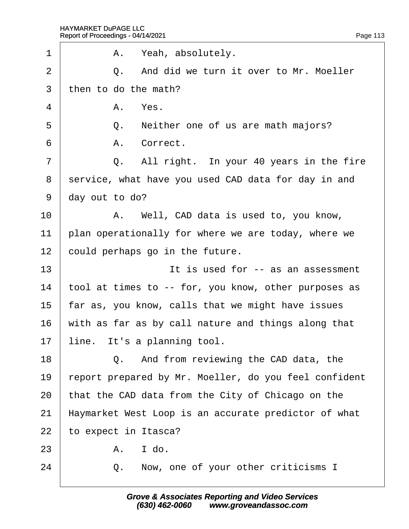| 1              |                | A. Yeah, absolutely.                                  |
|----------------|----------------|-------------------------------------------------------|
| $\overline{2}$ |                | Q. And did we turn it over to Mr. Moeller             |
| 3              |                | then to do the math?                                  |
| 4              |                | A. Yes.                                               |
| 5              |                | Q. Neither one of us are math majors?                 |
| 6              |                | A. Correct.                                           |
| $\overline{7}$ |                | Q. All right. In your 40 years in the fire            |
| 8              |                | service, what have you used CAD data for day in and   |
| 9              | day out to do? |                                                       |
| 10             |                | A. Well, CAD data is used to, you know,               |
| 11             |                | plan operationally for where we are today, where we   |
| 12             |                | could perhaps go in the future.                       |
| 13             |                | It is used for -- as an assessment                    |
| 14             |                | tool at times to -- for, you know, other purposes as  |
| 15             |                | far as, you know, calls that we might have issues     |
| 16             |                | with as far as by call nature and things along that   |
| 17             |                | line. It's a planning tool.                           |
| 18             |                | Q. And from reviewing the CAD data, the               |
| 19             |                | report prepared by Mr. Moeller, do you feel confident |
| 20             |                | that the CAD data from the City of Chicago on the     |
| 21             |                | Haymarket West Loop is an accurate predictor of what  |
| 22             |                | to expect in Itasca?                                  |
| 23             | А.             | I do.                                                 |
| 24             | Q.             | Now, one of your other criticisms I                   |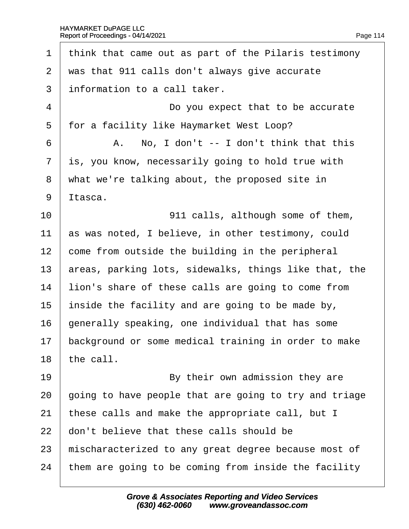1 think that came out as part of the Pilaris testimony 2 was that 911 calls don't always give accurate 3 information to a call taker. 4 **Do you expect that to be accurate** 5 for a facility like Haymarket West Loop?  $6 \mid$  A. No, I don't  $-1$  don't think that this 7 is, you know, necessarily going to hold true with 8 what we're talking about, the proposed site in 9 ltasca. 10 **911 calls, although some of them,** 11 as was noted, I believe, in other testimony, could 12 come from outside the building in the peripheral 13 areas, parking lots, sidewalks, things like that, the 14 lion's share of these calls are going to come from 15 inside the facility and are going to be made by, 16 denerally speaking, one individual that has some 17 background or some medical training in order to make 18 the call. 19 **By their own admission they are** 20 going to have people that are going to try and triage 21 these calls and make the appropriate call, but I 22 don't believe that these calls should be 23 mischaracterized to any great degree because most of 24 them are going to be coming from inside the facility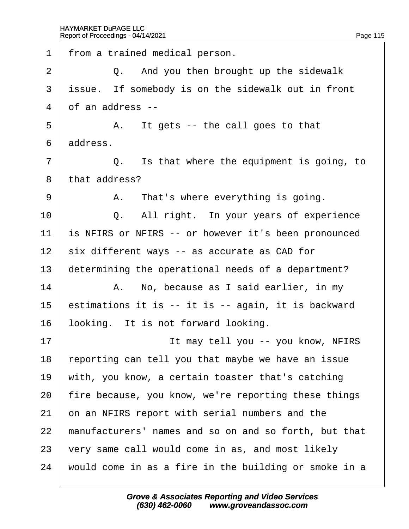1 from a trained medical person.  $2 \mid Q$ . And you then brought up the sidewalk 3 issue. If somebody is on the sidewalk out in front 4 of an address -- $5 \mid$  A. It gets -- the call goes to that 6 address.  $7 \mid$  Q. Is that where the equipment is going, to 8 that address?  $9 \mid$  A. That's where everything is going.  $10$   $\Box$  Q. All right. In your years of experience 11 is NFIRS or NFIRS -- or however it's been pronounced 12 six different ways -- as accurate as CAD for 13 determining the operational needs of a department?  $14$  | A. No, because as I said earlier, in my 15 estimations it is -- it is -- again, it is backward 16 looking. It is not forward looking. 17· · · · · · · · · · ·It may tell you -- you know, NFIRS 18 reporting can tell you that maybe we have an issue 19 with, you know, a certain toaster that's catching 20 fire because, you know, we're reporting these things 21 b n an NFIRS report with serial numbers and the 22 manufacturers' names and so on and so forth, but that 23  $\sqrt{v}$  very same call would come in as, and most likely 24 would come in as a fire in the building or smoke in a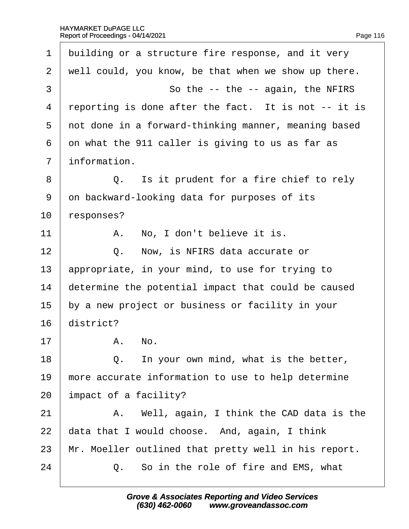|  | Page 116 |
|--|----------|
|  |          |

| 1              | building or a structure fire response, and it very   |
|----------------|------------------------------------------------------|
| $\overline{2}$ | well could, you know, be that when we show up there. |
| 3              | So the -- the -- again, the NFIRS                    |
| 4              | reporting is done after the fact. It is not -- it is |
| 5              | not done in a forward-thinking manner, meaning based |
| 6              | on what the 911 caller is giving to us as far as     |
| $\overline{7}$ | information.                                         |
| 8              | Q. Is it prudent for a fire chief to rely            |
| 9              | on backward-looking data for purposes of its         |
| 10             | responses?                                           |
| 11             | A. No, I don't believe it is.                        |
| 12             | Now, is NFIRS data accurate or<br>Q.                 |
| 13             | appropriate, in your mind, to use for trying to      |
| 14             | determine the potential impact that could be caused  |
| 15             | by a new project or business or facility in your     |
| 16             | district?                                            |
| 17             | A. No                                                |
| 18             | In your own mind, what is the better,<br>Q.          |
| 19             | more accurate information to use to help determine   |
| 20             | impact of a facility?                                |
| 21             | A. Well, again, I think the CAD data is the          |
| 22             | data that I would choose. And, again, I think        |
| 23             | Mr. Moeller outlined that pretty well in his report. |
| 24             | Q. So in the role of fire and EMS, what              |
|                |                                                      |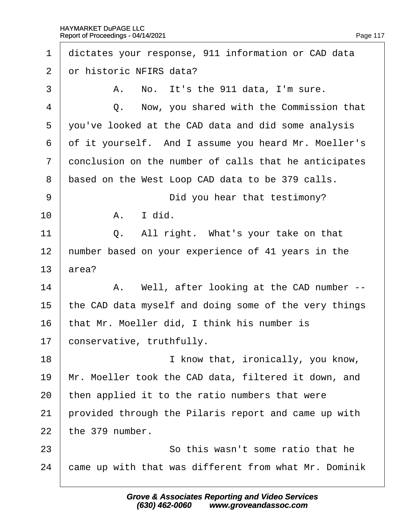| 1  | dictates your response, 911 information or CAD data   |
|----|-------------------------------------------------------|
| 2  | or historic NFIRS data?                               |
| 3  | A. No. It's the 911 data, I'm sure.                   |
| 4  | Now, you shared with the Commission that<br>Q.        |
| 5  | you've looked at the CAD data and did some analysis   |
| 6  | of it yourself. And I assume you heard Mr. Moeller's  |
| 7  | donclusion on the number of calls that he anticipates |
| 8  | based on the West Loop CAD data to be 379 calls.      |
| 9  | Did you hear that testimony?                          |
| 10 | A. I did.                                             |
| 11 | Q. All right. What's your take on that                |
| 12 | humber based on your experience of 41 years in the    |
| 13 | area?                                                 |
| 14 | A. Well, after looking at the CAD number --           |
| 15 | the CAD data myself and doing some of the very things |
| 16 | that Mr. Moeller did, I think his number is           |
| 17 | conservative, truthfully.                             |
| 18 | I know that, ironically, you know,                    |
| 19 | Mr. Moeller took the CAD data, filtered it down, and  |
| 20 | then applied it to the ratio numbers that were        |
| 21 | provided through the Pilaris report and came up with  |
| 22 | the 379 number.                                       |
| 23 | So this wasn't some ratio that he                     |
| 24 | came up with that was different from what Mr. Dominik |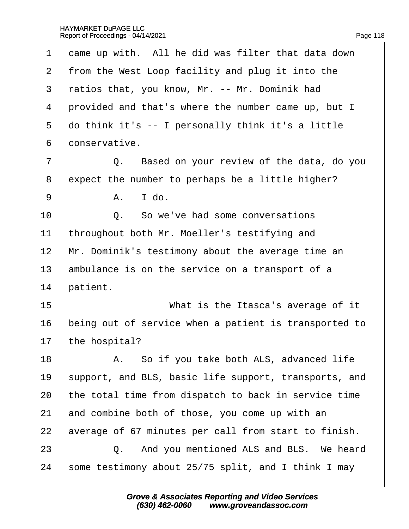| 1              | dame up with. All he did was filter that data down    |
|----------------|-------------------------------------------------------|
| 2              | from the West Loop facility and plug it into the      |
| 3              | ratios that, you know, Mr. -- Mr. Dominik had         |
| 4              | provided and that's where the number came up, but I   |
| 5              | do think it's -- I personally think it's a little     |
| 6              | donservative.                                         |
| $\overline{7}$ | Q. Based on your review of the data, do you           |
| 8              | expect the number to perhaps be a little higher?      |
| 9              | A. I do.                                              |
| 10             | Q. So we've had some conversations                    |
| 11             | throughout both Mr. Moeller's testifying and          |
| 12             | Mr. Dominik's testimony about the average time an     |
| 13             | ambulance is on the service on a transport of a       |
| 14             | patient.                                              |
| 15             | What is the Itasca's average of it                    |
| 16             | being out of service when a patient is transported to |
| 17             | the hospital?                                         |
| 18             | A. So if you take both ALS, advanced life             |
| 19             | support, and BLS, basic life support, transports, and |
| 20             | the total time from dispatch to back in service time  |
| 21             | and combine both of those, you come up with an        |
| 22             | average of 67 minutes per call from start to finish.  |
| 23             | Q. And you mentioned ALS and BLS. We heard            |
| 24             | some testimony about 25/75 split, and I think I may   |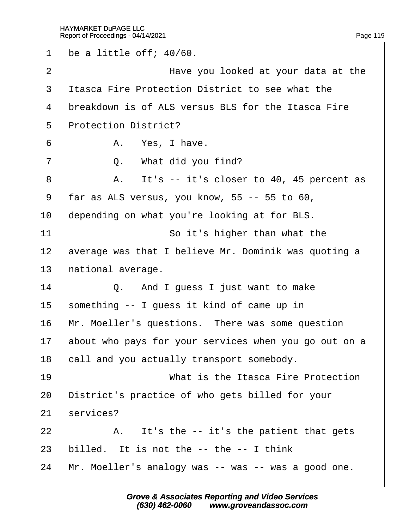1 be a little off;  $40/60$ . 2 **Have you looked at your data at the** 3 Itasca Fire Protection District to see what the 4 breakdown is of ALS versus BLS for the Itasca Fire 5 Protection District?  $6$  | A. Yes, I have.  $7 \mid$  Q. What did you find?  $8$  | A. It's -- it's closer to 40, 45 percent as ·9· ·far as ALS versus, you know, 55 -- 55 to 60, 10 depending on what you're looking at for BLS. 11 **So it's higher than what the** 12 average was that I believe Mr. Dominik was quoting a 13 hational average.  $14$   $\Box$  Q. And I guess I just want to make 15 something -- I guess it kind of came up in 16 Mr. Moeller's questions. There was some question 17 about who pays for your services when you go out on a 18 call and you actually transport somebody. 19 **I** What is the Itasca Fire Protection 20 District's practice of who gets billed for your 21 services?  $22$  | A. It's the -- it's the patient that gets 23 billed. It is not the  $-$ - the  $-$  I think 24 Mr. Moeller's analogy was -- was -- was a good one.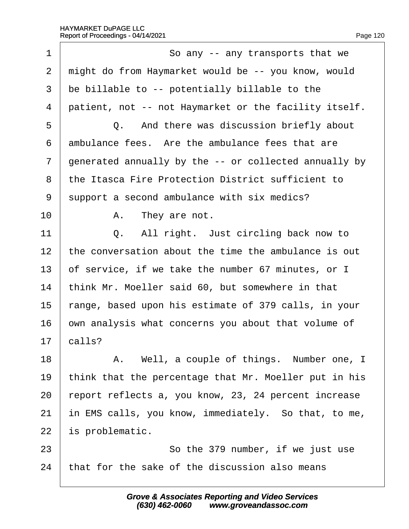| 1  | So any -- any transports that we                      |
|----|-------------------------------------------------------|
| 2  | might do from Haymarket would be -- you know, would   |
| 3  | be billable to -- potentially billable to the         |
| 4  | patient, not -- not Haymarket or the facility itself. |
| 5  | Q. And there was discussion briefly about             |
| 6  | ambulance fees. Are the ambulance fees that are       |
| 7  | generated annually by the -- or collected annually by |
| 8  | the Itasca Fire Protection District sufficient to     |
| 9  | support a second ambulance with six medics?           |
| 10 | A. They are not.                                      |
| 11 | Q. All right. Just circling back now to               |
| 12 | the conversation about the time the ambulance is out  |
| 13 | of service, if we take the number 67 minutes, or I    |
| 14 | think Mr. Moeller said 60, but somewhere in that      |
| 15 | range, based upon his estimate of 379 calls, in your  |
| 16 | own analysis what concerns you about that volume of   |
| 17 | calls?                                                |
| 18 | A. Well, a couple of things. Number one, I            |
| 19 | think that the percentage that Mr. Moeller put in his |
| 20 | report reflects a, you know, 23, 24 percent increase  |
| 21 | in EMS calls, you know, immediately. So that, to me,  |
| 22 | is problematic.                                       |
| 23 | So the 379 number, if we just use                     |
| 24 | that for the sake of the discussion also means        |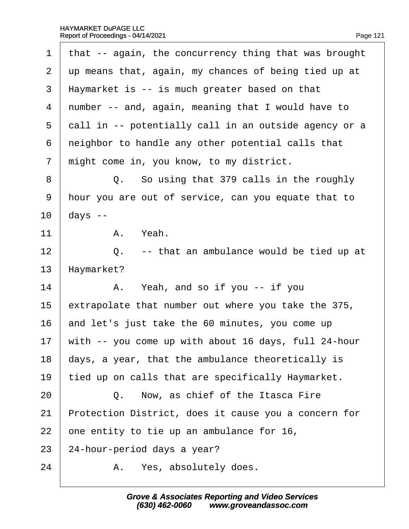| 1              | that -- again, the concurrency thing that was brought   |
|----------------|---------------------------------------------------------|
| $\overline{2}$ | up means that, again, my chances of being tied up at    |
| 3              | Haymarket is -- is much greater based on that           |
| 4              | number -- and, again, meaning that I would have to      |
| 5              | dall in -- potentially call in an outside agency or a   |
| 6              | neighbor to handle any other potential calls that       |
| $\overline{7}$ | might come in, you know, to my district.                |
| 8              | Q. So using that 379 calls in the roughly               |
| $9\,$          | hour you are out of service, can you equate that to     |
| 10             | days --                                                 |
| 11             | A. Yeah.                                                |
| 12             | Q. -- that an ambulance would be tied up at             |
| 13             | Haymarket?                                              |
| 14             | A. Yeah, and so if you -- if you                        |
| 15             | extrapolate that number out where you take the 375,     |
| 16             | and let's just take the 60 minutes, you come up         |
|                | 17 with -- you come up with about 16 days, full 24-hour |
| 18             | days, a year, that the ambulance theoretically is       |
| 19             | tied up on calls that are specifically Haymarket.       |
| 20             | Q. Now, as chief of the Itasca Fire                     |
| 21             | Protection District, does it cause you a concern for    |
| 22             | one entity to tie up an ambulance for 16,               |
| 23             | 24-hour-period days a year?                             |
| 24             | A. Yes, absolutely does.                                |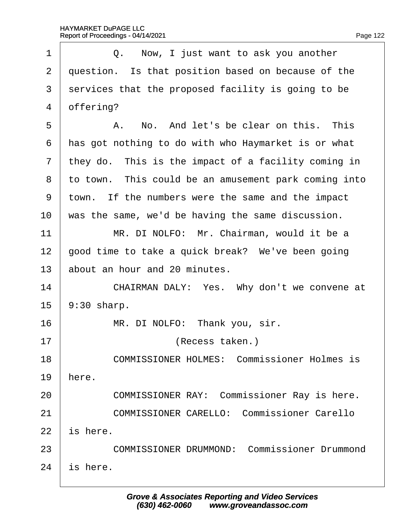| 1                     | Q. Now, I just want to ask you another               |
|-----------------------|------------------------------------------------------|
| $\mathbf{2}^{\prime}$ | question. Is that position based on because of the   |
| 3                     | services that the proposed facility is going to be   |
| 4                     | offering?                                            |
| 5                     | A. No. And let's be clear on this. This              |
| 6                     | has got nothing to do with who Haymarket is or what  |
| $\mathbf{7}$          | they do. This is the impact of a facility coming in  |
| 8                     | to town. This could be an amusement park coming into |
| 9                     | town. If the numbers were the same and the impact    |
| 10                    | was the same, we'd be having the same discussion.    |
| 11                    | MR. DI NOLFO: Mr. Chairman, would it be a            |
| 12                    | good time to take a quick break? We've been going    |
| 13                    | about an hour and 20 minutes.                        |
| 14                    | CHAIRMAN DALY: Yes. Why don't we convene at          |
| 15                    | $9:30$ sharp.                                        |
| 16                    | MR. DI NOLFO: Thank you, sir.                        |
| 17                    | (Recess taken.)                                      |
| 18                    | <b>COMMISSIONER HOLMES: Commissioner Holmes is</b>   |
| 19                    | here.                                                |
| 20                    | <b>COMMISSIONER RAY: Commissioner Ray is here.</b>   |
| 21                    | <b>COMMISSIONER CARELLO: Commissioner Carello</b>    |
| 22                    | is here.                                             |
| 23                    | <b>COMMISSIONER DRUMMOND: Commissioner Drummond</b>  |
| 24                    | is here.                                             |
|                       |                                                      |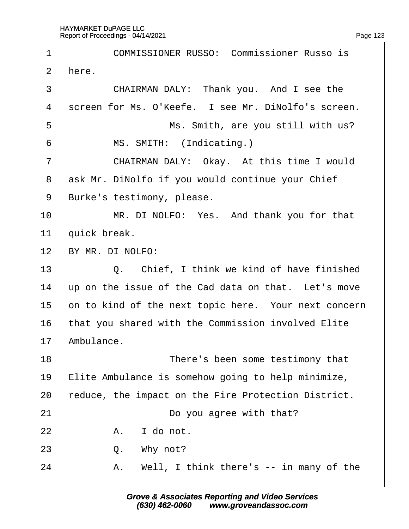| 1              | <b>COMMISSIONER RUSSO: Commissioner Russo is</b>     |
|----------------|------------------------------------------------------|
| 2              | here.                                                |
| 3              | CHAIRMAN DALY: Thank you. And I see the              |
| 4              | screen for Ms. O'Keefe. I see Mr. DiNolfo's screen.  |
| 5              | Ms. Smith, are you still with us?                    |
| 6              | MS. SMITH: (Indicating.)                             |
| $\overline{7}$ | CHAIRMAN DALY: Okay. At this time I would            |
| 8              | ask Mr. DiNolfo if you would continue your Chief     |
| 9              | Burke's testimony, please.                           |
| 10             | MR. DI NOLFO: Yes. And thank you for that            |
| 11             | quick break.                                         |
| 12             | BY MR. DI NOLFO:                                     |
| 13             | Q. Chief, I think we kind of have finished           |
| 14             | up on the issue of the Cad data on that. Let's move  |
| 15             | on to kind of the next topic here. Your next concern |
| 16             | that you shared with the Commission involved Elite   |
| 17             | Ambulance.                                           |
| 18             | There's been some testimony that                     |
| 19             | Elite Ambulance is somehow going to help minimize,   |
| 20             | reduce, the impact on the Fire Protection District.  |
| 21             | Do you agree with that?                              |
| 22             | A. I do not.                                         |
| 23             | Q. Why not?                                          |
| 24             | Well, I think there's -- in many of the<br>Α.        |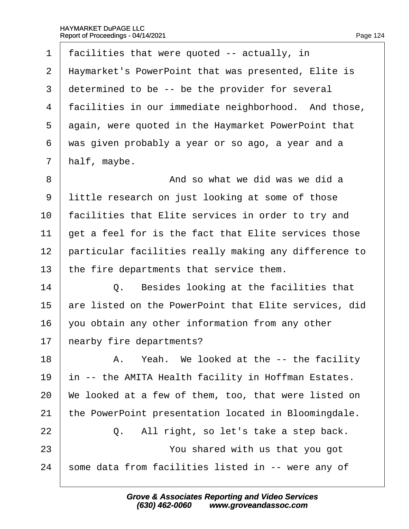| 1              | facilities that were quoted -- actually, in           |
|----------------|-------------------------------------------------------|
| $\overline{2}$ | Haymarket's PowerPoint that was presented, Elite is   |
| 3              | determined to be -- be the provider for several       |
| 4              | facilities in our immediate neighborhood. And those,  |
| 5              | again, were quoted in the Haymarket PowerPoint that   |
| 6              | was given probably a year or so ago, a year and a     |
| 7              | half, maybe.                                          |
| 8              | And so what we did was we did a                       |
| 9              | little research on just looking at some of those      |
| 10             | facilities that Elite services in order to try and    |
| 11             | get a feel for is the fact that Elite services those  |
| 12             | particular facilities really making any difference to |
| 13             | the fire departments that service them.               |
| 14             | Q. Besides looking at the facilities that             |
| 15             | are listed on the PowerPoint that Elite services, did |
| 16             | you obtain any other information from any other       |
| 17             | hearby fire departments?                              |
| 18             | A. Yeah. We looked at the -- the facility             |
| 19             | in -- the AMITA Health facility in Hoffman Estates.   |
| 20             | We looked at a few of them, too, that were listed on  |
| 21             | the PowerPoint presentation located in Bloomingdale.  |
| 22             | All right, so let's take a step back.<br>Q.           |
| 23             | You shared with us that you got                       |
| 24             | some data from facilities listed in -- were any of    |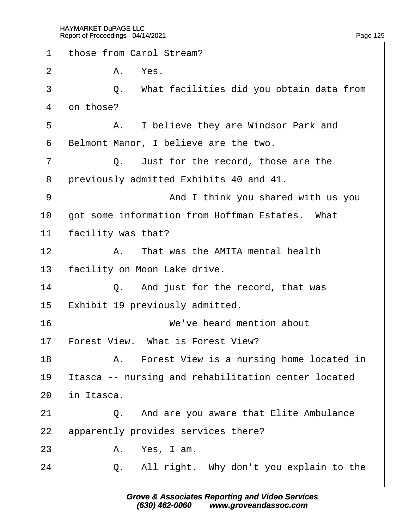| 1              | those from Carol Stream?                            |
|----------------|-----------------------------------------------------|
| 2              | A. Yes.                                             |
| 3              | Q. What facilities did you obtain data from         |
| 4              | on those?                                           |
| 5              | A. I believe they are Windsor Park and              |
| 6              | Belmont Manor, I believe are the two.               |
| $\overline{7}$ | Q. Just for the record, those are the               |
| 8              | previously admitted Exhibits 40 and 41.             |
| 9              | And I think you shared with us you                  |
| 10             | got some information from Hoffman Estates. What     |
| 11             | facility was that?                                  |
| 12             | A. That was the AMITA mental health                 |
| 13             | facility on Moon Lake drive.                        |
| 14             | Q. And just for the record, that was                |
| 15             | Exhibit 19 previously admitted.                     |
| 16             | We've heard mention about                           |
| 17             | Forest View. What is Forest View?                   |
| 18             | A. Forest View is a nursing home located in         |
| 19             | Itasca -- nursing and rehabilitation center located |
| 20             | in Itasca.                                          |
| 21             | Q. And are you aware that Elite Ambulance           |
| 22             | apparently provides services there?                 |
| 23             | A. Yes, I am.                                       |
| 24             | Q. All right. Why don't you explain to the          |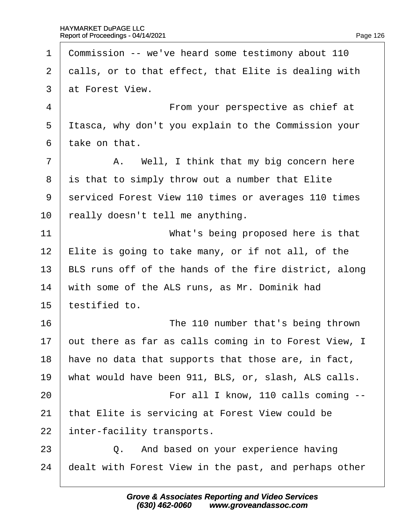1 Commission -- we've heard some testimony about 110 2 dalls, or to that effect, that Elite is dealing with 3 at Forest View. 4 **From your perspective as chief at** 5 Itasca, why don't you explain to the Commission your 6 take on that.  $7$  | A. Well, I think that my big concern here 8 is that to simply throw out a number that Elite 9 serviced Forest View 110 times or averages 110 times 10 really doesn't tell me anything. 11 **What's being proposed here is that** 12 Elite is going to take many, or if not all, of the 13 BLS runs off of the hands of the fire district, along 14 with some of the ALS runs, as Mr. Dominik had 15 testified to. 16 **The 110 number that's being thrown** 17 but there as far as calls coming in to Forest View, I 18 have no data that supports that those are, in fact, 19 what would have been 911, BLS, or, slash, ALS calls. 20 **For all I know, 110 calls coming --**21 that Elite is servicing at Forest View could be 22 inter-facility transports.  $23$   $\Box$  Q. And based on your experience having 24 dealt with Forest View in the past, and perhaps other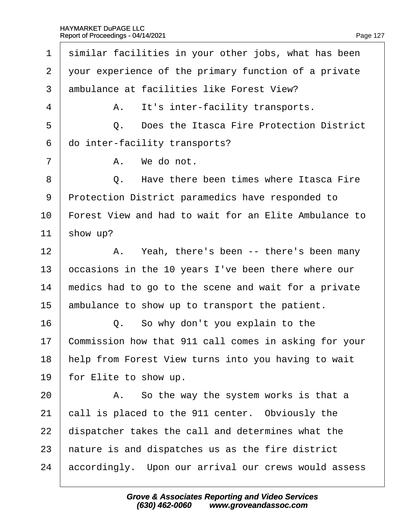| 1              | similar facilities in your other jobs, what has been  |
|----------------|-------------------------------------------------------|
| $\overline{2}$ | your experience of the primary function of a private  |
| 3              | ambulance at facilities like Forest View?             |
| 4              | A. It's inter-facility transports.                    |
| 5              | Q. Does the Itasca Fire Protection District           |
| 6              | do inter-facility transports?                         |
| 7              | A. We do not.                                         |
| 8              | Have there been times where Itasca Fire<br>Q.         |
| 9              | Protection District paramedics have responded to      |
| 10             | Forest View and had to wait for an Elite Ambulance to |
| 11             | show up?                                              |
| 12             | A. Yeah, there's been -- there's been many            |
| 13             | occasions in the 10 years I've been there where our   |
| 14             | medics had to go to the scene and wait for a private  |
| 15             | ambulance to show up to transport the patient.        |
| 16             | Q. So why don't you explain to the                    |
| 17             | Commission how that 911 call comes in asking for your |
| 18             | help from Forest View turns into you having to wait   |
| 19             | for Elite to show up.                                 |
| 20             | A. So the way the system works is that a              |
| 21             | call is placed to the 911 center. Obviously the       |
| 22             | dispatcher takes the call and determines what the     |
| 23             | hature is and dispatches us as the fire district      |
| 24             | accordingly. Upon our arrival our crews would assess  |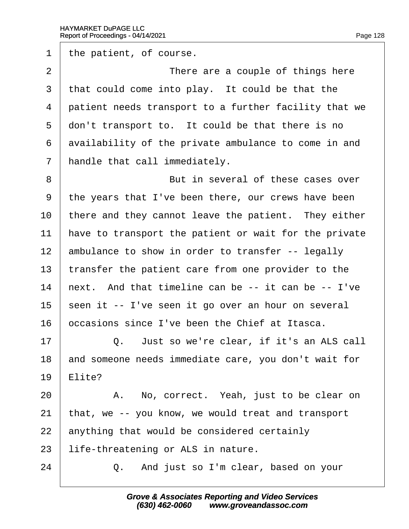1 the patient, of course. 2 **I** There are a couple of things here 3 that could come into play. It could be that the 4 patient needs transport to a further facility that we 5 don't transport to. It could be that there is no 6 availability of the private ambulance to come in and 7 handle that call immediately. 8 **But in several of these cases over** ·9· ·the years that I've been there, our crews have been 10 there and they cannot leave the patient. They either 11 have to transport the patient or wait for the private 12 ambulance to show in order to transfer -- legally 13 transfer the patient care from one provider to the 14 hext. And that timeline can be -- it can be -- I've 15 seen it -- I've seen it go over an hour on several 16 **b** occasions since I've been the Chief at Itasca.  $17$   $\Box$  Q. Just so we're clear, if it's an ALS call 18 and someone needs immediate care, you don't wait for 19 **Elite?** 20 | A. No, correct. Yeah, just to be clear on 21 that, we -- you know, we would treat and transport 22 anything that would be considered certainly 23 life-threatening or ALS in nature.  $24$   $\Box$  Q. And just so I'm clear, based on your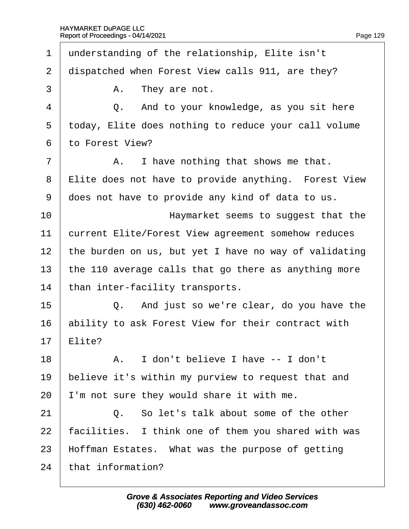·1· ·understanding of the relationship, Elite isn't 2 dispatched when Forest View calls 911, are they?  $3 \mid$  A. They are not. 4 **Q.** And to your knowledge, as you sit here 5 today, Elite does nothing to reduce your call volume ·6· ·to Forest View?  $7 \mid$  A. I have nothing that shows me that. 8 Elite does not have to provide anything. Forest View ·9· ·does not have to provide any kind of data to us. 10 **I EXECUTE:** Haymarket seems to suggest that the 11 **Current Elite/Forest View agreement somehow reduces** 12 the burden on us, but yet I have no way of validating 13 the 110 average calls that go there as anything more 14 than inter-facility transports.  $15$   $\Box$  Q. And just so we're clear, do you have the 16 ability to ask Forest View for their contract with 17 Elite? 18· · · · · ·A.· ·I don't believe I have -- I don't 19 believe it's within my purview to request that and 20 I'm not sure they would share it with me. 21· · · · · ·Q.· ·So let's talk about some of the other 22 facilities. I think one of them you shared with was 23 Hoffman Estates. What was the purpose of getting 24 that information?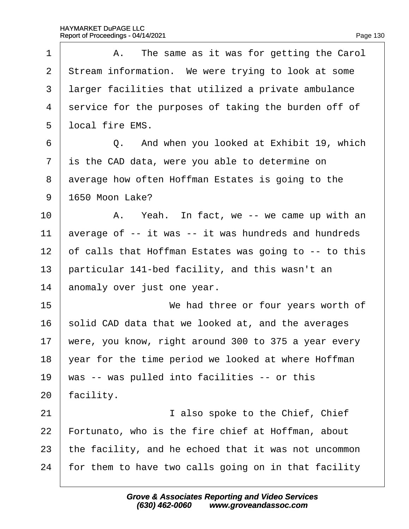| 1              | A. The same as it was for getting the Carol           |
|----------------|-------------------------------------------------------|
| $\overline{2}$ | Stream information. We were trying to look at some    |
| 3              | larger facilities that utilized a private ambulance   |
| 4              | service for the purposes of taking the burden off of  |
| 5              | Iocal fire EMS.                                       |
| 6              | Q. And when you looked at Exhibit 19, which           |
| $\overline{7}$ | is the CAD data, were you able to determine on        |
| 8              | average how often Hoffman Estates is going to the     |
| 9              | 1650 Moon Lake?                                       |
| 10             | A. Yeah. In fact, we -- we came up with an            |
| 11             | average of -- it was -- it was hundreds and hundreds  |
| 12             | of calls that Hoffman Estates was going to -- to this |
| 13             | particular 141-bed facility, and this wasn't an       |
| 14             | anomaly over just one year.                           |
| 15             | We had three or four years worth of                   |
| 16             | solid CAD data that we looked at, and the averages    |
| 17             | were, you know, right around 300 to 375 a year every  |
| 18             | year for the time period we looked at where Hoffman   |
| 19             | was -- was pulled into facilities -- or this          |
| 20             | facility.                                             |
| 21             | I also spoke to the Chief, Chief                      |
| 22             | Fortunato, who is the fire chief at Hoffman, about    |
| 23             | the facility, and he echoed that it was not uncommon  |
| 24             | for them to have two calls going on in that facility  |
|                |                                                       |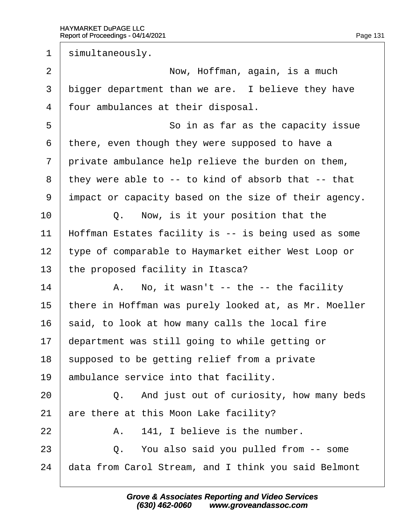1 simultaneously. 2 | Now, Hoffman, again, is a much 3 bigger department than we are. I believe they have 4 four ambulances at their disposal. 5 **So in as far as the capacity issue** 6 there, even though they were supposed to have a 7 private ambulance help relieve the burden on them, ·8· ·they were able to -- to kind of absorb that -- that ·9· ·impact or capacity based on the size of their agency.  $10$   $\Box$  Q. Now, is it your position that the 11 Hoffman Estates facility is -- is being used as some 12 type of comparable to Haymarket either West Loop or 13 the proposed facility in Itasca?  $14$  | A. No, it wasn't -- the -- the facility 15 there in Hoffman was purely looked at, as Mr. Moeller 16 said, to look at how many calls the local fire 17 department was still going to while getting or 18 supposed to be getting relief from a private 19 ambulance service into that facility.  $20$   $\Box$  Q. And just out of curiosity, how many beds 21 are there at this Moon Lake facility?  $22$  | A. 141, I believe is the number. 23 **Q.** You also said you pulled from -- some 24 data from Carol Stream, and I think you said Belmont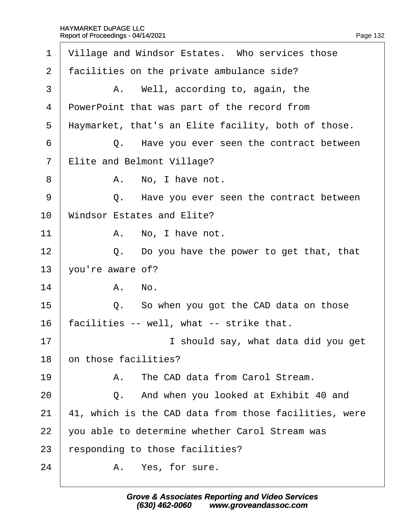| 1              | Village and Windsor Estates. Who services those       |
|----------------|-------------------------------------------------------|
| 2              | facilities on the private ambulance side?             |
| 3              | A. Well, according to, again, the                     |
| 4              | PowerPoint that was part of the record from           |
| 5              | Haymarket, that's an Elite facility, both of those.   |
| 6              | Q. Have you ever seen the contract between            |
| $\overline{7}$ | Elite and Belmont Village?                            |
| 8              | A. No, I have not.                                    |
| 9              | Q. Have you ever seen the contract between            |
| 10             | <b>Windsor Estates and Elite?</b>                     |
| 11             | A. No, I have not.                                    |
| 12             | Q. Do you have the power to get that, that            |
| 13             | you're aware of?                                      |
| 14             | A. No.                                                |
| 15             | Q. So when you got the CAD data on those              |
| 16             | facilities -- well, what -- strike that.              |
| 17             | I should say, what data did you get                   |
| 18             | on those facilities?                                  |
| 19             | A. The CAD data from Carol Stream.                    |
| 20             | Q. And when you looked at Exhibit 40 and              |
| 21             | 41, which is the CAD data from those facilities, were |
| 22             | you able to determine whether Carol Stream was        |
| 23             | responding to those facilities?                       |
| 24             | A. Yes, for sure.                                     |
|                |                                                       |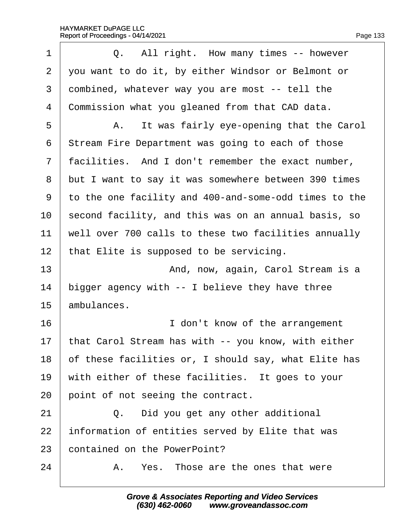| 1              | Q. All right. How many times -- however               |
|----------------|-------------------------------------------------------|
| $\overline{2}$ | you want to do it, by either Windsor or Belmont or    |
| 3              | dombined, whatever way you are most -- tell the       |
| 4              | Commission what you gleaned from that CAD data.       |
| 5              | A. It was fairly eye-opening that the Carol           |
| 6              | Stream Fire Department was going to each of those     |
| 7              | facilities. And I don't remember the exact number,    |
| 8              | but I want to say it was somewhere between 390 times  |
| 9              | to the one facility and 400-and-some-odd times to the |
| 10             | second facility, and this was on an annual basis, so  |
| 11             | well over 700 calls to these two facilities annually  |
| 12             | that Elite is supposed to be servicing.               |
| 13             | And, now, again, Carol Stream is a                    |
| 14             | bigger agency with -- I believe they have three       |
| 15             | ambulances.                                           |
| 16             | I don't know of the arrangement                       |
| 17             | that Carol Stream has with -- you know, with either   |
| 18             | of these facilities or, I should say, what Elite has  |
| 19             | with either of these facilities. It goes to your      |
| 20             | point of not seeing the contract.                     |
| 21             | Q. Did you get any other additional                   |
| 22             | information of entities served by Elite that was      |
| 23             | contained on the PowerPoint?                          |
| 24             | A. Yes. Those are the ones that were                  |
|                |                                                       |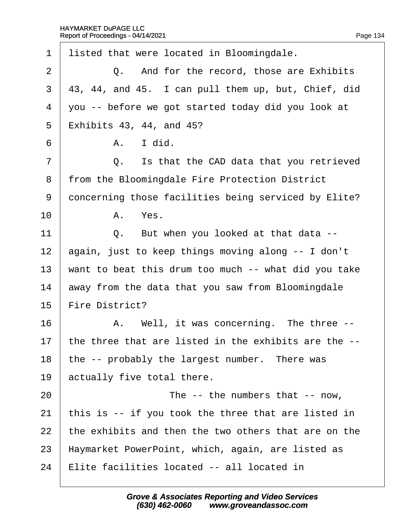| 1              | listed that were located in Bloomingdale.            |
|----------------|------------------------------------------------------|
| $\overline{2}$ | Q. And for the record, those are Exhibits            |
| 3              | 43, 44, and 45. I can pull them up, but, Chief, did  |
| 4              | you -- before we got started today did you look at   |
| 5              | <b>Exhibits 43, 44, and 45?</b>                      |
| 6              | I did.<br>A.                                         |
| $\overline{7}$ | Q. Is that the CAD data that you retrieved           |
| 8              | from the Bloomingdale Fire Protection District       |
| 9              | doncerning those facilities being serviced by Elite? |
| 10             | A. Yes.                                              |
| 11             | Q. But when you looked at that data --               |
| 12             | again, just to keep things moving along -- I don't   |
| 13             | want to beat this drum too much -- what did you take |
| 14             | away from the data that you saw from Bloomingdale    |
| 15             | Fire District?                                       |
| 16             | A. Well, it was concerning. The three --             |
| 17             | the three that are listed in the exhibits are the -- |
| 18             | the -- probably the largest number. There was        |
| 19             | actually five total there.                           |
| 20             | The -- the numbers that -- now,                      |
| 21             | this is -- if you took the three that are listed in  |
| 22             | the exhibits and then the two others that are on the |
| 23             | Haymarket PowerPoint, which, again, are listed as    |
| 24             | Elite facilities located -- all located in           |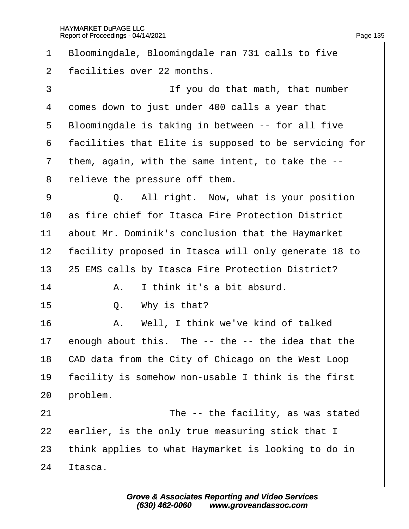| 1              | Bloomingdale, Bloomingdale ran 731 calls to five      |
|----------------|-------------------------------------------------------|
| $\overline{2}$ | facilities over 22 months.                            |
| 3              | If you do that math, that number                      |
| 4              | domes down to just under 400 calls a year that        |
| 5              | Bloomingdale is taking in between -- for all five     |
| 6              | facilities that Elite is supposed to be servicing for |
| $\overline{7}$ | them, again, with the same intent, to take the --     |
| 8              | relieve the pressure off them.                        |
| 9              | Q. All right. Now, what is your position              |
| 10             | as fire chief for Itasca Fire Protection District     |
| 11             | about Mr. Dominik's conclusion that the Haymarket     |
| 12             | facility proposed in Itasca will only generate 18 to  |
| 13             | 25 EMS calls by Itasca Fire Protection District?      |
| 14             | I think it's a bit absurd.<br>A.                      |
| 15             | Q. Why is that?                                       |
| 16             | A. Well, I think we've kind of talked                 |
| 17             | enough about this. The -- the -- the idea that the    |
| 18             | CAD data from the City of Chicago on the West Loop    |
| 19             | facility is somehow non-usable I think is the first   |
| 20             | problem.                                              |
| 21             | The -- the facility, as was stated                    |
| 22             | earlier, is the only true measuring stick that I      |
| 23             | think applies to what Haymarket is looking to do in   |
| 24             | tasca.                                                |
|                |                                                       |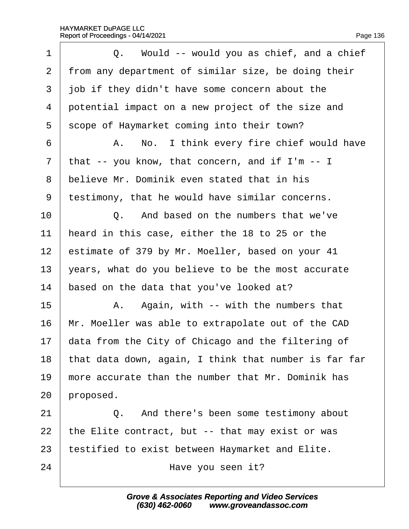| 1              | Q. Would -- would you as chief, and a chief           |
|----------------|-------------------------------------------------------|
| $\overline{2}$ | from any department of similar size, be doing their   |
| 3              | job if they didn't have some concern about the        |
| 4              | potential impact on a new project of the size and     |
| 5              | scope of Haymarket coming into their town?            |
| 6              | A. No. I think every fire chief would have            |
| $\overline{7}$ | that -- you know, that concern, and if I'm -- I       |
| 8              | believe Mr. Dominik even stated that in his           |
| 9              | testimony, that he would have similar concerns.       |
| 10             | Q. And based on the numbers that we've                |
| 11             | heard in this case, either the 18 to 25 or the        |
| 12             | estimate of 379 by Mr. Moeller, based on your 41      |
| 13             | years, what do you believe to be the most accurate    |
| 14             | based on the data that you've looked at?              |
| 15             | A. Again, with -- with the numbers that               |
| 16             | Mr. Moeller was able to extrapolate out of the CAD    |
| 17             | data from the City of Chicago and the filtering of    |
| 18             | that data down, again, I think that number is far far |
| 19             | more accurate than the number that Mr. Dominik has    |
| 20             | proposed.                                             |
| 21             | Q. And there's been some testimony about              |
| 22             | the Elite contract, but -- that may exist or was      |
| 23             | testified to exist between Haymarket and Elite.       |
| 24             | Have you seen it?                                     |
|                |                                                       |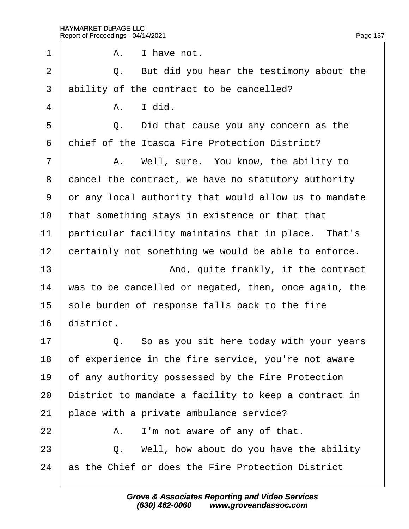| 1              | I have not.<br>А.                                     |
|----------------|-------------------------------------------------------|
| $\overline{2}$ | Q. But did you hear the testimony about the           |
| 3              | ability of the contract to be cancelled?              |
| 4              | A. I did.                                             |
| 5              | Did that cause you any concern as the<br>Q.           |
| 6              | chief of the Itasca Fire Protection District?         |
| 7              | A. Well, sure. You know, the ability to               |
| 8              | dancel the contract, we have no statutory authority   |
| 9              | or any local authority that would allow us to mandate |
| 10             | that something stays in existence or that that        |
| 11             | particular facility maintains that in place. That's   |
| 12             | certainly not something we would be able to enforce.  |
| 13             | And, quite frankly, if the contract                   |
| 14             | was to be cancelled or negated, then, once again, the |
| 15             | sole burden of response falls back to the fire        |
| 16             | district.                                             |
| 17             | Q. So as you sit here today with your years           |
| 18             | of experience in the fire service, you're not aware   |
| 19             | of any authority possessed by the Fire Protection     |
| 20             | District to mandate a facility to keep a contract in  |
| 21             | place with a private ambulance service?               |
| 22             | I'm not aware of any of that.<br>А.                   |
| 23             | Q. Well, how about do you have the ability            |
| 24             | as the Chief or does the Fire Protection District     |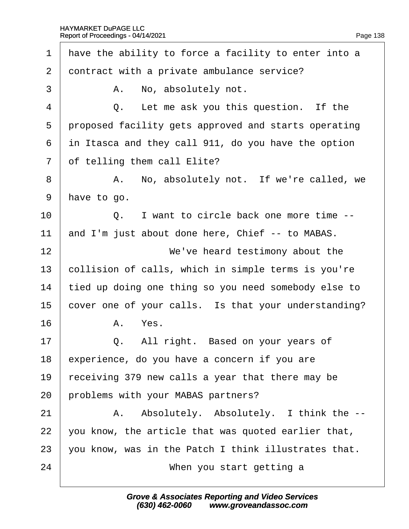1 have the ability to force a facility to enter into a 2 dontract with a private ambulance service? 3 | A. No, absolutely not.  $4 \mid Q$ . Let me ask you this question. If the 5 proposed facility gets approved and starts operating ·6· ·in Itasca and they call 911, do you have the option 7 of telling them call Elite? 8 | A. No, absolutely not. If we're called, we 9 have to go.  $10$   $\Box$  Q. I want to circle back one more time  $-$ 11 and I'm just about done here, Chief -- to MABAS. 12 **I** We've heard testimony about the 13 bollision of calls, which in simple terms is you're 14 tied up doing one thing so you need somebody else to 15 cover one of your calls. Is that your understanding?  $16$   $A$   $Yes$ .  $17$   $\Box$  Q. All right. Based on your years of 18  $\epsilon$  experience, do you have a concern if you are 19 receiving 379 new calls a year that there may be 20 problems with your MABAS partners? 21 | A. Absolutely. Absolutely. I think the --22  $\sqrt{2}$  you know, the article that was quoted earlier that, 23 vou know, was in the Patch I think illustrates that. 24 **I** When you start getting a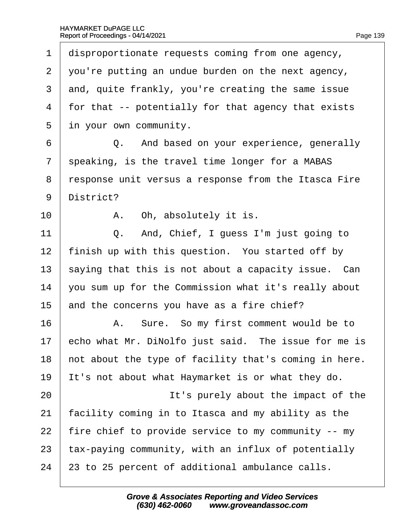1 disproportionate requests coming from one agency, 2 you're putting an undue burden on the next agency, 3 and, quite frankly, you're creating the same issue 4 for that -- potentially for that agency that exists 5 in your own community. 6 **Q.** And based on your experience, generally 7 speaking, is the travel time longer for a MABAS ·8· ·response unit versus a response from the Itasca Fire 9 District?  $10$   $\phantom{0}$  A. Oh, absolutely it is.  $11$   $\Box$   $\Box$  And, Chief, I guess I'm just going to 12 finish up with this question. You started off by 13 saying that this is not about a capacity issue. Can 14 you sum up for the Commission what it's really about 15 and the concerns you have as a fire chief? 16 | A. Sure. So my first comment would be to 17 echo what Mr. DiNolfo just said. The issue for me is 18 hot about the type of facility that's coming in here. 19 It's not about what Haymarket is or what they do. 20 **It's purely about the impact of the** 21 facility coming in to Itasca and my ability as the 22 fire chief to provide service to my community -- my 23 tax-paying community, with an influx of potentially 24 23 to 25 percent of additional ambulance calls.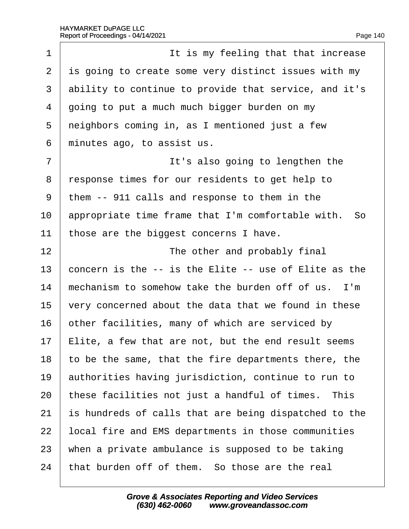| 1              | It is my feeling that that increase                   |
|----------------|-------------------------------------------------------|
| $\overline{2}$ | is going to create some very distinct issues with my  |
| 3              | ability to continue to provide that service, and it's |
| 4              | going to put a much much bigger burden on my          |
| 5              | neighbors coming in, as I mentioned just a few        |
| 6              | minutes ago, to assist us.                            |
| 7              | It's also going to lengthen the                       |
| 8              | response times for our residents to get help to       |
| 9              | them -- 911 calls and response to them in the         |
| 10             | appropriate time frame that I'm comfortable with. So  |
| 11             | those are the biggest concerns I have.                |
| 12             | The other and probably final                          |
| 13             | concern is the -- is the Elite -- use of Elite as the |
| 14             | mechanism to somehow take the burden off of us. I'm   |
| 15             | very concerned about the data that we found in these  |
| 16             | other facilities, many of which are serviced by       |
| 17             | Elite, a few that are not, but the end result seems   |
| 18             | to be the same, that the fire departments there, the  |
| 19             | authorities having jurisdiction, continue to run to   |
| 20             | these facilities not just a handful of times. This    |
| 21             | is hundreds of calls that are being dispatched to the |
| 22             | local fire and EMS departments in those communities   |
| 23             | when a private ambulance is supposed to be taking     |
| 24             | that burden off of them. So those are the real        |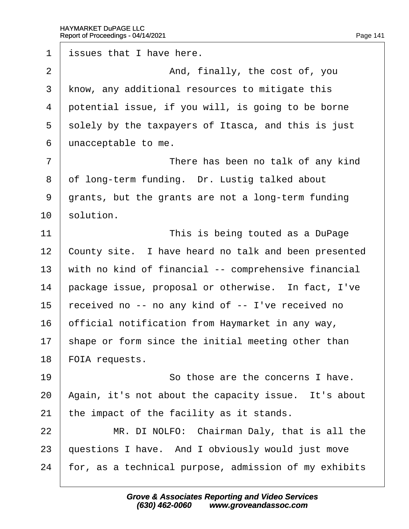1 issues that I have here.  $2 \parallel$  And, finally, the cost of, you 3 know, any additional resources to mitigate this 4 potential issue, if you will, is going to be borne 5 solely by the taxpayers of Itasca, and this is just 6 dnacceptable to me. 7 **I** There has been no talk of any kind 8 of long-term funding. Dr. Lustig talked about 9 grants, but the grants are not a long-term funding 10 solution. 11 **I** This is being touted as a DuPage 12 County site. I have heard no talk and been presented 13 with no kind of financial -- comprehensive financial 14 package issue, proposal or otherwise. In fact, I've 15 received no -- no any kind of -- I've received no 16 bificial notification from Haymarket in any way, 17 shape or form since the initial meeting other than 18 FOIA requests. 19  $\parallel$  So those are the concerns I have. 20 Again, it's not about the capacity issue. It's about 21 the impact of the facility as it stands.  $22$  | MR. DI NOLFO: Chairman Daly, that is all the 23 guestions I have. And I obviously would just move 24 for, as a technical purpose, admission of my exhibits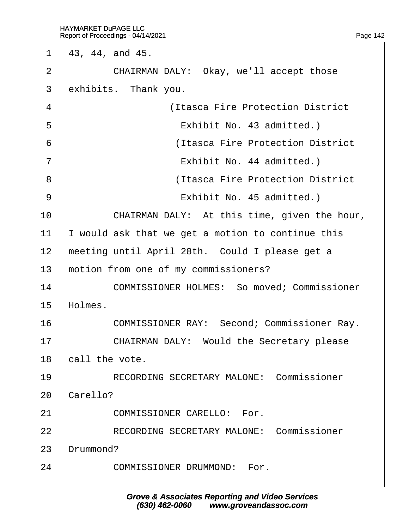1  $\,43, 44, \text{ and } 45.$ 

2 | CHAIRMAN DALY: Okay, we'll accept those

3 exhibits. Thank you.

| 4              | (Itasca Fire Protection District                   |
|----------------|----------------------------------------------------|
| 5              | Exhibit No. 43 admitted.)                          |
| 6              | (Itasca Fire Protection District)                  |
| $\overline{7}$ | Exhibit No. 44 admitted.)                          |
| 8              | (Itasca Fire Protection District                   |
| 9              | Exhibit No. 45 admitted.)                          |
| 10             | CHAIRMAN DALY: At this time, given the hour,       |
| 11             | would ask that we get a motion to continue this    |
| 12             | meeting until April 28th. Could I please get a     |
| 13             | motion from one of my commissioners?               |
| 14             | <b>COMMISSIONER HOLMES: So moved; Commissioner</b> |
| 15             | Holmes.                                            |
| 16             | <b>COMMISSIONER RAY: Second; Commissioner Ray.</b> |
| 17             | <b>CHAIRMAN DALY: Would the Secretary please</b>   |
| 18             | call the vote.                                     |
| 19             | <b>RECORDING SECRETARY MALONE: Commissioner</b>    |
| 20             | Carello?                                           |
| 21             | <b>COMMISSIONER CARELLO: For.</b>                  |
| 22             | <b>RECORDING SECRETARY MALONE: Commissioner</b>    |
| 23             | Drummond?                                          |
| 24             | <b>COMMISSIONER DRUMMOND: For.</b>                 |
|                |                                                    |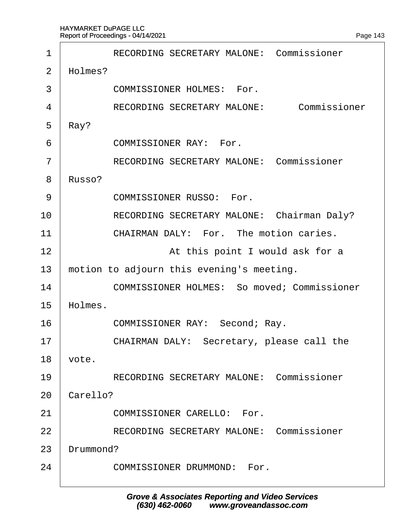| 1              | <b>RECORDING SECRETARY MALONE: Commissioner</b>    |
|----------------|----------------------------------------------------|
| $\overline{2}$ | Holmes?                                            |
| 3              | <b>COMMISSIONER HOLMES: For.</b>                   |
| 4              | RECORDING SECRETARY MALONE: Commissioner           |
| 5              | Ray?                                               |
| 6              | <b>COMMISSIONER RAY: For.</b>                      |
| 7              | <b>RECORDING SECRETARY MALONE: Commissioner</b>    |
| 8              | Russo?                                             |
| 9              | <b>COMMISSIONER RUSSO: For.</b>                    |
| 10             | RECORDING SECRETARY MALONE: Chairman Daly?         |
| 11             | CHAIRMAN DALY: For. The motion caries.             |
| 12             | At this point I would ask for a                    |
| 13             | motion to adjourn this evening's meeting.          |
| 14             | <b>COMMISSIONER HOLMES: So moved; Commissioner</b> |
| 15             | Holmes.                                            |
| 16             | COMMISSIONER RAY: Second; Ray.                     |
| 17             | CHAIRMAN DALY: Secretary, please call the          |
| 18             | vote.                                              |
| 19             | <b>RECORDING SECRETARY MALONE: Commissioner</b>    |
| 20             | Carello?                                           |
| 21             | <b>COMMISSIONER CARELLO: For.</b>                  |
| 22             | <b>RECORDING SECRETARY MALONE: Commissioner</b>    |
| 23             | Drummond?                                          |
| 24             | <b>COMMISSIONER DRUMMOND: For.</b>                 |
|                |                                                    |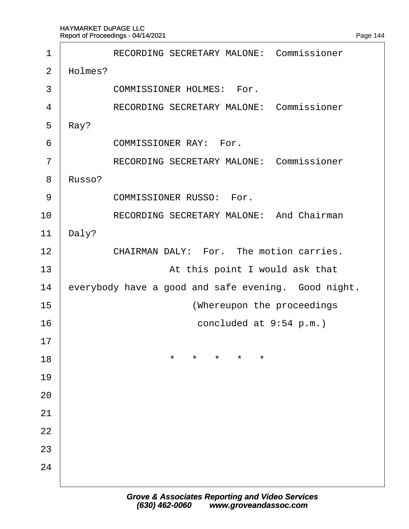<span id="page-144-0"></span>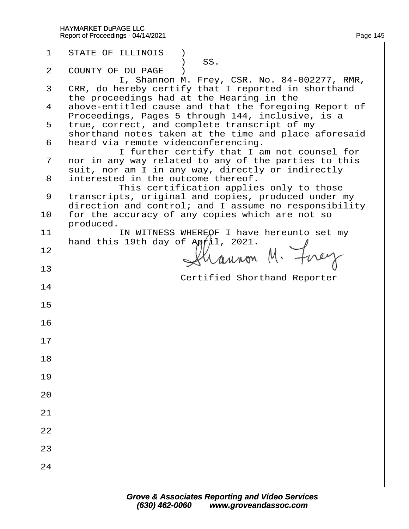| 1            | <b>STATE OF ILLINOIS</b> )<br>SS.                                                                        |
|--------------|----------------------------------------------------------------------------------------------------------|
| $\mathbf{2}$ | <b>COUNTY OF DU PAGE</b> )<br>I, Shannon M. Frey, CSR. No. 84-002277, RMR,                               |
|              | 3 CRR, do hereby certify that I reported in shorthand                                                    |
|              | the proceedings had at the Hearing in the<br>4 above-entitled cause and that the foregoing Report of     |
|              | Proceedings, Pages 5 through 144, inclusive, is a<br>5 true, correct, and complete transcript of my      |
|              | shorthand notes taken at the time and place aforesaid<br>6 heard via remote videoconferencing.           |
|              | I further certify that I am not counsel for<br>7 nor in any way related to any of the parties to this    |
|              | suit, nor am I in any way, directly or indirectly<br>8 interested in the outcome thereof.                |
|              | This certification applies only to those<br>9 transcripts, original and copies, produced under my        |
| 10           | direction and control; and I assume no responsibility<br>for the accuracy of any copies which are not so |
| 11           | produced.<br>IN WITNESS WHEREOF I have hereunto set my                                                   |
| 12           | hand this 19th day of April, 2021.                                                                       |
| 13           |                                                                                                          |
| 14           | <b>Certified Shorthand Reporter</b>                                                                      |
| 15           |                                                                                                          |
| 16           |                                                                                                          |
| 17           |                                                                                                          |
| 18           |                                                                                                          |
| 19           |                                                                                                          |
| 20           |                                                                                                          |
| 21           |                                                                                                          |
| 22           |                                                                                                          |
| 23           |                                                                                                          |
| 24           |                                                                                                          |
|              |                                                                                                          |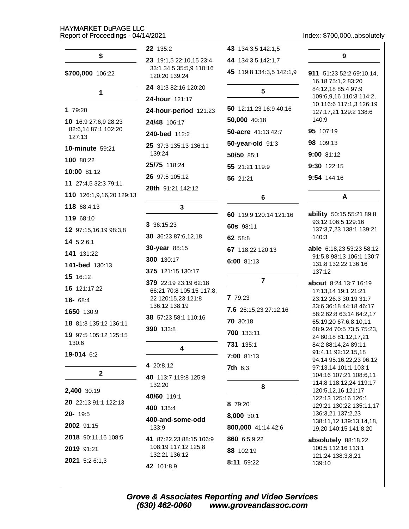Index: \$700.000.absolutely

|                               | 22 135:2                                          | 43 134:3,5 142:1,5       |                                                      |
|-------------------------------|---------------------------------------------------|--------------------------|------------------------------------------------------|
| \$                            | 23 19:1,5 22:10,15 23:4                           | 44 134:3,5 142:1,7       | 9                                                    |
| \$700,000 106:22              | 33:1 34:5 35:5,9 110:16<br>120:20 139:24          | 45 119:8 134:3,5 142:1,9 | 911 51:23 52:2 69:10,14,<br>16,18 75:1,2 83:20       |
| 1                             | 24 81:3 82:16 120:20                              | 5                        | 84:12,18 85:4 97:9                                   |
|                               | 24-hour 121:17                                    |                          | 109:6,9,16 110:3 114:2,<br>10 116:6 117:1,3 126:19   |
| 1 79:20                       | 24-hour-period 121:23                             | 50 12:11,23 16:9 40:16   | 127:17,21 129:2 138:6                                |
| 10 16:9 27:6,9 28:23          | 24/48 106:17                                      | 50,000 40:18             | 140:9                                                |
| 82:6,14 87:1 102:20<br>127:13 | 240-bed 112:2                                     | 50-acre 41:13 42:7       | 95 107:19                                            |
| 10-minute 59:21               | 25 37:3 135:13 136:11                             | 50-year-old 91:3         | 98 109:13                                            |
| 100 80:22                     | 139:24                                            | 50/50 85:1               | 9:00 81:12                                           |
|                               | 25/75 118:24                                      | 55 21:21 119:9           | 9:30 122:15                                          |
| 10:00 81:12                   | 26 97:5 105:12                                    | 56 21:21                 | 9:54 144:16                                          |
| 11 27:4,5 32:3 79:11          | 28th 91:21 142:12                                 |                          |                                                      |
| 110 126:1,9,16,20 129:13      |                                                   | 6                        | A                                                    |
| 118 68:4,13                   | 3                                                 | 60 119:9 120:14 121:16   | ability 50:15 55:21 89:8                             |
| 119 68:10                     | 3 36:15,23                                        | 60s 98:11                | 93:12 106:5 129:16                                   |
| 12 97:15,16,19 98:3,8         | 30 36:23 87:6,12,18                               |                          | 137:3,7,23 138:1 139:21<br>140:3                     |
| 14 5:2 6:1                    | 30-year 88:15                                     | 62 58:8                  |                                                      |
| 141 131:22                    | 300 130:17                                        | 67 118:22 120:13         | able 6:18,23 53:23 58:12<br>91:5,8 98:13 106:1 130:7 |
| 141-bed 130:13                |                                                   | 6:00 81:13               | 131:8 132:22 136:16                                  |
| 15 16:12                      | 375 121:15 130:17                                 | $\overline{7}$           | 137:12                                               |
| 16 121:17,22                  | 379 22:19 23:19 62:18<br>66:21 70:8 105:15 117:8, |                          | <b>about</b> 8:24 13:7 16:19<br>17:13,14 19:1 21:21  |
| $16 - 68:4$                   | 22 120:15,23 121:8                                | 7 79:23                  | 23:12 26:3 30:19 31:7                                |
| 1650 130:9                    | 136:12 138:19                                     | 7.6 26:15,23 27:12,16    | 33:6 36:18 44:18 46:17<br>58:2 62:8 63:14 64:2,17    |
| 18 81:3 135:12 136:11         | 38 57:23 58:1 110:16                              | 70 30:18                 | 65:19,20 67:6,8,10,11                                |
| 19 97:5 105:12 125:15         | 390 133:8                                         | 700 133:11               | 68:9,24 70:5 73:5 75:23,<br>24 80:18 81:12,17,21     |
| 130:6                         | 4                                                 | 731 135:1                | 84:2 88:14,24 89:11                                  |
| 19-014 6:2                    |                                                   | 7:00 81:13               | 91:4,11 92:12,15,18                                  |
|                               | 4 20:8,12                                         | <b>7th 6:3</b>           | 94:14 95:16,22,23 96:12<br>97:13,14 101:1 103:1      |
| $\mathbf{2}$                  | 40 113:7 119:8 125:8                              |                          | 104:16 107:21 108:6,11                               |
| 2,400 30:19                   | 132:20                                            | 8                        | 114:8 118:12,24 119:17<br>120:5,12,16 121:17         |
| 20 22:13 91:1 122:13          | 40/60 119:1                                       |                          | 122:13 125:16 126:1                                  |
| 20-19:5                       | 400 135:4                                         | 8 79:20                  | 129:21 130:22 135:11,17<br>136:3,21 137:2,23         |
| 2002 91:15                    | 400-and-some-odd                                  | 8,000 30:1               | 138:11,12 139:13,14,18,                              |
|                               | 133:9                                             | 800,000 41:14 42:6       | 19,20 140:15 141:8,20                                |
| 2018 90:11,16 108:5           | 41 87:22,23 88:15 106:9<br>108:19 117:12 125:8    | 860 6:5 9:22             | absolutely 88:18,22                                  |
| 2019 91:21                    | 132:21 136:12                                     | 88 102:19                | 100:5 112:16 113:1<br>121:24 138:3,8,21              |
| 2021 5:2 6:1,3                | 42 101:8,9                                        | 8:11 59:22               | 139:10                                               |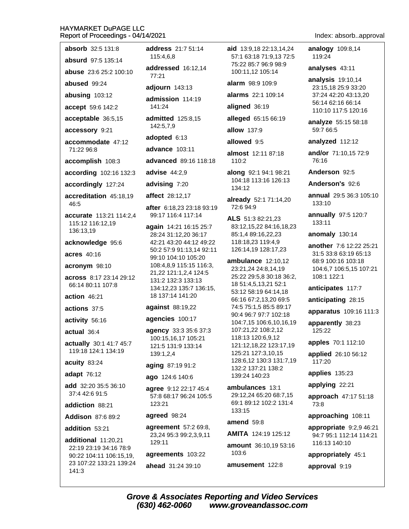| <b>absorb</b> 32:5 131:8 |
|--------------------------|
| absurd $97.5135.14$      |

**abuse** 23:6 25:2 100:10

abused 99:24

abusing 103:12

accept 59:6 142:2

acceptable 36:5,15

accessory 9:21

accommodate 47:12 71:22 96:8

accomplish 108:3

according 102:16 132:3

accordingly 127:24

accreditation 45:18.19 46:5

accurate 113:21 114:2,4 115:12 116:12,19 136:13.19

acknowledge 95:6

acres 40:16

acronym 98:10

across 8:17 23:14 29:12 66:14 80:11 107:8

action  $46:21$ 

actions 37:5

activity 56:16

actual 36:4

actually 30:1 41:7 45:7 119:18 124:1 134:19

acuity 83:24

adapt 76:12

add 32:20 35:5 36:10 37:4 42:6 91:5

addiction 88:21

**Addison 87:6 89:2** 

addition 53:21

additional 11:20,21 22:19 23:19 34:16 78:9 90:22 104:11 106:15,19, 23 107:22 133:21 139:24  $141:3$ 

address 21:7 51:14 115:4.6.8

addressed 16:12,14  $77:21$ 

adjourn 143:13

admission 114:19 141:24

admitted 125:8,15 142:5,7,9

adopted 6:13

advance 103:11

advanced 89:16 118:18

advise  $44:2,9$ 

advising 7:20

affect 28:12,17

after 6:18.23 23:18 93:19 99:17 116:4 117:14

again 14:21 16:15 25:7 28:24 31:12,20 36:17 42:21 43:20 44:12 49:22 50:2 57:9 91:13,14 92:11 99:10 104:10 105:20 108:4,8,9 115:15 116:3, 21,22 121:1,2,4 124:5 131:2 132:3 133:13 134:12.23 135:7 136:15. 18 137:14 141:20

against 88:19,22

agencies 100:17

agency 33:3 35:6 37:3 100:15,16,17 105:21 121:5 131:9 133:14 139:1,2,4

aging 87:19 91:2

ago 124:6 140:6

agree 9:12 22:17 45:4 57:8 68:17 96:24 105:5 123:21

### agreed 98:24

agreement 57:2 69:8, 23,24 95:3 99:2,3,9,11 129:11

agreements 103:22

ahead 31:24 39:10

aid 13:9.18 22:13.14.24 57:1 63:18 71:9.13 72:5 75:22 85:7 96:9 98:9 100:11,12 105:14

alarm 98:9 109:9

alarms 22:1 109:14

aligned 36:19

alleged 65:15 66:19

allow 137:9

allowed 9.5

almost 12:11 87:18 110:2

along 92:1 94:1 98:21 104:18 113:16 126:13 134:12

already 52:1 71:14,20 72:6 94:9

ALS 51:3 82:21.23 83:12,15,22 84:16,18,23 85:1,4 89:16,22,23 118:18,23 119:4,9 126:14,19 128:17,23

ambulance 12:10,12 23:21,24 24:8,14,19 25:22 29:5,8 30:18 36:2, 18 51:4,5,13,21 52:1 53:12 58:19 64:14,18 66:16 67:2,13,20 69:5 74:5 75:1,5 85:5 89:17 90:4 96:7 97:7 102:18 104:7,15 106:6,10,16,19 107:21.22 108:2.12 118:13 120:6,9,12 121:12,18,22 123:17,19 125:21 127:3,10,15 128:6,12 130:3 131:7,19 132:2 137:21 138:2 139:24 140:23

ambulances 13:1 29:12.24 65:20 68:7.15 69:1 89:12 102:2 131:4 133:15

amend 59:8

AMITA 124:19 125:12

amount 36:10,19 53:16 103:6

amusement 122:8

Index: absorb..approval

analogy 109:8,14 119:24

analyses 43:11

analysis 19:10,14 23:15,18 25:9 33:20 37:24 42:20 43:13,20 56:14 62:16 66:14 110:10 117:5 120:16

analyze 55:15 58:18 59:7 66:5

analyzed 112:12

and/or 71:10,15 72:9 76:16

Anderson 92:5

Anderson's 92:6

**annual** 29:5 36:3 105:10 133:10

annually 97:5 120:7 133:11

anomaly 130:14

another 7:6 12:22 25:21 31:5 33:8 63:19 65:13 68:9 100:16 103:18 104:6,7 106:5,15 107:21 108:1 122:1

anticipates 117:7

anticipating 28:15

apparatus 109:16 111:3

apparently 38:23 125:22

apples 70:1 112:10

applied 26:10 56:12 117:20

applies 135:23

applying 22:21

approach 47:17 51:18 73:8

approaching 108:11

appropriate 9:2,9 46:21 94:7 95:1 112:14 114:21 116:13 140:10

appropriately 45:1

approval 9:19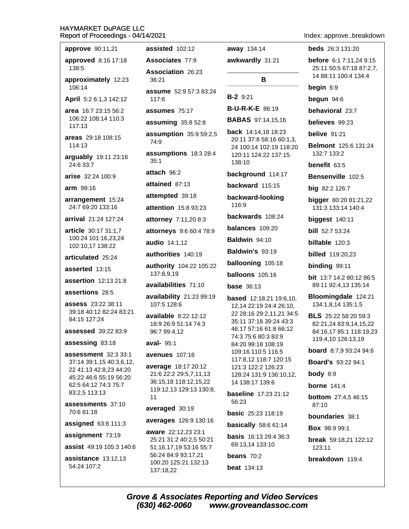| approve 90:11,21                                 | assisted 102:12                                                        | away 134:14                                               | <b>beds</b> 26:3 131:20                               |
|--------------------------------------------------|------------------------------------------------------------------------|-----------------------------------------------------------|-------------------------------------------------------|
| approved 8:16 17:18<br>138:5                     | Associates 77:9                                                        | awkwardly 31:21                                           | before 6:1 7:11,24 9:15<br>25:11 50:5 67:18 87:2,7,   |
| approximately 12:23                              | Association 26:23<br>36:21                                             | В                                                         | 14 88:11 100:4 134:4                                  |
| 106:14                                           | assume 52:9 57:3 83:24                                                 |                                                           | begin 6:9                                             |
| April 5:2 6:1,3 142:12                           | 117:6                                                                  | $B-2$ 9:21                                                | begun 94:6                                            |
| area 16:7 23:15 56:2                             | assumes 75:17                                                          | <b>B-U-R-K-E</b> 86:19                                    | behavioral 23:7                                       |
| 106:22 108:14 110:3<br>117:13                    | assuming 35:8 52:8                                                     | <b>BABAS</b> 97:14,15,16                                  | believes 99:23                                        |
| areas 29:18 108:15<br>114:13                     | assumption 35:9 59:2,5<br>74:9                                         | back 14:14,18 18:23<br>20:11 37:8 58:16 60:1,3,           | <b>belive</b> 91:21<br><b>Belmont</b> 125:6 131:24    |
| arguably 19:11 23:16                             | assumptions 18:3 28:4<br>35:1                                          | 24 100:14 102:19 118:20<br>120:11 124:22 137:15<br>138:10 | 132:7 133:2                                           |
| 24:6 33:7                                        | attach 96:2                                                            | background 114:17                                         | benefit 63:5                                          |
| arise 32:24 100:9                                | attained 87:13                                                         | backward 115:15                                           | Bensenville 102:5                                     |
| arm 99:16                                        | attempted 39:18                                                        | backward-looking                                          | big 82:2 126:7                                        |
| arrangement 15:24<br>24:7 69:20 133:16           | attention 15:8 93:23                                                   | 116:9                                                     | bigger 80:20 81:21,22<br>131:3 133:14 140:4           |
| arrival 21:24 127:24                             | attorney 7:11,20 8:3                                                   | backwards 108:24                                          | biggest 140:11                                        |
| article 30:17 31:1,7                             | attorneys 9:6 60:4 78:9                                                | balances 109:20                                           | <b>bill</b> 52:7 53:24                                |
| 100:24 101:16,23,24<br>102:10,17 138:22          | audio 14:1,12                                                          | Baldwin 94:10                                             | billable 120:3                                        |
| articulated 25:24                                | authorities 140:19                                                     | Baldwin's 93:19                                           | <b>billed</b> 119:20,23                               |
| asserted 13:15                                   | authority 104:22 105:22                                                | ballooning 105:18                                         | binding 99:11                                         |
| assertion 12:13 21:8                             | 137:8,9,19                                                             | balloons 105:16                                           | <b>bit</b> 13:7 14:2 80:12 86:5                       |
|                                                  | availabilities 71:10                                                   | <b>base</b> 36:13                                         | 89:11 92:4,13 135:14                                  |
| assertions 28:5<br><b>assess</b> 23:22 38:11     | availability 21:23 99:19<br>107:5 128:6                                | <b>based</b> 12:18,21 19:6,10,<br>12,14 22:19 24:4 26:10, | Bloomingdale 124:21<br>134:1,8,14 135:1,5             |
| 39:18 40:12 82:24 83:21<br>84:15 127:24          | available 8:22 12:12<br>18:9 26:9 51:14 74:3                           | 22 28:16 29:2,11,21 34:5<br>35:11 37:18 39:24 43:3        | <b>BLS</b> 25:22 58:20 59:3<br>82:21,24 83:9,14,15,22 |
| <b>assessed</b> 39:22 83:9                       | 96:7 99:4,12                                                           | 46:17 57:16 61:8 66:12<br>74:3 75:6 80:3 83:9             | 84:16,17 85:1 118:19,23<br>119:4,10 126:13,19         |
| assessing 83:18                                  | aval- 95:1                                                             | 84:20 99:18 108:19                                        | board 8:7,9 93:24 94:6                                |
| assessment 32:3 33:1<br>37:14 39:1,15 40:3,6,12, | <b>avenues</b> 107:16                                                  | 109:16 110:5 116:5<br>117:8,12 118:7 120:15               | <b>Board's 93:22 94:1</b>                             |
| 22 41:13 42:8,23 44:20                           | average 18:17 20:12<br>21:6 22:2 29:5,7,11,13<br>36:15,18 118:12,15,22 | 121:3 122:2 126:23                                        | body $8:9$                                            |
| 45:22 46:6 55:19 56:20<br>62:5 64:12 74:3 75:7   |                                                                        | 128:24 131:9 136:10,12,<br>14 138:17 139:6                | <b>borne</b> 141:4                                    |
| 83:2,5 113:13                                    | 119:12,13 129:13 130:8,<br>11                                          | <b>baseline</b> 17:23 21:12                               | <b>bottom</b> 27:4,5 46:15                            |
| assessments 37:10                                | averaged 30:19                                                         | 56:23                                                     | 87:10                                                 |
| 70:6 81:18                                       | averages 126:9 130:16                                                  | <b>basic</b> 25:23 118:19                                 | boundaries 38:1                                       |
| assigned 63:8 111:3                              | aware 22:12,23 23:1                                                    | <b>basically</b> 58:6 61:14                               | <b>Box</b> 98:9 99:1                                  |
| assignment 73:19<br>assist 49:19 105:3 140:6     | 25:21 31:2 40:2,5 50:21<br>51:16,17,19 53:16 55:7                      | basis 16:13 29:4 36:3<br>69:13,14 133:10                  | break 59:18,21 122:12<br>123:11                       |
| <b>assistance</b> 13:12,13                       | 56:24 84:9 93:17,21                                                    | beans $70:2$                                              | breakdown 119:4                                       |
| 54:24 107:2                                      | 100:20 125:21 132:13<br>137:18,22                                      | <b>beat</b> 134:13                                        |                                                       |

Index: approve..breakdown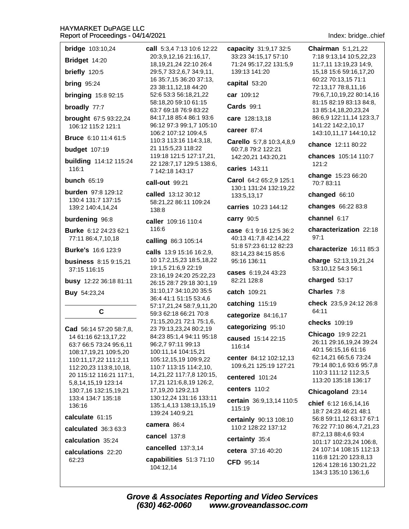- **bridge** 103:10,24
- Bridget 14:20
- briefly 120:5
- **bring 95:24**
- **bringing** 15:8 92:15
- broadly 77:7
- **brought** 67:5 93:22,24 106:12 115:2 121:1
- **Bruce** 6:10 11:4 61:5
- **budget** 107:19
- **building** 114:12 115:24 116:1
- **bunch 65:19**
- **burden** 97:8 129:12 130:4 131:7 137:15 139:2 140:4,14,24

### burdening 96:8

- Burke 6:12 24:23 62:1 77:11 86:4,7,10,18
- **Burke's** 16:6 123:9
- **business** 8:15 9:15,21 37:15 116:15
- busy 12:22 36:18 81:11
- Buy 54:23,24

## C

**Cad** 56:14 57:20 58:7,8, 14 61:16 62:13.17.22 63:7 66:5 73:24 95:6,11 108:17,19,21 109:5,20 110:11, 17, 22 111: 2, 11 112:20,23 113:8,10,18, 20 115:12 116:21 117:1, 5,8,14,15,19 123:14 130:7,16 132:15,19,21 133:4 134:7 135:18 136:16

### calculate 61:15

- calculated 36:3 63:3
- calculation 35:24
- calculations 22:20 62:23

call 5:3,4 7:13 10:6 12:22 20:3.9.12.16 21:16.17. 18,19,21,24 22:10 26:4 29:5,7 33:2,6,7 34:9,11, 16 35:7,15 36:20 37:13, 23 38:11,12,18 44:20 52:6 53:3 56:18,21,22 58:18.20 59:10 61:15 63:7 69:18 76:9 83:22 84:17,18 85:4 86:1 93:6 96:12 97:3 99:1,7 105:10 106:2 107:12 109:4,5 110:3 113:16 114:3,18, 21 115:5.23 118:22 119:18 121:5 127:17,21, 22 128:7,17 129:5 138:6, 7 142:18 143:17

### call-out 99:21

- called 13:12 30:12 58:21,22 86:11 109:24 138:8
- caller 109:16 110:4 116:6

### calling 86:3 105:14

calls 13:9 15:16 16:2.9. 10 17:2,15,23 18:5,18,22 19:1,5 21:6,9 22:19 23:16,19 24:20 25:22,23 26:15 28:7 29:18 30:1,19 31:10,17 34:10,20 35:5 36:4 41:1 51:15 53:4,6 57:17,21,24 58:7,9,11,20 59:3 62:18 66:21 70:8 71:15,20,21 72:1 75:1,6, 23 79:13,23,24 80:2,19 84:23 85:1,4 94:11 95:18 96:2,7 97:11 99:13 100:11,14 104:15,21 105:12,15,19 109:9,22 110:7 113:15 114:2,10, 14,21,22 117:7,8 120:15, 17,21 121:6,8,19 126:2, 17,19,20 129:2,13 130:12,24 131:16 133:11 135:1,4,13 138:13,15,19 139:24 140:9.21

### camera 86:4

- cancel 137:8
- cancelled 137:3,14
- capabilities 51:3 71:10 104:12,14
- capacity 31:9,17 32:5 33:23 34:15.17 57:10 71:24 95:17,22 131:5,9 139:13 141:20
- capital 53:20

car 109:12

- **Cards** 99:1
- care 128:13,18
- career 87:4
- Carello 5:7,8 10:3,4,8,9 60:7,8 79:2 122:21 142:20,21 143:20,21
- caries 143:11
- Carol 64:2 65:2.9 125:1 130:1 131:24 132:19,22 133:5,13,17
- carries 10:23 144:12

### carry 90:5

- case 6:1 9:16 12:5 36:2 40:13 41:7.8 42:14.22 51:8 57:23 61:12 82:23 83:14,23 84:15 85:6 95:16 136:11
- cases 6:19.24 43:23 82:21 128:8
- catch 109:21
- catching 115:19
- categorize 84:16,17
- categorizing 95:10
- caused 15:14 22:15 116:14
- center 84:12 102:12.13 109:6,21 125:19 127:21
- centered 101:24

## centers 110:2

- certain 36:9,13,14 110:5 115:19
- certainly 90:13 108:10 110:2 128:22 137:12

### certainty 35:4

- cetera 37:16 40:20
- CFD 95:14

### Index: bridge..chief

- **Chairman** 5:1.21.22 7:18 9:13.14 10:5.22.23 11:7,11 13:19,23 14:9, 15,18 15:6 59:16,17,20 60:22 70:13,15 71:1 72:13,17 78:8,11,16 79:6,7,10,19,22 80:14,16 81:15 82:19 83:13 84:8. 13 85:14,18,20,23,24 86:6,9 122:11,14 123:3,7 141:22 142:2,10,17 143:10,11,17 144:10,12
- chance 12:11 80:22
- chances 105:14 110:7  $121:2$
- change 15:23 66:20 70:7 83:11
- changed 66:10
- changes 66:22 83:8
- channel 6:17
- characterization 22:18  $97.1$
- characterize 16:11 85:3
- charge 52:13,19,21,24 53:10,12 54:3 56:1
- charged 53:17
- Charles 7:8
- check 23:5.9 24:12 26:8 64:11
- checks 109:19
- Chicago 19:9 22:21 26:11 29:16,19,24 39:24 40:1 56:15,16 61:16 62:14,21 66:5,6 73:24 79:14 80:1.6 93:6 95:7.8 110:3 111:12 112:3,5 113:20 135:18 136:17

### Chicagoland 23:14

chief 6:12 16:6,14,16 18:7 24:23 46:21 48:1 56:8 59:11,12 63:17 67:1 76:22 77:10 86:4,7,21,23 87:2,13 88:4,6 93:4 101:17 102:23,24 106:8, 24 107:14 108:15 112:13 116:8 121:20 123:8.13 126:4 128:16 130:21,22 134:3 135:10 136:1,6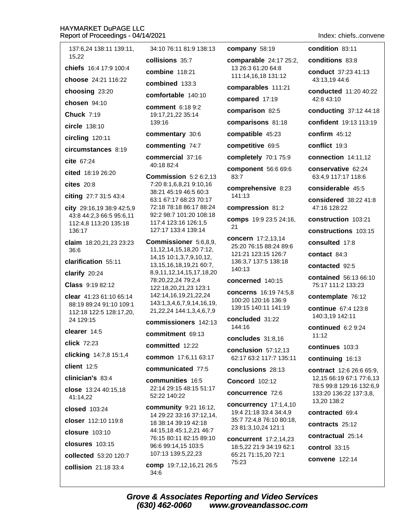# **HAYMARKET DuPAGE LLC**

Report of Proceedings - 04/14/2021 137:6,24 138:11 139:11, 34:10 76:11 81:9 138:13 company 58:19 15.22 collisions 35:7 comparable 24:1 chiefs 16:4 17:9 100:4 13 26:3 61:20 64: combine 118:21 111:14,16,18 131 choose 24:21 116:22 combined 133:3 comparables 11 choosing 23:20 comfortable 140:10 compared 17:19 chosen  $94:10$ **comment** 6:18 9:2 comparison 82:5 **Chuck 7:19** 19:17,21,22 35:14 139:16 comparisons 81 circle 138:10 compatible 45:23 commentary 30:6 circling  $120:11$ commenting 74:7 competitive 69:5 circumstances 8:19 commercial 37:16 completely 70:1 cite 67:24 40:18 82:4 component 56:6 cited 18:19 26:20 Commission 5:2 6:2.13 83:7 7:20 8:1,6,8,21 9:10,16 **cites** 20:8 comprehensive 38:21 45:19 46:5 60:3 citing 27:7 31:5 43:4 141:13 63:1 67:17 68:23 70:17 72:18 78:18 86:17 88:24 city 29:16,19 38:9 42:5,9 compression 81 92:2 98:7 101:20 108:18 43:8 44:2,3 66:5 95:6,11 comps 19:9 23:5 117:4 123:16 126:1,5 112:4,8 113:20 135:18 21 136:17 127:17 133:4 139:14 concern 17:2,13, Commissioner 5:6,8,9, claim 18:20,21,23 23:23 25:20 76:15 88:24 36:6 11, 12, 14, 15, 18, 20 7: 12, 121:21 123:15 12 14, 15 10:1, 3, 7, 9, 10, 12, clarification 55:11 136:3,7 137:5 138 13, 15, 16, 18, 19, 21 60: 7, 140:13 8,9,11,12,14,15,17,18,20 clarify 20:24 78:20,22,24 79:2,4 concerned 140:1 Class 9:19 82:12 122:18,20,21,23 123:1 concerns 16:197 clear 41:23 61:10 65:14 142:14,16,19,21,22,24 100:20 120:16 136 143:1,3,4,6,7,9,14,16,19, 88:19 89:24 91:10 109:1 139:15 140:11 141 21, 22, 24 144: 1, 3, 4, 6, 7, 9 112:18 122:5 128:17,20, concluded 31:22 24 129:15 commissioners 142:13 144:16 clearer 14:5 commitment 69:13 concludes 31:8, click 72:23 committed 12:22 conclusion 57:12 clicking 14:7,8 15:1,4 common 17:6,11 63:17 62:17 63:2 117:7 client 12:5 communicated 77:5 conclusions 28: clinician's 83:4 **communities** 16:5 **Concord** 102:12 22:14 29:15 48:15 51:17 close 13:24 40:15.18 concurrence 72: 52:22 140:22 41:14,22 concurrency 17: community 9:21 16:12, closed 103:24 19:4 21:18 33:4 34 14 29:22 33:16 37:12,14, closer 112:10 119:8 35:7 72:4,8 76:10 18 38:14 39:19 42:18 23 81:3,10,24 121 44:15,18 45:1,2,21 46:7 closure 103:10 76:15 80:11 82:15 89:10 concurrent 17:2. **closures** 103:15 96:6 99:14,15 103:5 18:5,22 21:9 34:19 62:1 107:13 139:5,22,23 65:21 71:15,20 72:1 collected 53:20 120:7 75:23 comp 19:7,12,16,21 26:5 collision 21:18 33:4

 $34:6$ 

Indev: chiefs..convene

|                 | INGEX. CHIEISCONVEN                                                                                                              |
|-----------------|----------------------------------------------------------------------------------------------------------------------------------|
|                 | <b>condition</b> 83:11                                                                                                           |
| 7 25:2,         | <b>conditions</b> 83:8                                                                                                           |
| 8<br>:12        | conduct 37:23 41:13<br>43:13,19 44:6                                                                                             |
| 1:21            | <b>conducted</b> 11:20 40:22<br>42:8 43:10                                                                                       |
| 5               | conducting 37:12 44:18                                                                                                           |
| :18             | confident 19:13 113:19                                                                                                           |
| 3               | confirm $45:12$                                                                                                                  |
|                 | conflict 19:3                                                                                                                    |
| 75:9            | connection 14:11,12                                                                                                              |
| 69:6            | conservative 62:24<br>63:4,9 117:17 118:6                                                                                        |
| 8:23            | considerable 45:5                                                                                                                |
| :2              | <b>considered</b> 38:22 41:8<br>47:16 128:22                                                                                     |
| 24:16,          | construction 103:21                                                                                                              |
|                 | constructions 103:15                                                                                                             |
| 14<br>189:6     | <b>consulted</b> 17:8                                                                                                            |
| 6:7             | contact $84:3$                                                                                                                   |
| 3:18            | contacted 92:5                                                                                                                   |
| 5               | <b>contained</b> 56:13 66:10<br>75:17 111:2 133:23                                                                               |
| 74:5,8<br>6:9   | contemplate 76:12                                                                                                                |
| 1:19            | <b>continue</b> 67:4 123:8<br>140:3,19 142:11                                                                                    |
| 16              | continued $6:29:24$<br>11:12                                                                                                     |
| 2,13            | continues 103:3                                                                                                                  |
| 135:11          | continuing 16:13                                                                                                                 |
| 13<br>6         | <b>contract</b> 12:6 26:6 65:9,<br>12,15 66:19 67:1 77:6,13<br>78:5 99:8 129:16 132:6,9<br>133:20 136:22 137:3,8,<br>13,20 138:2 |
| 1,4,10<br>4:4,9 | contracted 69:4                                                                                                                  |
| 80:18,          | <b>contracts</b> 25:12                                                                                                           |
| :1              | contractual 25:14                                                                                                                |
| 14,23           |                                                                                                                                  |

control 33:15 convene 122:14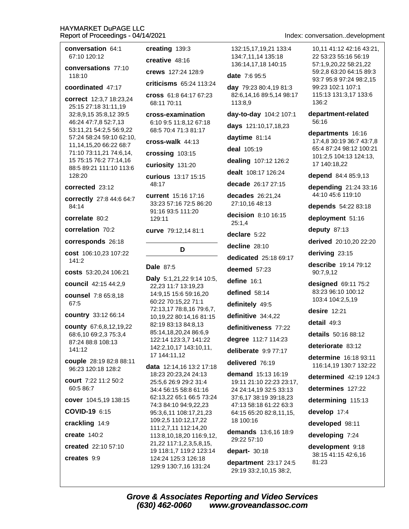conversation 64:1 creating 139:3 67:10 120:12 conversations 77:10 118:10 coordinated 47:17 correct 12:3.7 18:23.24 68:11 70:11 25:15 27:18 31:11,19 32:8,9,15 35:8,12 39:5 46:24 47:7,8 52:7,13 53:11,21 54:2,5 56:9,22 57:24 58:24 59:10 62:10, 11,14,15,20 66:22 68:7 71:10 73:11,21 74:6,14, 15 75:15 76:2 77:14,16 88:5 89:21 111:10 113:6 128:20 48:17 corrected 23:12 correctly 27:8 44:6 64:7 84:14 correlate 80:2 129:11 correlation 70:2 corresponds 26:18 cost 106:10,23 107:22  $141:2$ Dale 87:5 costs 53:20,24 106:21 council 42:15 44:2,9 **counsel** 7:8 65:8.18 67:5 country 33:12 66:14 **county** 67:6,8,12,19,22 68:6,10 69:2,3 75:3,4 87:24 88:8 108:13 141:12 couple 28:19 82:8 88:11 96:23 120:18 128:2 court 7:22 11:2 50:2 60:5 86:7 cover 104:5,19 138:15 COVID-19 6:15 crackling 14:9 create  $140:2$ created 22:10 57:10 creates 9:9

creative 48:16 crews 127:24 128:9 criticisms 65:24 113:24 cross 61:8 64:17 67:23 cross-examination 6:10 9:5 11:8.12 67:18 68:5 70:4 71:3 81:17  $\text{cross-walk } 44.13$ crossing 103:15 curiosity 131:20 curious 13:17 15:15 current 15:16 17:16 33:23 57:16 72:5 86:20 91:16 93:5 111:20 curve 79:12,14 81:1 D Daly 5:1,21,22 9:14 10:5, 22,23 11:7 13:19,23 14:9,15 15:6 59:16,20 60:22 70:15,22 71:1 72:13,17 78:8,16 79:6,7, 10,19,22 80:14,16 81:15 82:19 83:13 84:8.13 85:14,18,20,24 86:6,9 122:14 123:3,7 141:22 142:2,10,17 143:10,11, 17 144:11,12 data 12:14,16 13:2 17:18 18:23 20:23,24 24:13 25:5,6 26:9 29:2 31:4 34:4 56:15 58:8 61:16 62:13,22 65:1 66:5 73:24 74:3 84:10 94:9,22,23 95:3.6.11 108:17.21.23 109:2,5 110:12,17,22 111:2,7,11 112:14,20 113:8,10,18,20 116:9,12, 21,22 117:1,2,3,5,8,15, 19 118:1,7 119:2 123:14 124:24 125:3 126:18 129:9 130:7,16 131:24

132:15,17,19,21 133:4 134:7.11.14 135:18 136:14,17,18 140:15

date 7:6 95:5

day 79:23 80:4,19 81:3 82:6,14,16 89:5,14 98:17 113:8.9

day-to-day 104:2 107:1

days 121:10,17,18,23

daytime 81:14

deal 105:19

dealing 107:12 126:2

dealt 108:17 126:24

decade 26:17 27:15

decades 26:21,24 27:10,16 48:13

decision 8:10 16:15  $25:1.4$ 

declare 5:22

decline 28:10

dedicated 25:18 69:17

deemed 57:23

define 16:1

defined 58:14

definitely 49:5

definitive 34:4,22

definitiveness 77:22

degree 112:7 114:23

deliberate 9:9 77:17

delivered 76:19

demand 15:13 16:19 19:11 21:10 22:23 23:17, 24 24:14,19 32:5 33:13 37:6,17 38:19 39:18,23 47:13 58:18 61:22 63:3 64:15 65:20 82:8.11.15. 18 100:16

demands 13:6.16 18:9 29:22 57:10

### depart- 30:18

department  $23:1724:5$ 29:19 33:2,10,15 38:2,

## Index: conversation..development

10.11 41:12 42:16 43:21. 22 53:23 55:16 56:19 57:1,9,20,22 58:21,22 59:2,8 63:20 64:15 89:3 93:7 95:8 97:24 98:2.15 99:23 102:1 107:1 115:13 131:3,17 133:6 136:2

department-related 56:16

departments 16:16 17:4.8 30:19 36:7 43:7.8 65:4 87:24 98:12 100:21 101:2,5 104:13 124:13, 17 140:18,22

depend 84:4 85:9,13

depending 21:24 33:16 44:10 45:6 119:10

depends 54:22 83:18

deployment 51:16

deputy  $87:13$ 

derived 20:10,20 22:20

deriving 23:15

describe 19:14 79:12 90:7,9,12

designed 69:11 75:2 83:23 96:10 100:12 103:4 104:2,5,19

desire  $12.21$ 

detail 49:3

details 50:16 88:12

deteriorate 83:12

determine 16:18 93:11 116:14,19 130:7 132:22

determined  $42:19$  124:3

determines 127:22

determining 115:13

develop 17:4

developed 98:11

developing 7:24

development 9:18 38:15 41:15 42:6,16 81:23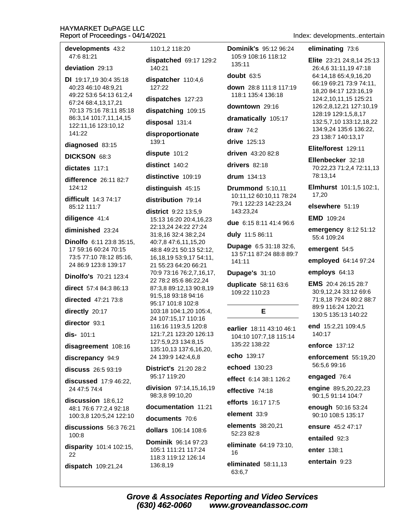developments 43:2 47:6 81:21

### deviation 29:13

**DI** 19:17,19 30:4 35:18 40:23 46:10 48:9,21 49:22 53:6 54:13 61:2,4 67:24 68:4,13,17,21 70:13 75:16 78:11 85:18 86:3,14 101:7,11,14,15 122:11,16 123:10,12 141:22

### diagnosed 83:15

### DICKSON 68:3

dictates 1171

difference 26:11 82:7  $124:12$ 

difficult 14:3 74:17 85:12 111:7

### diligence 41:4

diminished 23:24

Dinolfo 6:11 23:8 35:15. 17 59:16 60:24 70:15 73:5 77:10 78:12 85:16, 24 86:9 123:8 139:17

Dinolfo's 70:21 123:4

direct 57:4 84:3 86:13

**directed** 47:21 73:8

directly 20:17

director 93:1

 $dis- 101:1$ 

disagreement 108:16

discrepancy 94:9

discuss 26:5 93:19

discussed 17:9 46:22, 24 47:5 74:4

discussion 18:6.12 48:1 76:6 77:2,4 92:18 100:3,8 120:5,24 122:10

discussions 56:3 76:21  $100:8$ 

disparity 101:4 102:15, 22

dispatch 109:21,24

110:1.2 118:20 dispatched 69:17 129:2  $140.21$ dispatcher 110:4,6  $127:22$ dispatches 127:23 dispatching 109:15 disposal 131:4 disproportionate  $139.1$ dispute 101:2 distinct 140:2 distinctive 109:19 distinguish 45:15 distribution 79:14 district 9:22 13:5.9 15:13 16:20 20:4,16,23 22:13,24 24:22 27:24 31:8,16 32:4 38:2,24 40:7,8 47:6,11,15,20 48:8 49:21 50:13 52:12, 16, 18, 19 53: 9, 17 54: 11, 21 55:23 64:20 66:21 70:9 73:16 76:2,7,16,17, 22 78:2 85:6 86:22.24 87:3,8 89:12,13 90:8,19 91:5,18 93:18 94:16 95:17 101:8 102:8 103:18 104:1,20 105:4, 24 107:15,17 110:16 116:16 119:3.5 120:8 121:7,21 123:20 126:13 127:5,9,23 134:8,15 135:10,13 137:6,16,20, 24 139:9 142:4,6,8

**District's 21:20 28:2** 95:17 119:20

division 97:14,15,16,19 98:3,8 99:10,20

documentation 11:21

documents 70:6

dollars 106:14 108:6

**Dominik 96:14 97:23** 105:1 111:21 117:24 118:3 119:12 126:14 136:8,19

**Dominik's 95:12 96:24** 105:9 108:16 118:12 135:11

doubt 63:5

down 28:8 111:8 117:19 118:1 135:4 136:18

downtown 29:16

dramatically 105:17

draw  $74:2$ 

drive  $125:13$ 

driven 43:20 82:8

drivers 82:18

drum 134:13

Drummond 5:10,11 10:11,12 60:10,11 78:24 79:1 122:23 142:23,24 143:23.24

due 6:15 8:11 41:4 96:6

duly 11:5 86:11

Dupage 6:5 31:18 32:6, 13 57:11 87:24 88:8 89:7 141:11

### Dupage's 31:10

duplicate 58:11 63:6 109:22 110:23

earlier 18:11 43:10 46:1 104:10 107:7.18 115:14 135:22 138:22

E

echo 139:17

echoed 130:23

effect 6:14 38:1 126:2

effective 74:18

efforts 16:17 17:5

element 33:9

elements 38:20.21 52:23 82:8

eliminate 64:19 73:10, 16

eliminated 58:11.13 63:6,7

Index: developments..entertain

### eliminating 73:6

Elite 23:21 24:8.14 25:13 26:4.6 31:11.19 47:18 64:14.18 65:4.9.16.20 66:19 69:21 73:9 74:11, 18,20 84:17 123:16,19 124:2,10,11,15 125:21 126:2,8,12,21 127:10,19 128:19 129:1,5,8,17 132:5,7,10 133:12,18,22 134:9,24 135:6 136:22, 23 138:7 140:13.17

Elite/forest 129:11

Ellenbecker 32:18 70:22,23 71:2,4 72:11,13 78:13,14

Elmhurst 101:1,5 102:1, 17.20

elsewhere 51:19

**EMD** 109:24

emergency 8:12 51:12 55:4 109:24

emergent 54:5

employed 64:14 97:24

employs 64:13

**EMS** 20:4 26:15 28:7 30:9,12,24 33:12 69:6 71:8,18 79:24 80:2 88:7 89:9 116:24 120:21 130:5 135:13 140:22

end 15:2,21 109:4,5 140:17

enforce 137:12

enforcement 55:19,20 56:5.6 99:16

engaged 76:4

engine 89:5,20,22,23 90:1,5 91:14 104:7

enough 50:16 53:24 90:10 108:5 135:17

ensure 45:2 47:17

entailed 92:3

enter 138:1

entertain 9:23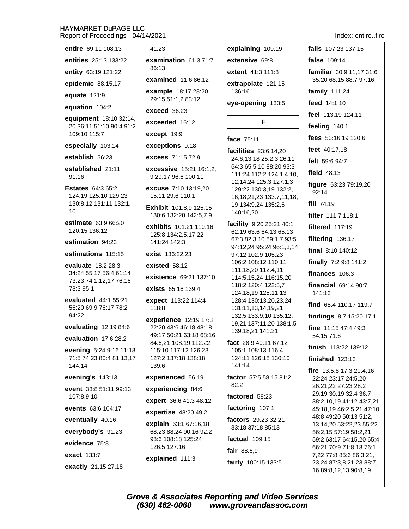| entire 69:11 108:13                                           | 41:23                                                 | explaining 109:19                                                              |  |
|---------------------------------------------------------------|-------------------------------------------------------|--------------------------------------------------------------------------------|--|
| entities 25:13 133:22                                         | examination $61:371:7$                                | extensive 69:8                                                                 |  |
| entity 63:19 121:22                                           | 86:13                                                 | extent 41:3 111:8                                                              |  |
| epidemic 88:15,17                                             | examined 11:6 86:12                                   | extrapolate 121:15                                                             |  |
| equate 121:9                                                  | example 18:17 28:20<br>29:15 51:1,2 83:12             | 136:16                                                                         |  |
| equation 104:2                                                | exceed 36:23                                          | eye-opening 133:5                                                              |  |
| equipment 18:10 32:14,<br>20 36:11 51:10 90:4 91:2            | exceeded 16:12                                        | F                                                                              |  |
| 109:10 115:7                                                  | except 19:9                                           |                                                                                |  |
| especially 103:14                                             | exceptions 9:18                                       | face $75:11$                                                                   |  |
| establish 56:23                                               | <b>excess</b> 71:15 72:9                              | facilities 23:6,14,20<br>24:6,13,18 25:2,3 26:11                               |  |
| established 21:11<br>91:16                                    | <b>excessive</b> 15:21 16:1,2,<br>9 29:17 96:6 100:11 | 64:3 65:5,10 88:20 93:3<br>111:24 112:2 124:1,4,10,<br>12,14,24 125:3 127:1,3  |  |
| <b>Estates</b> 64:3 65:2<br>124:19 125:10 129:23              | <b>excuse</b> 7:10 13:19,20<br>15:11 29:6 110:1       | 129:22 130:3,19 132:2,<br>16, 18, 21, 23 133: 7, 11, 18,                       |  |
| 130:8,12 131:11 132:1,<br>10                                  | Exhibit 101:8,9 125:15<br>130:6 132:20 142:5,7,9      | 19 134:9,24 135:2,6<br>140:16,20                                               |  |
| estimate 63:9 66:20<br>120:15 136:12                          | exhibits 101:21 110:16<br>125:8 134:2,5,17,22         | facility 9:20 25:21 40:1<br>62:19 63:6 64:13 65:13<br>67:3 82:3,10 89:1,7 93:5 |  |
| estimation 94:23                                              | 141:24 142:3                                          | 94:12,24 95:24 96:1,3,14                                                       |  |
| estimations 115:15                                            | <b>exist</b> 136:22,23                                | 97:12 102:9 105:23<br>106:2 108:12 110:11                                      |  |
| <b>evaluate</b> 18:2 28:3<br>34:24 55:17 56:4 61:14           | existed $58:12$                                       | 111:18,20 112:4,11                                                             |  |
| 73:23 74:1,12,17 76:16                                        | existence 69:21 137:10                                | 114:5,15,24 116:15,20<br>118:2 120:4 122:3,7                                   |  |
| 78:3 95:1                                                     | <b>exists</b> 65:16 139:4                             | 124:18,19 125:11,13                                                            |  |
| evaluated 44:1 55:21<br>56:20 69:9 76:17 78:2<br>94:22        | expect 113:22 114:4<br>118:8                          | 128:4 130:13,20,23,24<br>131:11,13,14,19,21<br>132:5 133:9,10 135:12,          |  |
| evaluating 12:19 84:6                                         | experience 12:19 17:3<br>22:20 43:6 46:18 48:18       | 19,21 137:11,20 138:1,5<br>139:18,21 141:21                                    |  |
| evaluation 17:6 28:2                                          | 49:17 50:21 63:18 68:16<br>84:6,21 108:19 112:22      | fact 28:9 40:11 67:12                                                          |  |
| evening 5:24 9:16 11:18<br>71:5 74:23 80:4 81:13,17<br>144:14 | 115:10 117:12 126:23<br>127:2 137:18 138:18<br>139:6  | 105:1 108:13 116:4<br>124:11 126:18 130:10<br>141:14                           |  |
| evening's 143:13                                              | experienced 56:19                                     | factor 57:5 58:15 81:2                                                         |  |
| event 33:8 51:11 99:13                                        | experiencing 84:6                                     | 82:2                                                                           |  |
| 107:8,9,10                                                    | expert 36:6 41:3 48:12                                | factored 58:23                                                                 |  |
| events 63:6 104:17                                            | expertise 48:20 49:2                                  | factoring 107:1                                                                |  |
| eventually 40:16                                              | explain 63:1 67:16,18                                 | factors 29:23 32:21<br>33:18 37:18 85:13                                       |  |
| everybody's 91:23<br>evidence 75:8                            | 68:23 88:24 90:16 92:2<br>98:6 108:18 125:24          | factual $109:15$                                                               |  |
|                                                               | 126:5 127:16                                          | fair 88:6,9                                                                    |  |
| <b>exact</b> 133:7                                            | explained 111:3                                       | fairly 100:15 133:5                                                            |  |
| exactly 21:15 27:18                                           |                                                       |                                                                                |  |

Index: entire..fire falls 107:23 137:15 false 109:14 familiar 30:9,11,17 31:6 35:20 68:15 88:7 97:16 family 111:24 feed 14:1,10 feel 113:19 124:11 feeling 140:1 fees 53:16,19 120:6 feet 40:17,18 felt 59:6 94:7 field  $48:13$ figure 63:23 79:19,20  $92:14$ fill 74:19 filter 111:7 118:1 filtered 117:19 filtering 136:17 final 8:10 140:12 finally 7:2 9:8 141:2 finances 106:3 financial 69:14 90:7 141:13 find 65:4 110:17 119:7 findings 8:7 15:20 17:1 fine 11:15 47:4 49:3 54:15 71:6 finish 118:22 139:12 finished  $123:13$ fire 13:5,8 17:3 20:4,16 22:24 23:17 24:5,20 26:21,22 27:23 28:2 29:19 30:19 32:4 36:7

38:2,10,19 41:12 43:7,21

45:18,19 46:2,5,21 47:10 48:8 49:20 50:13 51:2,

13,14,20 53:22,23 55:22

59:2 63:17 64:15,20 65:4 66:21 70:9 71:8,18 76:1,

7,22 77:8 85:6 86:3,21,

23,24 87:3,8,21,23 88:7, 16 89:8,12,13 90:8,19

56:2,15 57:19 58:2,21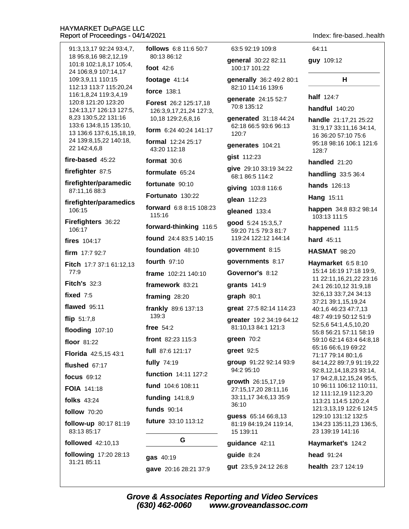follows 6:8 11:6 50:7 91:3,13,17 92:24 93:4,7, 80:13 86:12 18 95:8.16 98:2.12.19 101:8 102:1,8,17 105:4, foot 42:6 24 106:8,9 107:14,17 109:3.9.11 110:15 footage  $41:14$ 112:13 113:7 115:20,24 force 138:1 116:1,8,24 119:3,4,19 120:8 121:20 123:20 Forest 26:2 125:17,18 124:13,17 126:13 127:5, 126:3,9,17,21,24 127:3, 8,23 130:5,22 131:16 10,18 129:2,6,8,16 133:6 134:8,15 135:10, form 6:24 40:24 141:17 13 136:6 137:6,15,18,19, 24 139:8,15,22 140:18, formal 12:24 25:17 22 142:4.6.8 43:20 112:18 fire-based 45:22 format  $30:6$ firefighter 87:5 formulate 65:24 firefighter/paramedic fortunate 90:10 87:11,16 88:3 Fortunato 130:22 firefighter/paramedics forward 6:8 8:15 108:23 106:15 115:16 Firefighters 36:22 forward-thinking 116:5 106:17 found 24:4 83:5 140:15 fires 104:17 foundation 48:10 firm 17:7 92:7 fourth 97:10 Fitch 17:7 37:1 61:12,13 77:9 frame 102:21 140:10 **Fitch's 32:3** framework 83:21 fixed  $7:5$ framing 28:20 flawed  $95:11$ frankly 89:6 137:13  $139:3$ flip  $51:7,8$ free  $54:2$ flooding 107:10 front 82:23 115:3 floor 81:22 full 87:6 121:17 Florida 42:5,15 43:1 fully 74:19 flushed  $67:17$ function 14:11 127:2 focus 69:12 fund 104:6 108:11 FOIA 141.18 funding 141:8,9 **folks** 43:24 **funds** 90:14 follow 70:20 future 33:10 113:12 follow-up 80:17 81:19 83:13 85:17 followed 42:10,13

following 17:20 28:13 31:21 85:11

63:5 92:19 109:8 general 30:22 82:11 100:17 101:22

> generally 36:2 49:2 80:1 82:10 114:16 139:6

qenerate 24:15 52:7 70:8 135:12

generated 31:18 44:24 62:18 66:5 93:6 96:13 120:7

generates 104:21

gist 112:23

give 29:10 33:19 34:22 68:1 86:5 114:2

giving 103:8 116:6

glean 112:23

gleaned 133:4

good 5:24 15:3,5,7 59:20 71:5 79:3 81:7 119:24 122:12 144:14

government 8:15

governments 8:17

Governor's 8:12

grants  $141:9$ 

 $$ 

great 27:5 82:14 114:23

greater 19:2 34:19 64:12 81:10,13 84:1 121:3

qreen  $70:2$ 

greet 92:5

group 91:22 92:14 93:9 94:2 95:10

growth 26:15,17,19 27:15,17,20 28:11,16 33:11,17 34:6,13 35:9 36:10

quess 65:14 66:8,13 81:19 84:19,24 119:14, 15 139:11

### quidance 42:11

# guide 8:24

gut 23:5,9 24:12 26:8

Index fire-based health

64:11

guy 109:12

### н

half 124:7

handful 140:20

handle 21:17.21 25:22 31:9,17 33:11,16 34:14, 16 36:20 57:10 75:6 95:18 98:16 106:1 121:6  $128.7$ 

handled 21:20

handling  $33:536:4$ 

hands 126:13

Hang 15:11

happen 34:8 83:2 98:14 103:13 111:5

happened 111:5

hard 45:11

**HASMAT 98:20** 

Haymarket 6:5 8:10 15:14 16:19 17:18 19:9, 11 22:11,16,21,22 23:16 24:1 26:10,12 31:9,18 32:6,13 33:7,24 34:13 37:21 39:1,15,19,24 40:1,6 46:23 47:7,13 48:7 49:19 50:12 51:9 52:5.6 54:1.4.5.10.20 55:8 56:21 57:11 58:19 59:10 62:14 63:4 64:8,18 65:16 66:6.19 69:22 71:17 79:14 80:1,6 84:14,22 89:7,9 91:19,22 92:8,12,14,18,23 93:14, 17 94:2,8,12,15,24 95:5, 10 96:11 106:12 110:11, 12 111:12,19 112:3,20 113:21 114:5 120:2,4 121:3,13,19 122:6 124:5 129:10 131:12 132:5 134:23 135:11,23 136:5, 23 139:19 141:16

Haymarket's 124:2

head 91:24

health 23:7 124:19

G

gave 20:16 28:21 37:9

gas 40:19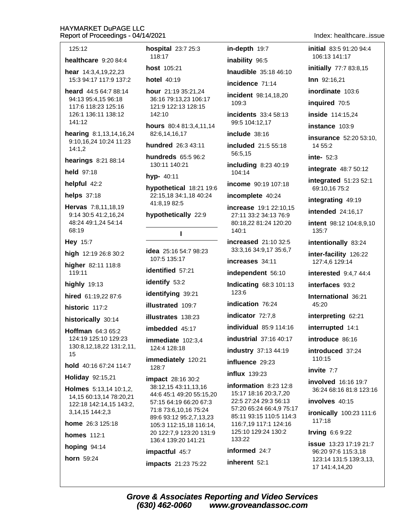### 125:12

healthcare  $9:20.84:4$ 

hear 14:3,4,19,22,23 15:3 94:17 117:9 137:2

heard 44:5 64:7 88:14 94:13 95:4.15 96:18 117:6 118:23 125:16 126:1 136:11 138:12 141:12

hearing 8:1,13,14,16,24 9:10.16.24 10:24 11:23  $14:1,2$ 

**hearings** 8:21 88:14

held 97:18

helpful 42:2

helps 37:18

Hervas 7:8,11,18,19 9:14 30:5 41:2,16,24 48:24 49:1,24 54:14 68:19

Hey 15:7

high 12:19 26:8 30:2

higher 82:11 118:8 119:11

highly 19:13

hired 61:19,22 87:6

historic 117:2

historically 30:14

Hoffman 64:3 65:2 124:19 125:10 129:23 130:8,12,18,22 131:2,11, 15

hold 40:16 67:24 114:7

Holiday 92:15,21

Holmes 5:13,14 10:1,2, 14,15 60:13,14 78:20,21 122:18 142:14,15 143:2, 3, 14, 15 144: 2, 3

home 26:3 125:18

**homes** 112:1

hoping 94:14

horn 59:24

hospital 23:7 25:3 118:17

host 105:21

**hotel** 40:19

hour 21:19 35:21,24 36:16 79:13.23 106:17 121:9 122:13 128:15 142:10

hours 80:4 81:3,4,11,14 82:6.14.16.17

hundred 26:3 43:11

hundreds 65:5 96:2 130:11 140:21

hyp- 40:11

hypothetical 18:21 19:6 22:15,18 34:1,18 40:24 41:8.19 82:5

 $\mathbf{I}$ 

hypothetically 22:9

idea 25:16 54:7 98:23 107:5 135:17 identified 57:21 identify 53:2 identifying 39:21 illustrated 109:7 illustrates 138:23

imbedded 45:17

immediate 102:3.4 124:4 128:18

immediately 120:21 128:7

impact 28:16 30:2 38:12,15 43:11,13,16 44:6 45:1 49:20 55:15.20 57:15 64:19 66:20 67:3 71:8 73:6,10,16 75:24 89:6 93:12 95:2,7,13,23 105:3 112:15.18 116:14. 20 122:7.9 123:20 131:9 136:4 139:20 141:21

impactful 45:7

impacts 21:23 75:22

in-depth 19:7 inability 96:5

Inaudible 35:18 46:10

incidence 71:14

incident 98:14.18.20 109:3

incidents 33:4 58:13 99:5 104:12,17

include 38:16

included 21:5 55:18 56:5,15

including 8:23 40:19 104:14

income 90:19 107:18

incomplete 40:24

**increase** 19:1 22:10,15 27:11 33:2 34:13 76:9 80:18,22 81:24 120:20 140:1

**increased** 21:10 32:5 33:3,16 34:9,17 35:6,7

increases 34:11

independent 56:10

**Indicating 68:3 101:13** 123:6

indication 76:24

indicator 72:7.8

individual 85:9 114:16

industrial 37:16 40:17

industry 37:13 44:19

influence 29:23

**influx** 139:23

information 8:23 12:8 15:17 18:16 20:3,7,20 22:5 27:24 29:3 56:13 57:20 65:24 66:4,9 75:17 85:11 93:15 110:5 114:3 116:7,19 117:1 124:16 125:10 129:24 130:2 133:22 informed 24:7

inherent 52:1

Index: healthcare..issue

initial 83:5 91:20 94:4 106:13 141:17

initially 77:7 83:8,15

Inn 92:16,21

inordinate 103:6

inquired 70:5

inside 114:15,24

instance 103:9

**insurance** 52:20 53:10. 14 55:2

inte- $52:3$ 

**integrate** 48:7 50:12

integrated  $51:2352:1$ 69:10,16 75:2

integrating 49:19

**intended** 24:16.17

intent 98:12 104:8,9,10 135:7

intentionally 83:24

inter-facility 126:22 127:4,6 129:14

interested  $9:4.744:4$ 

interfaces 93:2

International 36:21 45:20

interpreting 62:21

interrupted 14:1

introduce 86:16

introduced 37:24 110:15

invite 7:7

involved 16:16 19:7 36:24 68:16 81:8 123:16

involves 40:15

ironically 100:23 111:6 117:18

Irving  $6:69:22$ 

**issue** 13:23 17:19 21:7 96:20 97:6 115:3.18 123:14 131:5 139:3,13, 17 141:4,14,20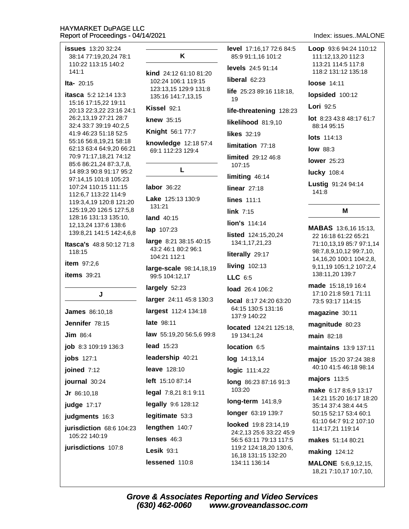**issues** 13:20 32:24 38:14 77:19.20.24 78:1 110:22 113:15 140:2  $141:1$ Ita-  $20:15$ itasca 5:2 12:14 13:3 15:16 17:15,22 19:11 20:13 22:3,22 23:16 24:1 26:2,13,19 27:21 28:7 32:4 33:7 39:19 40:2,5 41:9 46:23 51:18 52:5 55:16 56:8.19.21 58:18 62:13 63:4 64:9,20 66:21 70:9 71:17,18,21 74:12 85:6 86:21,24 87:3,7,8, 14 89:3 90:8 91:17 95:2 97:14,15 101:8 105:23 107:24 110:15 111:15 112:6,7 113:22 114:9 119:3,4,19 120:8 121:20 125:19,20 126:5 127:5,8 128:16 131:13 135:10, 12, 13, 24 137: 6 138: 6 139:8.21 141:5 142:4.6.8 **Itasca's** 48:8 50:12 71:8 118:15 item 97:2.6 **items** 39:21 J **James** 86:10,18 Jennifer 78:15 **Jim 86:4** job 8:3 109:19 136:3 **jobs** 127:1 joined 7:12 journal 30:24 Jr 86:10,18 judge 17:17 judgments 16:3 jurisdiction 68:6 104:23 105:22 140:19 jurisdictions 107:8

### K

kind 24:12 61:10 81:20 102:24 106:1 119:15 123:13,15 129:9 131:8 135:16 141:7,13,15

### Kissel 92:1

knew 35:15

Knight 56:1 77:7

knowledge 12:18 57:4 69:1 112:23 129:4

### L

### labor 36:22

Lake 125:13 130:9 131:21

**land** 40:15

lap 107:23

large 8:21 38:15 40:15 43:2 46:1 80:2 96:1 104:21 112:1

large-scale 98:14,18,19 99:5 104:12,17

largely 52:23

larger 24:11 45:8 130:3

largest 112:4 134:18

late 98:11

law 55:19,20 56:5,6 99:8

**lead** 15:23

leadership 40:21

leave 128:10

left 15:10 87:14

legal 7:8,21 8:1 9:11

legally 9:6 128:12

legitimate 53:3 lengthen 140:7

lenses 46:3

**Lesik 93:1** lessened 110:8 level 17:16.17 72:6 84:5 85:9 91:1.16 101:2 levels 24:5 91:14 liberal  $62:23$ life 25:23 89:16 118:18, 19 life-threatening 128:23 likelihood 81:9.10 likes 32:19 limitation 77:18 limited 29:12 46:8 107:15 limiting 46:14 linear  $27:18$ lines 111:1 link  $7:15$ lion's 114:14 listed 124:15.20.24 134:1,17,21,23 literally 29:17 **living 102:13** LLC 6:5 load 26:4 106:2 local 8:17 24:20 63:20 64:15 130:5 131:16 137:9 140:22 located 124:21 125:18, 19 134:1.24 location 6:5 log 14:13,14 logic 111:4,22

long 86:23 87:16 91:3 103:20

 $long-term 141:8,9$ 

### longer 63:19 139:7

**looked** 19:8 23:14,19 24:2.13 25:6 33:22 45:9 56:5 63:11 79:13 117:5 119:2 124:18,20 130:6, 16,18 131:15 132:20 134:11 136:14

### Index: issues..MALONE

Loop 93:6 94:24 110:12 111:12.13.20 112:3 113:21 114:5 117:8 118:2 131:12 135:18 loose 14:11 lopsided 100:12 Lori 92:5 lot 8:23 43:8 48:17 61:7 88:14 95:15 **lots** 114:13 **low 88:3 lower** 25:23 **lucky** 108:4 Lustig 91:24 94:14 141:8 M

> MABAS 13:6,16 15:13, 22 16:18 61:22 65:21 71:10.13.19 85:7 97:1.14 98:7,8,9,10,12 99:7,10, 14, 16, 20 100: 1 104: 2, 8, 9,11,19 105:1,2 107:2,4 138:11,20 139:7

made 15:18.19 16:4 17:10 21:8 59:1 71:11 73:5 93:17 114:15

magazine 30:11

magnitude 80:23

 $main$  82.18

maintains 13:9 137:11

major 15:20 37:24 38:8 40:10 41:5 46:18 98:14

majors 113:5

make 6:17 8:6,9 13:17 14:21 15:20 16:17 18:20 35:14 37:4 38:4 44:5 50:15 52:17 53:4 60:1 61:10 64:7 91:2 107:10 114:17,21 119:14

makes 51:14 80:21

**making 124:12** 

**MALONE** 5:6,9,12,15, 18,21 7:10,17 10:7,10,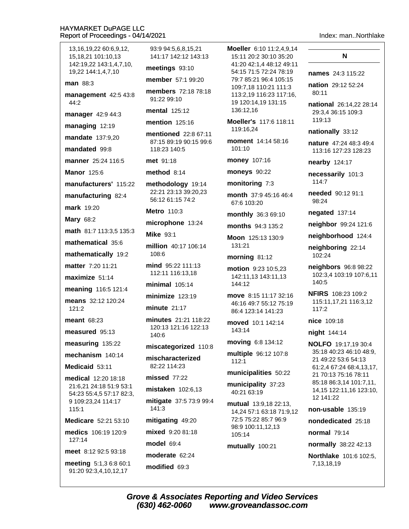13, 16, 19, 22 60: 6, 9, 12, 15.18.21 101:10.13 142:19.22 143:1.4.7.10. 19,22 144:1,4,7,10 man 88:3 management 42:5 43:8  $44:2$ manager 42:9 44:3 managing 12:19 mandate 137:9.20 mandated 99:8 manner 25:24 116:5 **Manor 125:6** manufacturers' 115:22 manufacturing 82:4 **mark** 19:20 **Mary 68:2** math 81:7 113:3,5 135:3 mathematical 35:6 mathematically 19:2 matter 7:20 11:21 maximize 51:14 meaning 116:5 121:4 means 32:12 120:24  $121:2$ meant 68:23 measured 95:13 measuring 135:22 mechanism 140.14 Medicaid 53:11 medical 12:20 18:18 21:6,21 24:18 51:9 53:1 54:23 55:4,5 57:17 82:3, 9 109:23,24 114:17  $115:1$ Medicare 52:21 53:10 medics 106:19 120:9 127:14 meet 8:12 92:5 93:18 meeting 5:1,3 6:8 60:1

91:20 92:3,4,10,12,17

93:9 94:5.6.8.15.21 141:17 142:12 143:13

meetings 93:10

member 57:1 99:20

members 72:18 78:18 91:22 99:10

mental 125:12

**mention** 125:16

mentioned 22:8 67:11 87:15 89:19 90:15 99:6 118:23 140:5

met 91:18

method  $8:14$ 

methodology 19:14 22:21 23:13 39:20,23 56:12 61:15 74:2

Metro 110:3

microphone 13:24

**Mike 93:1** 

million 40:17 106:14 108:6

mind 95:22 111:13 112:11 116:13,18

 $minimal$  105:14

minimize  $123:19$ 

minute  $21:17$ 

minutes 21:21 118:22 120:13 121:16 122:13 140:6

miscategorized 110:8

mischaracterized 82:22 114:23

missed 77:22

mistaken 102:6,13

mitigate 37:5 73:9 99:4 141:3

mitigating 49:20

mixed 9:20 81:18

model 69:4

moderate 62:24

modified 69:3

Moeller 6:10 11:2.4.9.14 15:11 20:2 30:10 35:20 41:20 42:1.4 48:12 49:11 54:15 71:5 72:24 78:19 79:7 85:21 96:4 105:15 109:7,18 110:21 111:3 113:2,19 116:23 117:16, 19 120:14.19 131:15 136:12,16

Moeller's 117:6 118:11 119:16,24

moment 14:14 58:16  $101:10$ 

money 107:16

moneys 90:22

monitoring 7:3

month 37:9 45:16 46:4 67:6 103:20

monthly 36:3 69:10

months 94:3 135:2

Moon 125:13 130:9 131:21

### morning 81:12

motion 9:23 10:5,23 142:11.13 143:11.13 144:12

move 8:15 11:17 32:16 46:16 49:7 55:12 75:19 86:4 123:14 141:23

moved 10:1 142:14 143:14

moving 6:8 134:12

multiple 96:12 107:8 112:1

### municipalities 50:22

municipality 37:23 40:21 63:19

mutual 13:9,18 22:13, 14,24 57:1 63:18 71:9,12 72:5 75:22 85:7 96:9 98:9 100:11,12,13 105:14

mutually 100:21

### Index: man..Northlake

### N

names 24:3 115:22

nation 29:12 52:24 80:11

national 26:14.22 28:14 29:3.4 36:15 109:3 119:13

nationally 33:12

nature 47:24 48:3 49:4 113:16 127:23 128:23

nearby 124:17

necessarily 101:3 114:7

needed 90:12 91:1 98:24

negated 137:14

neighbor 99:24 121:6

neighborhood 124:4

neighboring 22:14 102:24

neighbors 96:8 98:22 102:3,4 103:19 107:6,11 140:5

NFIRS 108:23 109:2 115:11,17,21 116:3,12  $117.2$ 

nice 109:18

night 144:14

**NOLFO** 19:17.19 30:4 35:18 40:23 46:10 48:9, 21 49:22 53:6 54:13 61:2,4 67:24 68:4,13,17, 21 70:13 75:16 78:11 85:18 86:3,14 101:7,11, 14,15 122:11,16 123:10, 12 141:22

non-usable  $135:19$ 

nondedicated 25:18

**normal** 79:14

normally 38:22 42:13

Northlake 101:6 102:5, 7,13,18,19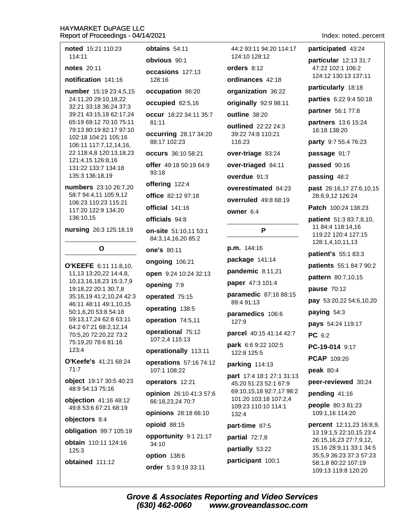noted 15:21 110:23 114:11

### notes  $20.11$

notification 141:16

number 15:19 23:4,5,15 24:11.20 29:10.18.22 32:21 33:18 36:24 37:3 39:21 43:15,18 62:17,24 65:19 69:12 70:10 75:11 79:13 80:19 82:17 97:10 102:18 104:21 105:16 106:11 117:7,12,14,16, 22 118:4,8 120:13,18,23 121:4,15 126:8,16 131:22 133:7 134:18 135:3 136:18,19

numbers 23:10 26:7.20 58:7 94:4,11 105:9,12 106:23 110:23 115:21 117:20 122:9 134:20 136:10,15

nursing 26:3 125:18,19

# O

O'KEEFE 6:11 11:8.10. 11,13 13:20,22 14:4,8, 10,13,16,18,23 15:3,7,9 19:18,22 20:1 30:7,8 35:16,19 41:2,10,24 42:3 46:11 48:11 49:1,10,15 50:1,6,20 53:8 54:18 59:13,17,24 62:8 63:11 64:2 67:21 68:2,12,14 70:5,20 72:20,22 73:2 75:19,20 78:6 81:16 123:4

O'Keefe's 41:21 68:24  $71.7$ 

object 19:17 30:5 40:23 48:9 54:13 75:16

objection 41:16 48:12 49:8 53:6 67:21 68:19

### objectors 8:4

obligation 99:7 105:19 obtain 110:11 124:16

125:3 obtained 111:12 obtains 54:11

obvious 90:1

occasions 127:13 128:16

occupation 86:20

occupied 82:5,16

occur 18:22 34:11 35:7  $81:11$ 

**occurring 28:17 34:20** 88:17 102:23

occurs 36:10 58:21

offer 49:18 50:19 64:9 93:18

offering 122:4

office 82:12 97:18

official 141:16

officials 94:8

on-site 51:10,11 53:1 84:3,14,16,20 85:2

one's 80:11

ongoing 106:21

open 9:24 10:24 32:13

opening 7:9

operated 75:15

operating 138:5

operation 74:5,11

operational 75:12 107:2,4 115:13

operationally 113:11

operations 57:16 74:12 107:1 108:22

operators 12:21

opinion 26:10 41:3 57:6 66:18,23,24 70:7

opinions 28:18 66:10

opioid 88:15

opportunity 9:1 21:17 34:10

option 138:6

(630) 462-0060

order 5:3 9:19 33:11

44:2 93:11 94:20 114:17 124:10 128:12

orders 8:12

ordinances 42:18

organization 36:22

originally 92:9 98:11

outline 38:20

outlined 22:22 24:3 39:22 74:8 110:21  $116.23$ 

over-triage 83:24

over-triaged 84:11

overdue 91:3

overestimated 84:23

overruled 49:8 68:19

owner 6:4

P

 $p.m. 144:16$ 

package 141:14

pandemic 8:11,21

paper 47:3 101:4

paramedic 87:16 88:15 89:4 91:13

paramedics 106:6  $127.9$ 

parcel 40:15 41:14 42:7

park 6:6 9:22 102:5

122:8 125:5

### parking 114:13

part 17:4 18:1 27:1 31:13 45:20 51:23 52:1 67:9 69:10,15,18 92:7,17 98:2 101:20 103:18 107:2,4 109:23 110:10 114:1 132:4

part-time 87:5

partial 72:7,8

**Grove & Associates Reporting and Video Services** 

partially 53:22 participant 100:1

www.groveandassoc.com

## Index: noted..percent

participated 43:24

particular 12:13 31:7 47:22 102:1 106:2 124:12 130:13 137:11

particularly 18:18

parties 6:22 9:4 50:18

partner 56:1 77:8

partners 13:6 15:24 16:18 138:20

party 9:7 55:4 76:23

passage 91:7

passed 90:16

passing 48:2

past 26:16,17 27:6,10,15 28:8,9,12 126:24

Patch 100:24 138:23

patient 51:3 83:7,8,10, 11 84:4 118:14,16 119:22 120:4 127:15 128:1,4,10,11,13

patient's 55:1 83:3

patients 55:1 84:7 90:2

pattern 80:7,10,15

pause 70:12

pay 53:20,22 54:6,10,20

paying 54:3

pays 54:24 119:17

PC 6:2

PC-19-014 9:17

PCAP 109:20

pending 41:16

people 80:3 81:23

109:1.16 114:20

**percent** 12:11,23 16:8,9,

13 19:1,5 22:10,15 23:4

15,16 28:9,11 33:1 34:5

35:5,9 36:23 37:3 57:23

58:1,8 80:22 107:19

109:13 119:8 120:20

26:15,16,23 27:7,9,12,

peak 80:4

peer-reviewed 30:24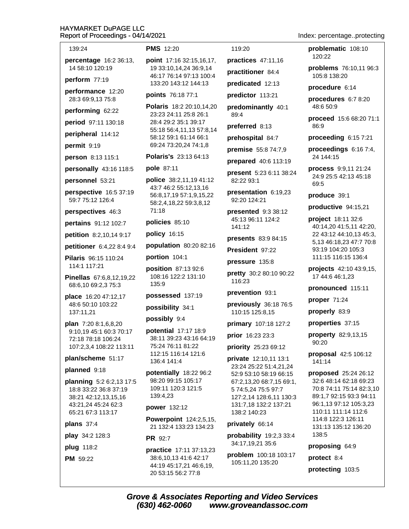| 139:24                                            | <b>PMS</b> 12:20                                                           | 119:20                                                                    |  |
|---------------------------------------------------|----------------------------------------------------------------------------|---------------------------------------------------------------------------|--|
| percentage 16:2 36:13,                            | point 17:16 32:15,16,17,                                                   | practices 47:11,16                                                        |  |
| 14 58:10 120:19                                   | 19 33:10,14,24 36:9,14<br>46:17 76:14 97:13 100:4                          | practitioner 84:4                                                         |  |
| perform $77:19$                                   | 133:20 143:12 144:13                                                       | predicated 12:13                                                          |  |
| performance 12:20<br>28:3 69:9,13 75:8            | points 76:18 77:1                                                          | predictor 113:21                                                          |  |
| performing 62:22                                  | Polaris 18:2 20:10,14,20<br>23:23 24:11 25:8 26:1                          | predominantly 40:1<br>89:4                                                |  |
| period 97:11 130:18                               | 28:4 29:2 35:1 39:17<br>55:18 56:4,11,13 57:8,14<br>58:12 59:1 61:14 66:1  | preferred 8:13                                                            |  |
| peripheral 114:12                                 |                                                                            | prehospital 84:7                                                          |  |
| permit 9:19                                       | 69:24 73:20,24 74:1,8                                                      | premise 55:8 74:7,9                                                       |  |
| person 8:13 115:1                                 | Polaris's 23:13 64:13                                                      | prepared 40:6 113:19                                                      |  |
| personally 43:16 118:5                            | <b>pole 87:11</b>                                                          | present 5:23 6:11 38:24                                                   |  |
| personnel 53:21                                   | police 38:2,11,19 41:12                                                    | 82:22 93:1                                                                |  |
| perspective 16:5 37:19<br>59:7 75:12 126:4        | 43:7 46:2 55:12,13,16<br>56:8,17,19 57:1,9,15,22<br>58:2,4,18,22 59:3,8,12 | presentation 6:19,23<br>92:20 124:21                                      |  |
| perspectives 46:3                                 | 71:18                                                                      | presented 9:3 38:12                                                       |  |
| pertains 91:12 102:7                              | policies 85:10                                                             | 45:13 96:11 124:2<br>141:12                                               |  |
| petition 8:2,10,14 9:17                           | policy 16:15                                                               | presents 83:9 84:15                                                       |  |
| petitioner 6:4,22 8:4 9:4                         | population 80:20 82:16                                                     | President 97:22                                                           |  |
| Pilaris 96:15 110:24                              | portion 104:1                                                              | pressure 135:8                                                            |  |
| 114:1 117:21                                      | position 87:13 92:6                                                        |                                                                           |  |
| Pinellas 67:6,8,12,19,22<br>68:6,10 69:2,3 75:3   | 108:16 122:2 131:10<br>135:9                                               | pretty 30:2 80:10 90:22<br>116:23                                         |  |
| place 16:20 47:12,17                              | possessed 137:19                                                           | prevention 93:1                                                           |  |
| 48:6 50:10 103:22<br>137:11,21                    | possibility 34:1                                                           | previously 36:18 76:5<br>110:15 125:8,15                                  |  |
| plan 7:20 8:1,6,8,20                              | possibly 9:4                                                               | primary 107:18 127:2                                                      |  |
| 9:10,19 45:1 60:3 70:17                           | potential 17:17 18:9<br>38:11 39:23 43:16 64:19                            | prior 16:23 23:3                                                          |  |
| 72:18 78:18 106:24<br>107:2,3,4 108:22 113:11     | 75:24 76:11 81:22                                                          | priority 25:23 69:12                                                      |  |
| plan/scheme 51:17                                 | 112:15 116:14 121:6<br>136:4 141:4                                         | private 12:10,11 13:1                                                     |  |
| planned 9:18                                      |                                                                            | 23:24 25:22 51:4,21,24                                                    |  |
| planning 5:2 6:2,13 17:5<br>18:8 33:22 36:8 37:19 | potentially 18:22 96:2<br>98:20 99:15 105:17<br>109:11 120:3 121:5         | 52:9 53:10 58:19 66:15<br>67:2,13,20 68:7,15 69:1,<br>5 74:5,24 75:5 97:7 |  |
| 38:21 42:12,13,15,16<br>43:21,24 45:24 62:3       | 139:4,23<br>power 132:12                                                   | 127:2,14 128:6,11 130:3<br>131:7,18 132:2 137:21                          |  |
| 65:21 67:3 113:17                                 | Powerpoint 124:2,5,15,                                                     | 138:2 140:23                                                              |  |
| plans $37:4$                                      | 21 132:4 133:23 134:23                                                     | privately 66:14                                                           |  |
| play 34:2 128:3                                   | <b>PR</b> 92:7                                                             | probability $19:2,33:3:4$<br>34:17,19,21 35:6                             |  |
| plug 118:2                                        | practice 17:11 37:13,23                                                    | problem 100:18 103:17                                                     |  |
| <b>PM</b> 59:22                                   | 38:6,10,13 41:6 42:17<br>$11.10$ $15.17$ $21$ $16.6$ 10                    | 105:11,20 135:20                                                          |  |

Index: percentage..protecting

problematic 108:10 120:22

problems 76:10,11 96:3 105:8 138:20

procedure 6:14

procedures 6:7 8:20 48:6 50:9

proceed 15:6 68:20 71:1 86:9

proceeding 6:15 7:21

proceedings  $6:167:4$ , 24 144:15

process 9:9,11 21:24 24:9 25:5 42:13 45:18 69:5

produce 39:1

productive 94:15,21

project 18:11 32:6 40:14,20 41:5,11 42:20, 22 43:12 44:10,13 45:3, 5.13 46:18.23 47:7 70:8 93:19 104:20 105:3 111:15 116:15 136:4

projects 42:10 43:9,15, 17 44:6 46:1,23

pronounced 115:11

proper 71:24

properly 83:9

properties 37:15

property 82:9,13,15 90:20

proposal 42:5 106:12 141:14

proposed 25:24 26:12 32:6 48:14 62:18 69:23 70:8 74:11 75:14 82:3,10 89:1,7 92:15 93:3 94:11 96:1,13 97:12 105:3,23 110:11 111:14 112:6 114:8 122:3 126:11 131:13 135:12 136:20 138:5

proposing 64:9

protect 8:4

protecting 103:5

44:19 45:17,21 46:6,19,

20 53:15 56:2 77:8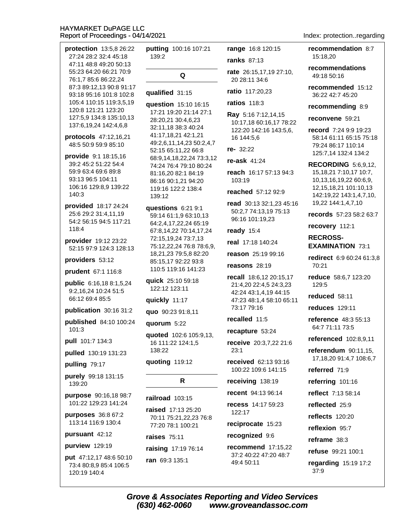| protection 13:5,8 26:22                                                  | putting 100:16 107:21<br>139:2                                                                | range 16:8 120:15                                           | recommendation 8:7                                                                             |
|--------------------------------------------------------------------------|-----------------------------------------------------------------------------------------------|-------------------------------------------------------------|------------------------------------------------------------------------------------------------|
| 27:24 28:2 32:4 45:18<br>47:11 48:8 49:20 50:13                          |                                                                                               | <b>ranks</b> 87:13                                          | 15:18,20                                                                                       |
| 55:23 64:20 66:21 70:9<br>76:1,7 85:6 86:22,24                           | Q                                                                                             | rate 26:15,17,19 27:10,<br>20 28:11 34:6                    | recommendations<br>49:18 50:16                                                                 |
| 87:3 89:12,13 90:8 91:17<br>93:18 95:16 101:8 102:8                      | qualified 31:15                                                                               | ratio 117:20,23                                             | recommended 15:12<br>36:22 42:7 45:20                                                          |
| 105:4 110:15 119:3,5,19<br>120:8 121:21 123:20                           | question 15:10 16:15                                                                          | ratios 118:3                                                | recommending 8:9                                                                               |
| 127:5,9 134:8 135:10,13<br>137:6,19,24 142:4,6,8                         | 17:21 19:20 21:14 27:1<br>28:20,21 30:4,6,23                                                  | Ray 5:16 7:12,14,15<br>10:17,18 60:16,17 78:22              | reconvene 59:21                                                                                |
| protocols 47:12,16,21<br>48:5 50:9 59:9 85:10<br>provide 9:1 18:15,16    | 32:11,18 38:3 40:24<br>41:17,18,21 42:1,21<br>49:2,6,11,14,23 50:2,4,7<br>52:15 65:11,22 66:8 | 122:20 142:16 143:5,6,<br>16 144:5,6<br>$re-32:22$          | record 7:24 9:9 19:23<br>58:14 61:11 65:15 75:18<br>79:24 86:17 110:14<br>125:7,14 132:4 134:2 |
| 39:2 45:2 51:22 54:4                                                     | 68:9,14,18,22,24 73:3,12<br>74:24 76:4 79:10 80:24                                            | re-ask $41:24$                                              | <b>RECORDING 5:6,9,12,</b>                                                                     |
| 59:9 63:4 69:6 89:8<br>93:13 96:5 104:11                                 | 81:16,20 82:1 84:19<br>86:16 90:1,21 94:20                                                    | reach 16:17 57:13 94:3<br>103:19                            | 15, 18, 21 7: 10, 17 10: 7,<br>10,13,16,19,22 60:6,9,                                          |
| 106:16 129:8,9 139:22<br>140:3                                           | 119:16 122:2 138:4<br>139:12                                                                  | reached 57:12 92:9                                          | 12, 15, 18, 21 101: 10, 13<br>142:19,22 143:1,4,7,10,                                          |
| provided 18:17 24:24                                                     | questions 6:21 9:1                                                                            | read 30:13 32:1,23 45:16<br>50:2,7 74:13,19 75:13           | 19,22 144:1,4,7,10                                                                             |
| 25:6 29:2 31:4,11,19<br>54:2 56:15 94:5 117:21                           | 59:14 61:1,9 63:10,13<br>64:2,4,17,22,24 65:19                                                | 96:16 101:19,23                                             | records 57:23 58:2 63:7                                                                        |
| 118:4                                                                    | 67:8,14,22 70:14,17,24                                                                        | ready 15:4                                                  | recovery 112:1                                                                                 |
| provider 19:12 23:22<br>52:15 97:9 124:3 128:13                          | 72:15,19,24 73:7,13<br>75:12,22,24 76:8 78:6,9,                                               | real 17:18 140:24                                           | <b>RECROSS-</b><br><b>EXAMINATION 73:1</b>                                                     |
| providers 53:12                                                          | 18,21,23 79:5,8 82:20<br>85:15,17 92:22 93:8                                                  | reason 25:19 99:16                                          | redirect 6:9 60:24 61:3,8                                                                      |
| prudent 67:1 116:8                                                       | 110:5 119:16 141:23                                                                           | reasons $28:19$                                             | 70:21                                                                                          |
| public 6:16,18 8:1,5,24<br>9:2,16,24 10:24 51:5                          | quick 25:10 59:18<br>122:12 123:11                                                            | recall 18:6,12 20:15,17<br>21:4,20 22:4,5 24:3,23           | reduce 58:6,7 123:20<br>129:5                                                                  |
| 66:12 69:4 85:5                                                          | quickly 11:17                                                                                 | 42:24 43:1,4,19 44:15<br>47:23 48:1,4 58:10 65:11           | reduced 58:11                                                                                  |
| publication 30:16 31:2                                                   | quo 90:23 91:8,11                                                                             | 73:17 79:16                                                 | <b>reduces</b> 129:11                                                                          |
| published 84:10 100:24                                                   | quorum 5:22                                                                                   | recalled 11:5                                               | reference 48:3 55:13                                                                           |
| 101:3                                                                    | quoted 102:6 105:9,13,                                                                        | recapture 53:24                                             | 64:7 71:11 73:5                                                                                |
| pull 101:7 134:3                                                         | 16 111:22 124:1,5                                                                             | receive 20:3,7,22 21:6                                      | referenced 102:8,9,11                                                                          |
| pulled 130:19 131:23                                                     | 138:22                                                                                        | 23:1                                                        | referendum 90:11,15,<br>17, 18, 20 91: 4, 7 108: 6, 7                                          |
| pulling 79:17                                                            | quoting 119:12                                                                                | received 62:13 93:16<br>100:22 109:6 141:15                 | referred 71:9                                                                                  |
| purely 99:18 131:15                                                      | R                                                                                             | receiving 138:19                                            | referring 101:16                                                                               |
| 139:20                                                                   |                                                                                               | recent 94:13 96:14                                          | reflect 7:13 58:14                                                                             |
| purpose 90:16,18 98:7<br>101:22 129:23 141:24                            | railroad 103:15                                                                               | recess 14:17 59:23                                          | reflected 25:9                                                                                 |
| purposes 36:8 67:2                                                       | raised 17:13 25:20<br>70:11 75:21,22,23 76:8                                                  | 122:17                                                      | reflects 120:20                                                                                |
| 113:14 116:9 130:4                                                       | 77:20 78:1 100:21                                                                             | reciprocate 15:23                                           | reflexion 95:7                                                                                 |
| pursuant 42:12                                                           | raises 75:11                                                                                  | recognized 9:6                                              | reframe 38:3                                                                                   |
| purview 129:19                                                           | raising 17:19 76:14                                                                           | recommend $17:15,22$<br>37:2 40:22 47:20 48:7<br>49:4 50:11 | refuse 99:21 100:1                                                                             |
| <b>put</b> 47:12,17 48:6 50:10<br>73:4 80:8,9 85:4 106:5<br>120:19 140:4 | ran 69:3 135:1                                                                                |                                                             | regarding 15:19 17:2<br>37:9                                                                   |
|                                                                          |                                                                                               |                                                             |                                                                                                |

Index: protection..regarding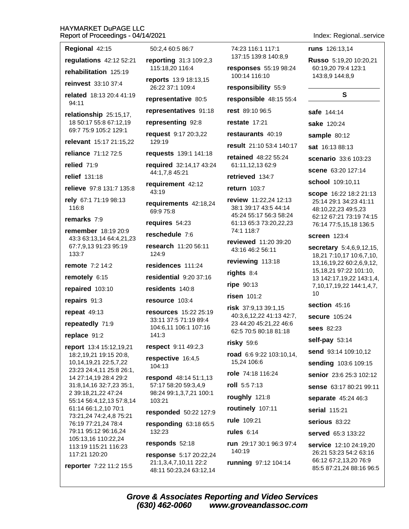| Report of Proceedings - 04/14/2021                               |                                                                                              |                                                                             | Index: Regionalservice                                                                                |
|------------------------------------------------------------------|----------------------------------------------------------------------------------------------|-----------------------------------------------------------------------------|-------------------------------------------------------------------------------------------------------|
| Regional 42:15                                                   | 50:2,4 60:5 86:7                                                                             | 74:23 116:1 117:1                                                           | <b>runs</b> 126:13,14                                                                                 |
| regulations 42:12 52:21                                          | reporting 31:3 109:2,3                                                                       | 137:15 139:8 140:8,9                                                        | Russo 5:19,20 10:20,21                                                                                |
| rehabilitation 125:19                                            | 115:18,20 116:4                                                                              | responses 55:19 98:24<br>100:14 116:10                                      | 60:19,20 79:4 123:1<br>143:8,9 144:8,9                                                                |
| reinvest 33:10 37:4                                              | reports 13:9 18:13,15<br>26:22 37:1 109:4                                                    | responsibility 55:9                                                         |                                                                                                       |
| related 18:13 20:4 41:19<br>94:11                                | representative 80:5                                                                          | responsible 48:15 55:4                                                      | S                                                                                                     |
| relationship 25:15,17,                                           | representatives 91:18                                                                        | rest 89:10 96:5                                                             | <b>safe</b> 144:14                                                                                    |
| 18 50:17 55:8 67:12,19                                           | representing 92:8                                                                            | restate 17:21                                                               | sake 120:24                                                                                           |
| 69:7 75:9 105:2 129:1                                            | request 9:17 20:3,22                                                                         | restaurants 40:19                                                           | sample 80:12                                                                                          |
| relevant 15:17 21:15,22                                          | 129:19                                                                                       | result 21:10 53:4 140:17                                                    | <b>sat</b> 16:13 88:13                                                                                |
| reliance 71:12 72:5                                              | <b>requests</b> 139:1 141:18                                                                 | <b>retained</b> 48:22 55:24                                                 | <b>scenario</b> 33:6 103:23                                                                           |
| relied 71:9                                                      | required 32:14,17 43:24<br>44:1,7,8 45:21                                                    | 61:11,12,13 62:9                                                            | <b>scene</b> 63:20 127:14                                                                             |
| relief 131:18                                                    | requirement 42:12                                                                            | retrieved 134:7                                                             | school 109:10,11                                                                                      |
| relieve 97:8 131:7 135:8                                         | 43:19                                                                                        | return 103:7                                                                | scope 16:22 18:2 21:13                                                                                |
| rely 67:1 71:19 98:13<br>116:8                                   | requirements 42:18,24<br>69:9 75:8                                                           | review 11:22,24 12:13<br>38:1 39:17 43:5 44:14<br>45:24 55:17 56:3 58:24    | 25:14 29:1 34:23 41:11<br>48:10,22,23 49:5,23                                                         |
| remarks 7:9                                                      | requires 54:23                                                                               | 61:13 65:3 73:20,22,23                                                      | 62:12 67:21 73:19 74:15<br>76:14 77:5,15,18 136:5                                                     |
| <b>remember</b> 18:19 20:9<br>43:3 63:13,14 64:4,21,23           | reschedule 7:6                                                                               | 74:1 118:7                                                                  | <b>screen</b> 123:4                                                                                   |
| 67:7,9,13 91:23 95:19<br>133:7                                   | research 11:20 56:11<br>124:9                                                                | reviewed 11:20 39:20<br>43:16 46:2 56:11                                    | secretary 5:4,6,9,12,15,<br>18,21 7:10,17 10:6,7,10,                                                  |
| <b>remote</b> 7:2 14:2                                           | residences 111:24                                                                            | reviewing 113:18                                                            | 13, 16, 19, 22 60: 2, 6, 9, 12,                                                                       |
| remotely 6:15                                                    | residential 9:20 37:16                                                                       | rights 8:4                                                                  | 15,18,21 97:22 101:10,<br>13 142:17,19,22 143:1,4,                                                    |
| repaired 103:10                                                  | residents 140:8                                                                              | ripe 90:13                                                                  | 7, 10, 17, 19, 22 144: 1, 4, 7,                                                                       |
| repairs 91:3                                                     | resource 103:4                                                                               | risen 101:2                                                                 | 10                                                                                                    |
| repeat $49:13$                                                   | <b>resources</b> 15:22 25:19                                                                 | risk 37:9,13 39:1,15                                                        | section 45:16                                                                                         |
| repeatedly 71:9                                                  | 33:11 37:5 71:19 89:4<br>104:6,11 106:1 107:16<br>141:3                                      | 40:3,6,12,22 41:13 42:7,<br>23 44:20 45:21,22 46:6<br>62:5 70:5 80:18 81:18 | <b>secure</b> 105:24                                                                                  |
| replace 91:2                                                     |                                                                                              |                                                                             | <b>sees</b> 82:23                                                                                     |
| report 13:4 15:12,19,21                                          | respect 9:11 49:2,3                                                                          | $risky$ 59:6                                                                | self-pay 53:14                                                                                        |
| 18:2,19,21 19:15 20:8,                                           | respective 16:4,5                                                                            | road 6:6 9:22 103:10,14,<br>15,24 106:6                                     | send 93:14 109:10,12                                                                                  |
| 10, 14, 19, 21 22: 5, 7, 22<br>23:23 24:4,11 25:8 26:1,          | 104:13                                                                                       | role 74:18 116:24                                                           | sending 103:6 109:15                                                                                  |
| 14 27:14,19 28:4 29:2                                            | respond 48:14 51:1,13                                                                        | roll 5:57:13                                                                | senior 23:6 25:3 102:12                                                                               |
| 31:8,14,16 32:7,23 35:1,<br>2 39:18,21,22 47:24                  | 57:17 58:20 59:3,4,9<br>98:24 99:1,3,7,21 100:1                                              |                                                                             | sense 63:17 80:21 99:11                                                                               |
| 55:14 56:4,12,13 57:8,14                                         | 103:21                                                                                       | roughly 121:8                                                               | separate 45:24 46:3                                                                                   |
| 61:14 66:1,2,10 70:1<br>73:21,24 74:2,4,8 75:21                  | responded 50:22 127:9                                                                        | routinely 107:11                                                            | serial 115:21                                                                                         |
| 76:19 77:21,24 78:4<br>79:11 95:12 96:16,24                      | responding 63:18 65:5                                                                        | rule 109:21                                                                 | serious 83:22                                                                                         |
| 105:13,16 110:22,24                                              | 132:23                                                                                       | rules $6:14$                                                                | served 65:3 133:22                                                                                    |
| 113:19 115:21 116:23<br>117:21 120:20<br>reporter 7:22 11:2 15:5 | responds 52:18<br>response 5:17 20:22,24<br>21:1,3,4,7,10,11 22:2<br>48:11 50:23,24 63:12,14 | run 29:17 30:1 96:3 97:4<br>140:19<br>running 97:12 104:14                  | service 12:10 24:19,20<br>26:21 53:23 54:2 63:16<br>66:12 67:2,13,20 76:9<br>85:5 87:21,24 88:16 96:5 |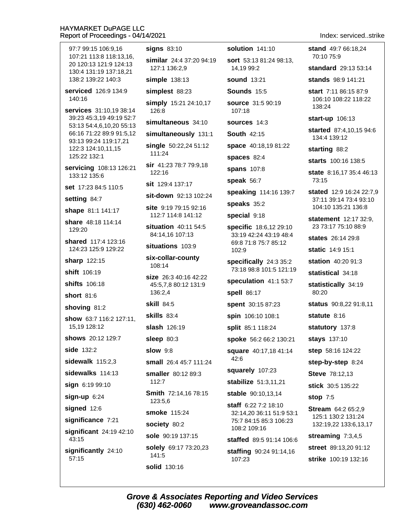| 97:7 99:15 106:9,16<br>107:21 113:8 118:13,16,       | <b>signs 83:10</b>                          | solution 141:10                                  | stand 49:7 66:18,24<br>70:10 75:9            |
|------------------------------------------------------|---------------------------------------------|--------------------------------------------------|----------------------------------------------|
| 20 120:13 121:9 124:13                               | similar 24:4 37:20 94:19<br>127:1 136:2,9   | <b>sort</b> 53:13 81:24 98:13,<br>14,19 99:2     | standard 29:13 53:14                         |
| 130:4 131:19 137:18,21<br>138:2 139:22 140:3         | simple 138:13                               | <b>sound 13:21</b>                               | <b>stands</b> 98:9 141:21                    |
| serviced 126:9 134:9                                 | simplest 88:23                              | Sounds 15:5                                      | start 7:11 86:15 87:9                        |
| 140:16<br>services 31:10,19 38:14                    | simply 15:21 24:10,17<br>126:8              | source 31:5 90:19<br>107:18                      | 106:10 108:22 118:22<br>138:24               |
| 39:23 45:3,19 49:19 52:7                             | simultaneous 34:10                          | <b>sources</b> 14:3                              | <b>start-up</b> 106:13                       |
| 53:13 54:4,6,10,20 55:13<br>66:16 71:22 89:9 91:5,12 | simultaneously 131:1                        | <b>South 42:15</b>                               | started 87:4,10,15 94:6                      |
| 93:13 99:24 119:17,21                                | single 50:22,24 51:12                       | space 40:18,19 81:22                             | 134:4 139:12                                 |
| 122:3 124:10,11,15<br>125:22 132:1                   | 111:24                                      | spaces 82:4                                      | starting 88:2                                |
| servicing 108:13 126:21                              | <b>sir</b> 41:23 78:7 79:9,18               | <b>spans</b> 107:8                               | <b>starts</b> 100:16 138:5                   |
| 133:12 135:6                                         | 122:16                                      | speak 56:7                                       | state 8:16,17 35:4 46:13<br>73:15            |
| set 17:23 84:5 110:5                                 | <b>sit</b> 129:4 137:17                     | speaking 114:16 139:7                            | stated 12:9 16:24 22:7,9                     |
| setting 84:7                                         | sit-down 92:13 102:24                       | speaks 35:2                                      | 37:11 39:14 73:4 93:10                       |
| shape 81:1 141:17                                    | site 9:19 79:15 92:16<br>112:7 114:8 141:12 | special 9:18                                     | 104:10 135:21 136:8                          |
| share 48:18 114:14<br>129:20                         | situation 40:11 54:5                        | specific 18:6,12 29:10                           | statement 12:17 32:9,<br>23 73:17 75:10 88:9 |
| shared 117:4 123:16                                  | 84:14,16 107:13                             | 33:19 42:24 43:19 48:4                           | states 26:14 29:8                            |
| 124:23 125:9 129:22                                  | situations 103:9                            | 69:8 71:8 75:7 85:12<br>102:9                    | <b>static</b> 14:9 15:1                      |
| sharp 122:15                                         | six-collar-county<br>108:14                 | specifically 24:3 35:2                           | station 40:20 91:3                           |
| shift 106:19                                         | size 26:3 40:16 42:22                       | 73:18 98:8 101:5 121:19                          | statistical 34:18                            |
| <b>shifts</b> 106:18                                 | 45:5,7,8 80:12 131:9                        | speculation 41:1 53:7                            | statistically 34:19                          |
| <b>short</b> 81:6                                    | 136:2,4                                     | spell 86:17                                      | 80:20                                        |
| shoving 81:2                                         | <b>skill 84:5</b>                           | spent 30:15 87:23                                | status 90:8,22 91:8,11                       |
| show 63:7 116:2 127:11,                              | <b>skills</b> 83:4                          | spin 106:10 108:1                                | statute 8:16                                 |
| 15,19 128:12                                         | <b>slash</b> 126:19                         | split 85:1 118:24                                | statutory 137:8                              |
| shows 20:12 129:7                                    | sleep 80:3                                  | spoke 56:2 66:2 130:21                           | stays 137:10                                 |
| side 132:2                                           | <b>slow</b> 9:8                             | square 40:17,18 41:14<br>42:6                    | step 58:16 124:22                            |
| sidewalk $115:2,3$                                   | small 26:4 45:7 111:24                      |                                                  | step-by-step 8:24                            |
| sidewalks 114:13                                     | smaller 80:12 89:3                          | squarely 107:23                                  | <b>Steve</b> 78:12,13                        |
| sign 6:19 99:10                                      | 112:7                                       | stabilize 51:3,11,21                             | stick 30:5 135:22                            |
| $sign-up 6:24$                                       | Smith 72:14,16 78:15<br>123:5,6             | stable 90:10,13,14                               | stop $7:5$                                   |
| signed 12:6                                          | smoke 115:24                                | staff 6:22 7:2 18:10<br>32:14,20 36:11 51:9 53:1 | <b>Stream</b> 64:2 65:2,9                    |
| significance 7:21                                    | society 80:2                                | 75:7 84:15 85:3 106:23                           | 125:1 130:2 131:24<br>132:19,22 133:6,13,17  |
| significant 24:19 42:10<br>43:15                     | sole 90:19 137:15                           | 108:2 109:16<br>staffed 89:5 91:14 106:6         | streaming $7:3,4,5$                          |
| significantly 24:10                                  | solely 69:17 73:20,23                       | staffing 90:24 91:14,16                          | street 89:13,20 91:12                        |
| 57:15                                                | 141:5                                       | 107:23                                           | strike 100:19 132:16                         |
|                                                      | solid 130:16                                |                                                  |                                              |

Index: serviced..strike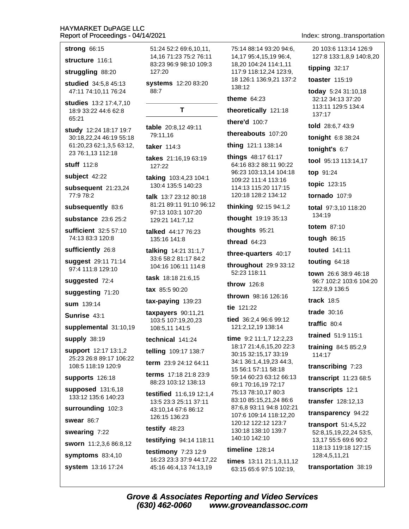strong 66:15

structure 116:1

struggling 88:20

studied 34:5,8 45:13 47:11 74:10,11 76:24

studies 13:2 17:4,7,10 18:9 33:22 44:6 62:8 65:21

study 12:24 18:17 19:7 30:18.22.24 46:19 55:18 61:20,23 62:1,3,5 63:12, 23 76:1,13 112:18

stuff 112:8

subject 42:22

subsequent 21:23,24 77:9 78:2

subsequently 83:6

substance 23:6 25:2

sufficient 32:5 57:10 74:13 83:3 120:8

sufficiently 26:8

suggest 29:11 71:14 97:4 111:8 129:10

suggested 72:4

suggesting 71:20

 $sum$  139.14

Sunrise 43:1

supplemental 31:10,19

**supply 38:19** 

support 12:17 13:1,2 25:23 26:8 89:17 106:22 108:5 118:19 120:9

supports 126:18

supposed 131:6,18 133:12 135:6 140:23

surrounding 102:3

swear 86:7

swearing 7:22

sworn 11:2,3,6 86:8,12

symptoms  $83:4,10$ 

system 13:16 17:24

51:24 52:2 69:6.10.11. 14.16 71:23 75:2 76:11 83:23 96:9 98:10 109:3 127:20

systems 12:20 83:20 88:7

T.

table 20:8.12 49:11 79:11,16

taker 114:3

takes 21:16,19 63:19 127:22

taking 103:4,23 104:1 130:4 135:5 140:23

talk 13:7 23:12 80:18 81:21 89:11 91:10 96:12 97:13 103:1 107:20 129:21 141:7,12

talked 44:17 76:23 135:16 141:8

talking 14:21 31:1,7 33:6 58:2 81:17 84:2 104:16 106:11 114:8

task 18:18 21:6,15

tax 85:5 90:20

 $tax$ -paying  $139:23$ 

taxpayers 90:11,21 103:5 107:19,20,23 108:5,11 141:5

technical 141:24

telling 109:17 138:7

term 23:9 24:12 64:11

terms 17:18 21:8 23:9 88:23 103:12 138:13

testified 11:6,19 12:1,4 13:5 23:3 25:11 37:11 43:10,14 67:6 86:12 126:15 136:23

testify 48:23

(630) 462-0060

testifying 94:14 118:11

testimony 7:23 12:9 16:23 23:3 37:9 44:17,22 45:16 46:4,13 74:13,19

75:14 88:14 93:20 94:6. 14.17 95:4.15.19 96:4. 18,20 104:24 114:1,11 117:9 118:12,24 123:9, 18 126:1 136:9.21 137:2  $138.12$ 

theme  $64:23$ 

theoretically 121:18

there'd 100:7

thereabouts 107:20

**thing** 121:1 138:14

things 48:17 61:17 64:16 83:2 88:11 90:22 96:23 103:13,14 104:18 109:22 111:4 113:16 114:13 115:20 117:15 120:18 128:2 134:12

thinking 92:15 94:1,2

thought 19:19 35:13

thoughts 95:21

thread  $64:23$ 

three-quarters 40:17

throughout 29:9 33:12 52:23 118:11

throw 126:8

thrown 98:16 126:16

tie 121:22

tied 36:2.4 96:6 99:12 121:2,12,19 138:14

time  $9:2$  11:1,7 12:2,23 18:17 21:4,6,15,20 22:3 30:15 32:15,17 33:19 34:1 36:1.4.19.23 44:3. 15 56:1 57:11 58:18 59:14 60:23 63:12 66:13 69:1 70:16.19 72:17 75:13 78:10,17 80:3 83:10 85:15,21,24 86:6 87:6,8 93:11 94:8 102:21 107:6 109:14 118:12,20 120:12 122:12 123:7 130:18 138:10 139:7 140:10 142:10

timeline  $128:14$ 

**Grove & Associates Reporting and Video Services** 

times 13:11 21:1,3,11,12 63:15 65:6 97:5 102:19.

www.groveandassoc.com

Index: strong..transportation

20 103:6 113:14 126:9 127:8 133:1,8,9 140:8,20

tipping  $32:17$ 

toaster 115:19

today 5:24 31:10,18 32:12 34:13 37:20 113:11 129:5 134:4 137:17

told 28:6.7 43:9

tonight 6:8 38:24

tonight's 6:7

tool 95:13 113:14,17

top 91:24

topic 123:15

tornado 107:9

total 97:3,10 118:20 134:19

**totem** 87:10

tough 86:15

touted 141:11

touting  $64:18$ 

town 26:6 38:9 46:18 96:7 102:2 103:6 104:20 122:8.9 136:5

track  $18:5$ 

trade  $30:16$ 

traffic  $80:4$ 

trained 51:9 115:1

training  $84:585:2.9$ 114:17

transcribing 7:23

transcript 11:23 68:5

transcripts 12:1

transfer 128:12,13

transparency 94:22 transport  $51:4,5,22$ 

52:8,15,19,22,24 53:5,

13,17 55:5 69:6 90:2

transportation 38:19

128:4,5,11,21

118:13 119:18 127:15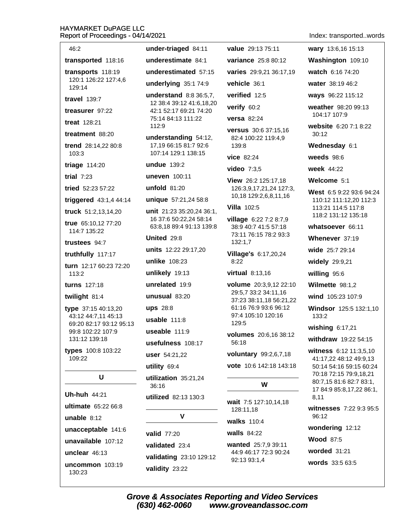| 46:2                                       | under-triaged 84:11                                                               | value 29:13 75:11                                                       |  |
|--------------------------------------------|-----------------------------------------------------------------------------------|-------------------------------------------------------------------------|--|
| transported 118:16                         | underestimate 84:1                                                                | variance 25:8 80:12                                                     |  |
| transports 118:19                          | underestimated 57:15                                                              | varies 29:9,21 36:17,19                                                 |  |
| 120:1 126:22 127:4,6<br>129:14             | underlying 35:1 74:9                                                              | vehicle 36:1                                                            |  |
| <b>travel</b> 139:7                        | understand 8:8 36:5,7,                                                            | verified 12:5                                                           |  |
| treasurer 97:22                            | 12 38:4 39:12 41:6,18,20<br>42:1 52:17 69:21 74:20<br>75:14 84:13 111:22<br>112:9 | verify 60:2                                                             |  |
| <b>treat</b> 128:21                        |                                                                                   | <b>versa</b> 82:24                                                      |  |
| treatment 88:20                            | understanding 54:12,                                                              | <b>versus</b> 30:6 37:15,16                                             |  |
| trend 28:14,22 80:8<br>103:3               | 17,19 66:15 81:7 92:6<br>107:14 129:1 138:15                                      | 82:4 100:22 119:4,9<br>139:8<br><b>vice 82:24</b>                       |  |
| triage 114:20                              | undue 139:2                                                                       | video $7:3,5$                                                           |  |
| trial $7:23$                               | uneven 100:11                                                                     | View 26:2 125:17,18                                                     |  |
| tried 52:23 57:22                          | unfold 81:20                                                                      | 126:3,9,17,21,24 127:3,                                                 |  |
| triggered 43:1,4 44:14                     | unique 57:21,24 58:8                                                              | 10,18 129:2,6,8,11,16                                                   |  |
| truck 51:2,13,14,20                        | unit 21:23 35:20,24 36:1,                                                         | <b>Villa 102:5</b>                                                      |  |
| true 65:10,12 77:20<br>114:7 135:22        | 16 37:6 50:22,24 58:14<br>63:8,18 89:4 91:13 139:8                                | village 6:22 7:2 8:7,9<br>38:9 40:7 41:5 57:18<br>73:11 76:15 78:2 93:3 |  |
| trustees 94:7                              | United 29:8                                                                       | 132:1,7                                                                 |  |
| truthfully 117:17                          | units 12:22 29:17,20                                                              | Village's 6:17,20,24                                                    |  |
| turn 12:17 60:23 72:20                     | unlike 108:23                                                                     | 8:22                                                                    |  |
| 113:2                                      | unlikely 19:13                                                                    | virtual 8:13,16                                                         |  |
| <b>turns</b> 127:18                        | unrelated 19:9                                                                    | volume 20:3,9,12 22:10<br>29:5,7 33:2 34:11,16                          |  |
| twilight 81:4                              | unusual $83:20$                                                                   | 37:23 38:11,18 56:21,22                                                 |  |
| type 37:15 40:13,20<br>43:12 44:7,11 45:13 | <b>ups</b> 28:8                                                                   | 61:16 76:9 93:6 96:12<br>97:4 105:10 120:16                             |  |
| 69:20 82:17 93:12 95:13                    | usable $111:8$                                                                    | 129:5                                                                   |  |
| 99:8 102:22 107:9<br>131:12 139:18         | useable $111:9$                                                                   | <b>volumes</b> 20:6,16 38:12                                            |  |
| types 100:8 103:22                         | usefulness 108:17                                                                 | 56:18                                                                   |  |
| 109:22                                     | user 54:21,22                                                                     | voluntary 99:2,6,7,18                                                   |  |
|                                            | utility 69:4                                                                      | vote 10:6 142:18 143:18                                                 |  |
| U                                          | utilization 35:21,24<br>36:16                                                     | W                                                                       |  |
| <b>Uh-huh 44:21</b>                        | utilized 82:13 130:3                                                              | wait 7:5 127:10,14,18<br>128:11,18                                      |  |
| ultimate 65:22 66:8                        | V                                                                                 |                                                                         |  |
| unable $8:12$                              |                                                                                   | walks 110:4                                                             |  |
| unacceptable 141:6                         | <b>valid</b> 77:20                                                                | <b>walls</b> 84:22                                                      |  |
| unavailable 107:12                         | validated 23:4                                                                    | wanted 25:7,9 39:11<br>44:9 46:17 72:3 90:24<br>92:13 93:1,4            |  |
| unclear 46:13                              | validating 23:10 129:12                                                           |                                                                         |  |
| uncommon 103:19<br>130:23                  | validity 23:22                                                                    |                                                                         |  |

Index: transported..words

wary 13:6,16 15:13 Washington 109:10 watch 6:16 74:20 water 38:19 46:2 ways 96:22 115:12 weather 98:20 99:13 104:17 107:9 website 6:20 7:1 8:22  $30:12$ Wednesday 6:1 weeds 98:6 week 44:22 Welcome 5:1 West 6:5 9:22 93:6 94:24 110:12 111:12,20 112:3 113:21 114:5 117:8 118:2 131:12 135:18 whatsoever 66:11 Whenever 37:19 wide 25:7 29:14 widely 29:9,21 willing 95:6 Wilmette 98:1,2 wind 105:23 107:9 Windsor 125:5 132:1,10 133:2 wishing  $6:17,21$ withdraw 19:22 54:15 witness 6:12 11:3,5,10 41:17,22 48:12 49:9,13 50:14 54:16 59:15 60:24 70:18 72:15 79:9,18,21 80:7,15 81:6 82:7 83:1, 17 84:9 85:8,17,22 86:1, 8,11 witnesses 7:22 9:3 95:5 96:12 wondering 12:12 **Wood 87:5** worded 31:21 words 33:5 63:5